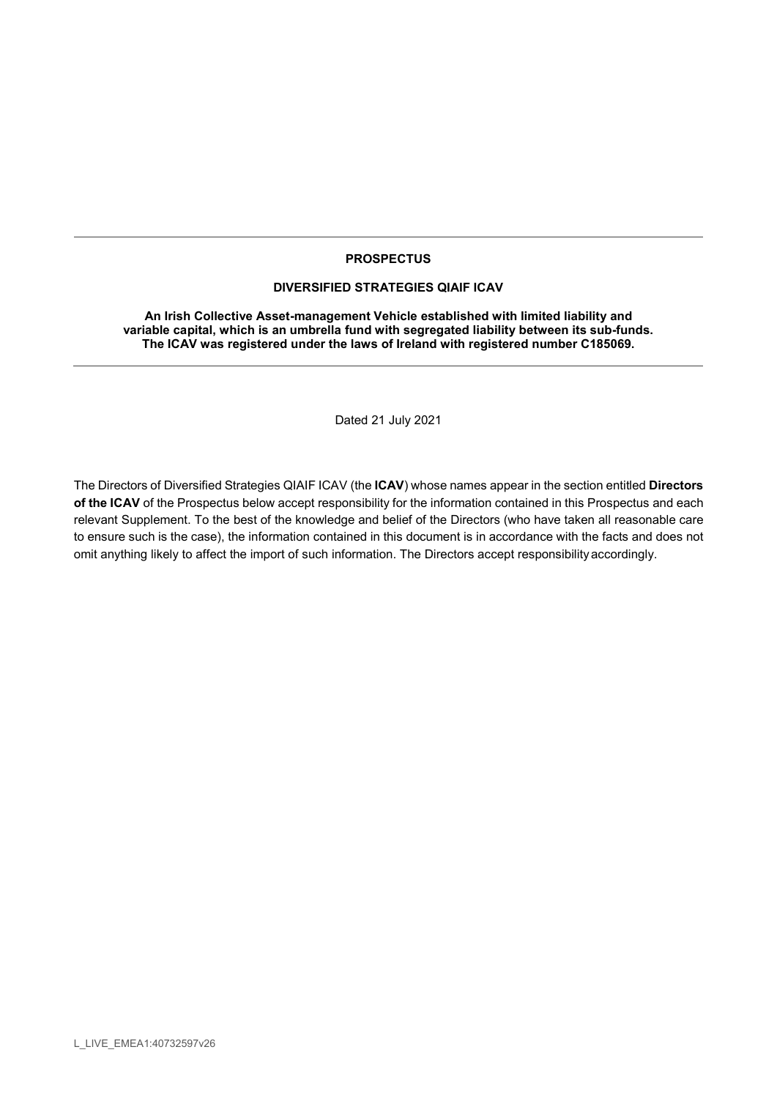### **PROSPECTUS**

#### DIVERSIFIED STRATEGIES QIAIF ICAV

An Irish Collective Asset-management Vehicle established with limited liability and variable capital, which is an umbrella fund with segregated liability between its sub-funds. The ICAV was registered under the laws of Ireland with registered number C185069.

Dated 21 July 2021

The Directors of Diversified Strategies QIAIF ICAV (the ICAV) whose names appear in the section entitled Directors of the ICAV of the Prospectus below accept responsibility for the information contained in this Prospectus and each relevant Supplement. To the best of the knowledge and belief of the Directors (who have taken all reasonable care to ensure such is the case), the information contained in this document is in accordance with the facts and does not omit anything likely to affect the import of such information. The Directors accept responsibility accordingly.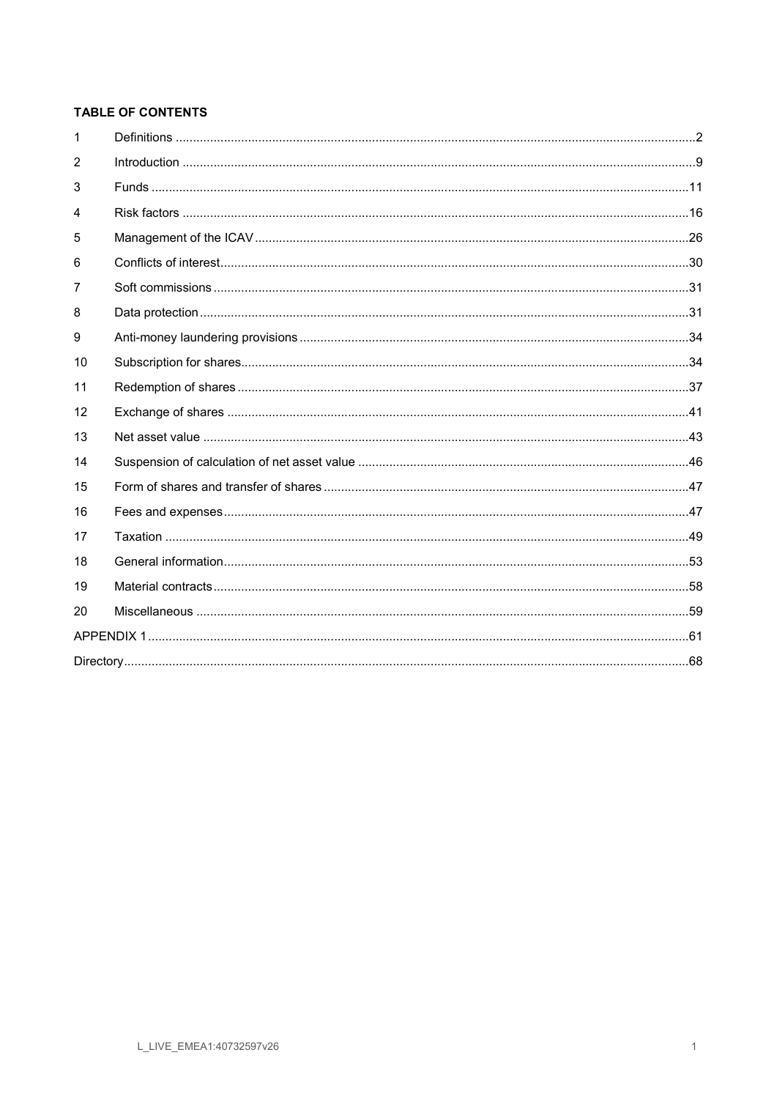# TABLE OF CONTENTS

| $\mathbf{1}$ |  |  |
|--------------|--|--|
| 2            |  |  |
| 3            |  |  |
| 4            |  |  |
| 5            |  |  |
| 6            |  |  |
| 7            |  |  |
| 8            |  |  |
| 9            |  |  |
| 10           |  |  |
| 11           |  |  |
| 12           |  |  |
| 13           |  |  |
| 14           |  |  |
| 15           |  |  |
| 16           |  |  |
| 17           |  |  |
| 18           |  |  |
| 19           |  |  |
| 20           |  |  |
|              |  |  |
|              |  |  |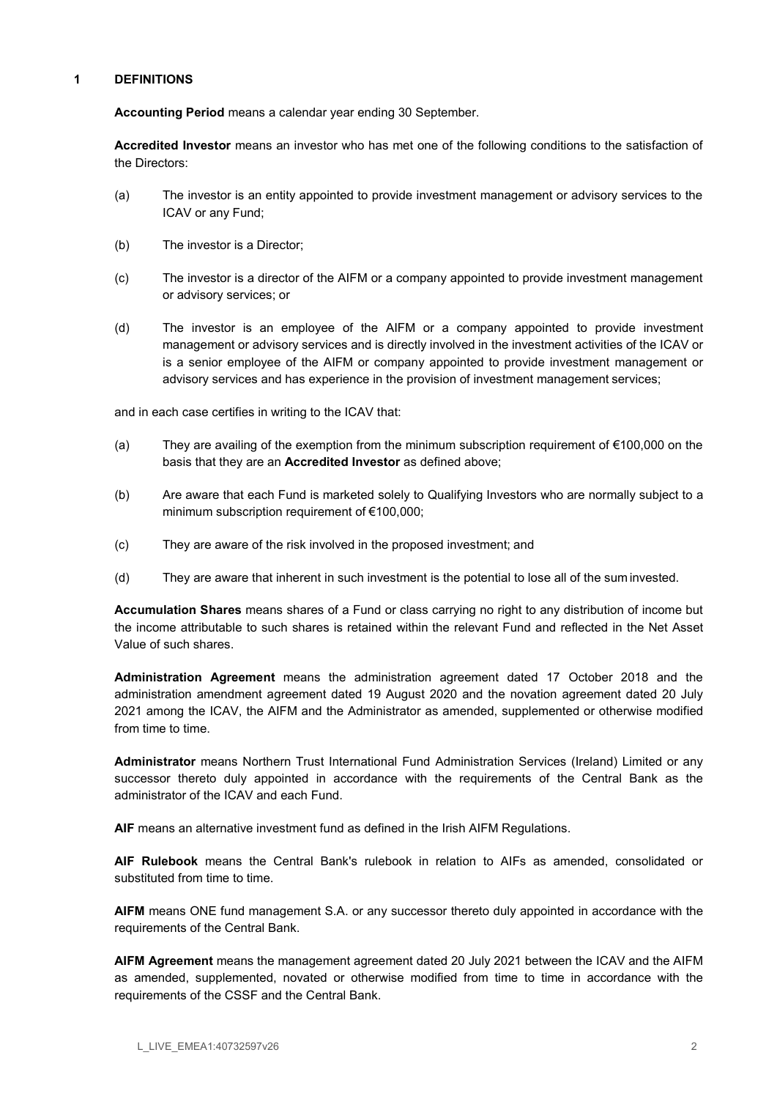#### 1 DEFINITIONS

Accounting Period means a calendar year ending 30 September.

Accredited Investor means an investor who has met one of the following conditions to the satisfaction of the Directors:

- (a) The investor is an entity appointed to provide investment management or advisory services to the ICAV or any Fund;
- (b) The investor is a Director;
- (c) The investor is a director of the AIFM or a company appointed to provide investment management or advisory services; or
- (d) The investor is an employee of the AIFM or a company appointed to provide investment management or advisory services and is directly involved in the investment activities of the ICAV or is a senior employee of the AIFM or company appointed to provide investment management or advisory services and has experience in the provision of investment management services;

and in each case certifies in writing to the ICAV that:

- (a) They are availing of the exemption from the minimum subscription requirement of €100,000 on the basis that they are an Accredited Investor as defined above;
- (b) Are aware that each Fund is marketed solely to Qualifying Investors who are normally subject to a minimum subscription requirement of €100,000;
- (c) They are aware of the risk involved in the proposed investment; and
- (d) They are aware that inherent in such investment is the potential to lose all of the sum invested.

Accumulation Shares means shares of a Fund or class carrying no right to any distribution of income but the income attributable to such shares is retained within the relevant Fund and reflected in the Net Asset Value of such shares.

Administration Agreement means the administration agreement dated 17 October 2018 and the administration amendment agreement dated 19 August 2020 and the novation agreement dated 20 July 2021 among the ICAV, the AIFM and the Administrator as amended, supplemented or otherwise modified from time to time.

Administrator means Northern Trust International Fund Administration Services (Ireland) Limited or any successor thereto duly appointed in accordance with the requirements of the Central Bank as the administrator of the ICAV and each Fund.

AIF means an alternative investment fund as defined in the Irish AIFM Regulations.

AIF Rulebook means the Central Bank's rulebook in relation to AIFs as amended, consolidated or substituted from time to time.

AIFM means ONE fund management S.A. or any successor thereto duly appointed in accordance with the requirements of the Central Bank.

AIFM Agreement means the management agreement dated 20 July 2021 between the ICAV and the AIFM as amended, supplemented, novated or otherwise modified from time to time in accordance with the requirements of the CSSF and the Central Bank.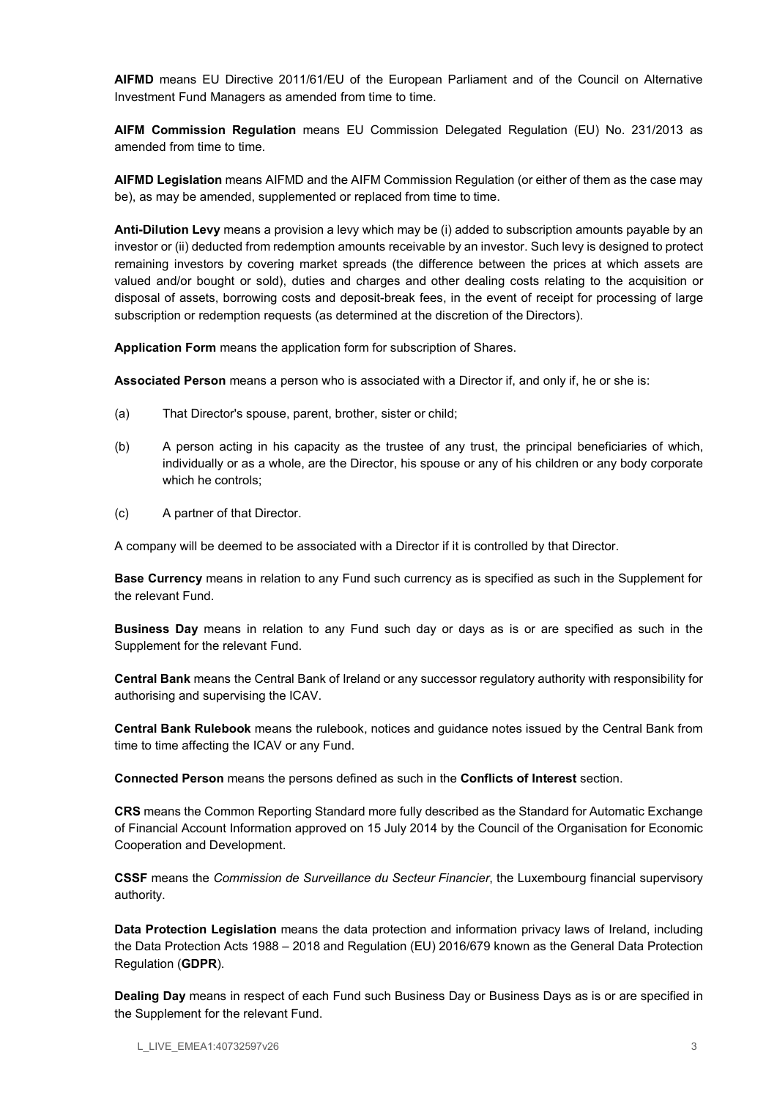AIFMD means EU Directive 2011/61/EU of the European Parliament and of the Council on Alternative Investment Fund Managers as amended from time to time.

AIFM Commission Regulation means EU Commission Delegated Regulation (EU) No. 231/2013 as amended from time to time.

AIFMD Legislation means AIFMD and the AIFM Commission Regulation (or either of them as the case may be), as may be amended, supplemented or replaced from time to time.

Anti-Dilution Levy means a provision a levy which may be (i) added to subscription amounts payable by an investor or (ii) deducted from redemption amounts receivable by an investor. Such levy is designed to protect remaining investors by covering market spreads (the difference between the prices at which assets are valued and/or bought or sold), duties and charges and other dealing costs relating to the acquisition or disposal of assets, borrowing costs and deposit-break fees, in the event of receipt for processing of large subscription or redemption requests (as determined at the discretion of the Directors).

Application Form means the application form for subscription of Shares.

Associated Person means a person who is associated with a Director if, and only if, he or she is:

- (a) That Director's spouse, parent, brother, sister or child;
- (b) A person acting in his capacity as the trustee of any trust, the principal beneficiaries of which, individually or as a whole, are the Director, his spouse or any of his children or any body corporate which he controls;
- (c) A partner of that Director.

A company will be deemed to be associated with a Director if it is controlled by that Director.

Base Currency means in relation to any Fund such currency as is specified as such in the Supplement for the relevant Fund.

Business Day means in relation to any Fund such day or days as is or are specified as such in the Supplement for the relevant Fund.

Central Bank means the Central Bank of Ireland or any successor regulatory authority with responsibility for authorising and supervising the ICAV.

Central Bank Rulebook means the rulebook, notices and guidance notes issued by the Central Bank from time to time affecting the ICAV or any Fund.

Connected Person means the persons defined as such in the Conflicts of Interest section.

CRS means the Common Reporting Standard more fully described as the Standard for Automatic Exchange of Financial Account Information approved on 15 July 2014 by the Council of the Organisation for Economic Cooperation and Development.

CSSF means the Commission de Surveillance du Secteur Financier, the Luxembourg financial supervisory authority.

Data Protection Legislation means the data protection and information privacy laws of Ireland, including the Data Protection Acts 1988 – 2018 and Regulation (EU) 2016/679 known as the General Data Protection Regulation (GDPR).

Dealing Day means in respect of each Fund such Business Day or Business Days as is or are specified in the Supplement for the relevant Fund.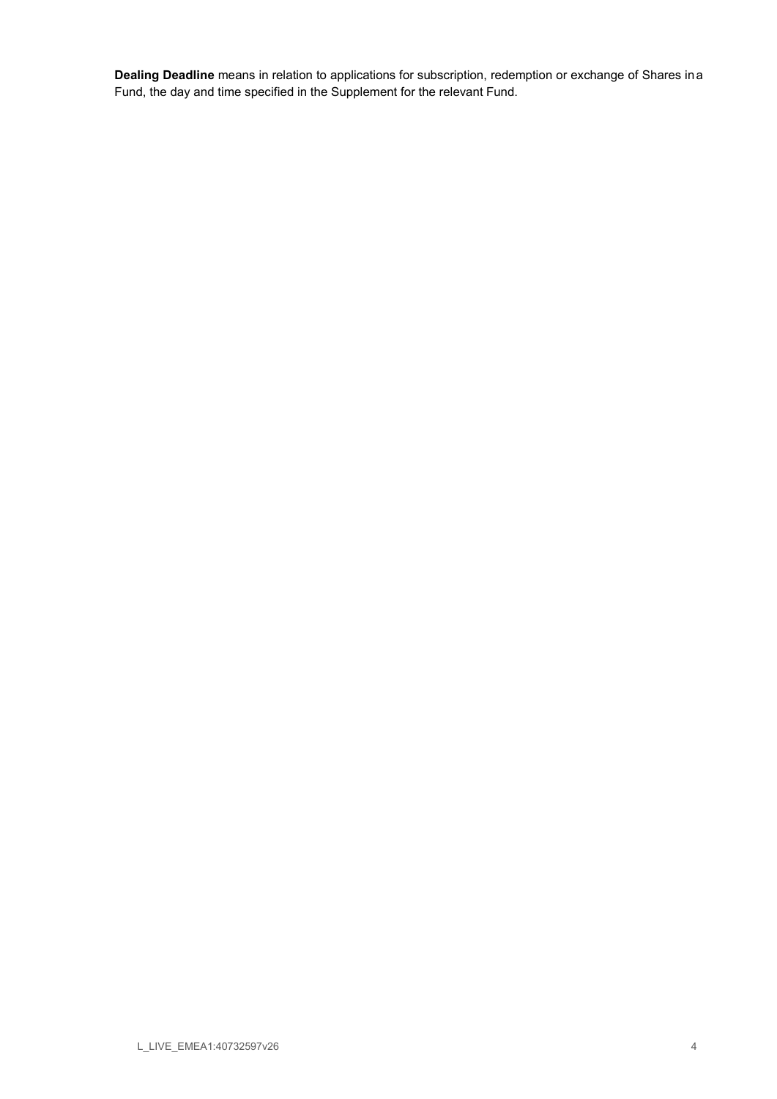Dealing Deadline means in relation to applications for subscription, redemption or exchange of Shares in a Fund, the day and time specified in the Supplement for the relevant Fund.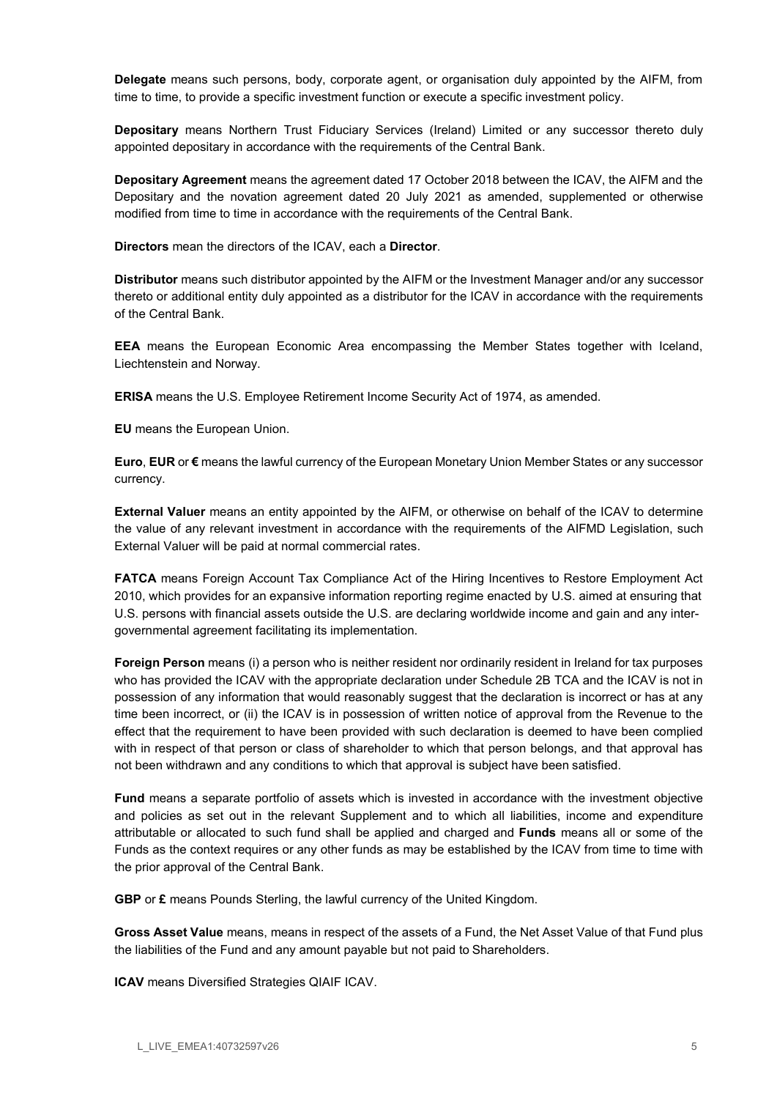Delegate means such persons, body, corporate agent, or organisation duly appointed by the AIFM, from time to time, to provide a specific investment function or execute a specific investment policy.

Depositary means Northern Trust Fiduciary Services (Ireland) Limited or any successor thereto duly appointed depositary in accordance with the requirements of the Central Bank.

Depositary Agreement means the agreement dated 17 October 2018 between the ICAV, the AIFM and the Depositary and the novation agreement dated 20 July 2021 as amended, supplemented or otherwise modified from time to time in accordance with the requirements of the Central Bank.

Directors mean the directors of the ICAV, each a Director.

Distributor means such distributor appointed by the AIFM or the Investment Manager and/or any successor thereto or additional entity duly appointed as a distributor for the ICAV in accordance with the requirements of the Central Bank.

EEA means the European Economic Area encompassing the Member States together with Iceland, Liechtenstein and Norway.

ERISA means the U.S. Employee Retirement Income Security Act of 1974, as amended.

EU means the European Union.

Euro, EUR or € means the lawful currency of the European Monetary Union Member States or any successor currency.

External Valuer means an entity appointed by the AIFM, or otherwise on behalf of the ICAV to determine the value of any relevant investment in accordance with the requirements of the AIFMD Legislation, such External Valuer will be paid at normal commercial rates.

FATCA means Foreign Account Tax Compliance Act of the Hiring Incentives to Restore Employment Act 2010, which provides for an expansive information reporting regime enacted by U.S. aimed at ensuring that U.S. persons with financial assets outside the U.S. are declaring worldwide income and gain and any intergovernmental agreement facilitating its implementation.

Foreign Person means (i) a person who is neither resident nor ordinarily resident in Ireland for tax purposes who has provided the ICAV with the appropriate declaration under Schedule 2B TCA and the ICAV is not in possession of any information that would reasonably suggest that the declaration is incorrect or has at any time been incorrect, or (ii) the ICAV is in possession of written notice of approval from the Revenue to the effect that the requirement to have been provided with such declaration is deemed to have been complied with in respect of that person or class of shareholder to which that person belongs, and that approval has not been withdrawn and any conditions to which that approval is subject have been satisfied.

Fund means a separate portfolio of assets which is invested in accordance with the investment objective and policies as set out in the relevant Supplement and to which all liabilities, income and expenditure attributable or allocated to such fund shall be applied and charged and Funds means all or some of the Funds as the context requires or any other funds as may be established by the ICAV from time to time with the prior approval of the Central Bank.

GBP or £ means Pounds Sterling, the lawful currency of the United Kingdom.

Gross Asset Value means, means in respect of the assets of a Fund, the Net Asset Value of that Fund plus the liabilities of the Fund and any amount payable but not paid to Shareholders.

ICAV means Diversified Strategies QIAIF ICAV.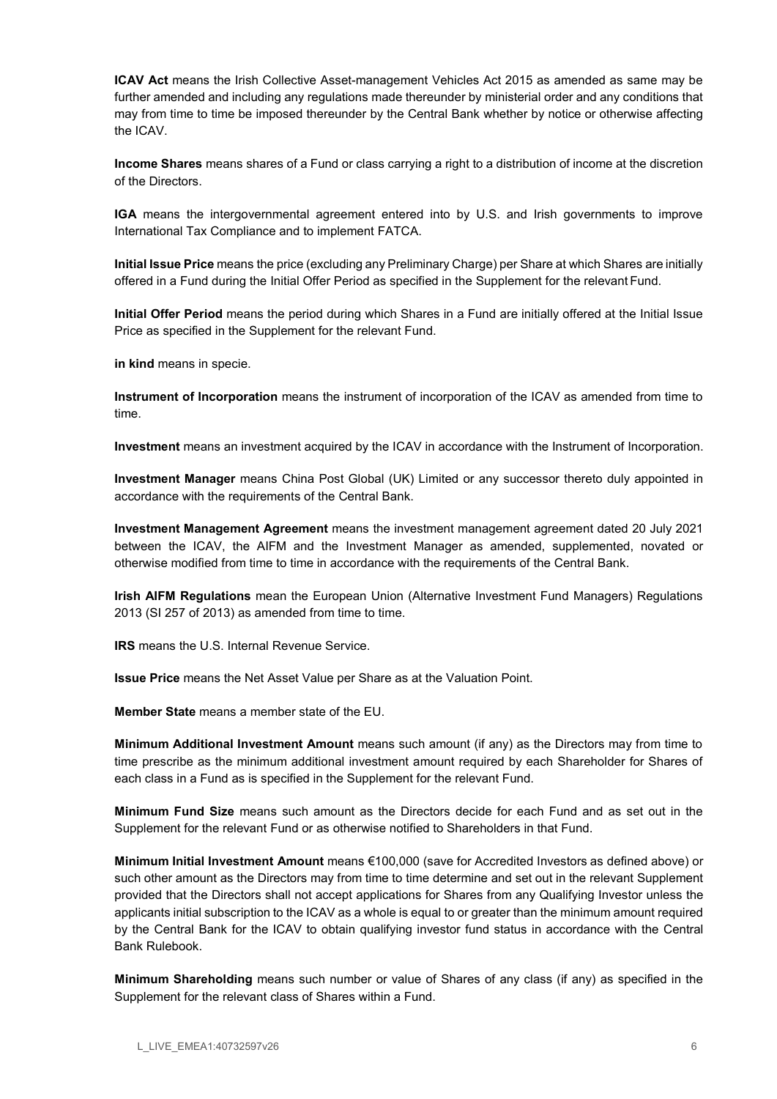ICAV Act means the Irish Collective Asset-management Vehicles Act 2015 as amended as same may be further amended and including any regulations made thereunder by ministerial order and any conditions that may from time to time be imposed thereunder by the Central Bank whether by notice or otherwise affecting the ICAV.

Income Shares means shares of a Fund or class carrying a right to a distribution of income at the discretion of the Directors.

IGA means the intergovernmental agreement entered into by U.S. and Irish governments to improve International Tax Compliance and to implement FATCA.

Initial Issue Price means the price (excluding any Preliminary Charge) per Share at which Shares are initially offered in a Fund during the Initial Offer Period as specified in the Supplement for the relevant Fund.

Initial Offer Period means the period during which Shares in a Fund are initially offered at the Initial Issue Price as specified in the Supplement for the relevant Fund.

in kind means in specie.

Instrument of Incorporation means the instrument of incorporation of the ICAV as amended from time to time.

Investment means an investment acquired by the ICAV in accordance with the Instrument of Incorporation.

Investment Manager means China Post Global (UK) Limited or any successor thereto duly appointed in accordance with the requirements of the Central Bank.

Investment Management Agreement means the investment management agreement dated 20 July 2021 between the ICAV, the AIFM and the Investment Manager as amended, supplemented, novated or otherwise modified from time to time in accordance with the requirements of the Central Bank.

**Irish AIFM Regulations** mean the European Union (Alternative Investment Fund Managers) Regulations 2013 (SI 257 of 2013) as amended from time to time.

IRS means the U.S. Internal Revenue Service.

Issue Price means the Net Asset Value per Share as at the Valuation Point.

Member State means a member state of the EU.

Minimum Additional Investment Amount means such amount (if any) as the Directors may from time to time prescribe as the minimum additional investment amount required by each Shareholder for Shares of each class in a Fund as is specified in the Supplement for the relevant Fund.

Minimum Fund Size means such amount as the Directors decide for each Fund and as set out in the Supplement for the relevant Fund or as otherwise notified to Shareholders in that Fund.

Minimum Initial Investment Amount means €100,000 (save for Accredited Investors as defined above) or such other amount as the Directors may from time to time determine and set out in the relevant Supplement provided that the Directors shall not accept applications for Shares from any Qualifying Investor unless the applicants initial subscription to the ICAV as a whole is equal to or greater than the minimum amount required by the Central Bank for the ICAV to obtain qualifying investor fund status in accordance with the Central Bank Rulebook.

Minimum Shareholding means such number or value of Shares of any class (if any) as specified in the Supplement for the relevant class of Shares within a Fund.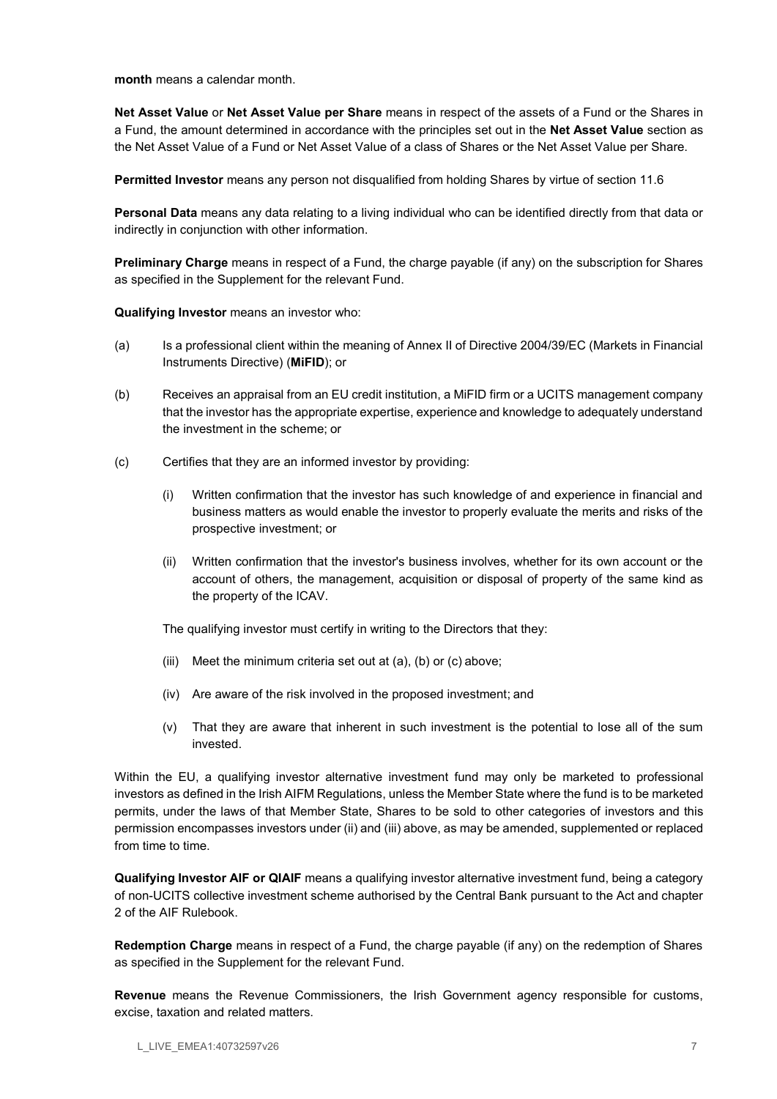month means a calendar month.

Net Asset Value or Net Asset Value per Share means in respect of the assets of a Fund or the Shares in a Fund, the amount determined in accordance with the principles set out in the Net Asset Value section as the Net Asset Value of a Fund or Net Asset Value of a class of Shares or the Net Asset Value per Share.

Permitted Investor means any person not disqualified from holding Shares by virtue of section 11.6

Personal Data means any data relating to a living individual who can be identified directly from that data or indirectly in conjunction with other information.

Preliminary Charge means in respect of a Fund, the charge payable (if any) on the subscription for Shares as specified in the Supplement for the relevant Fund.

Qualifying Investor means an investor who:

- (a) Is a professional client within the meaning of Annex II of Directive 2004/39/EC (Markets in Financial Instruments Directive) (MiFID); or
- (b) Receives an appraisal from an EU credit institution, a MiFID firm or a UCITS management company that the investor has the appropriate expertise, experience and knowledge to adequately understand the investment in the scheme; or
- (c) Certifies that they are an informed investor by providing:
	- (i) Written confirmation that the investor has such knowledge of and experience in financial and business matters as would enable the investor to properly evaluate the merits and risks of the prospective investment; or
	- (ii) Written confirmation that the investor's business involves, whether for its own account or the account of others, the management, acquisition or disposal of property of the same kind as the property of the ICAV.

The qualifying investor must certify in writing to the Directors that they:

- (iii) Meet the minimum criteria set out at (a), (b) or (c) above;
- (iv) Are aware of the risk involved in the proposed investment; and
- (v) That they are aware that inherent in such investment is the potential to lose all of the sum invested.

Within the EU, a qualifying investor alternative investment fund may only be marketed to professional investors as defined in the Irish AIFM Regulations, unless the Member State where the fund is to be marketed permits, under the laws of that Member State, Shares to be sold to other categories of investors and this permission encompasses investors under (ii) and (iii) above, as may be amended, supplemented or replaced from time to time.

Qualifying Investor AIF or QIAIF means a qualifying investor alternative investment fund, being a category of non-UCITS collective investment scheme authorised by the Central Bank pursuant to the Act and chapter 2 of the AIF Rulebook.

Redemption Charge means in respect of a Fund, the charge payable (if any) on the redemption of Shares as specified in the Supplement for the relevant Fund.

Revenue means the Revenue Commissioners, the Irish Government agency responsible for customs, excise, taxation and related matters.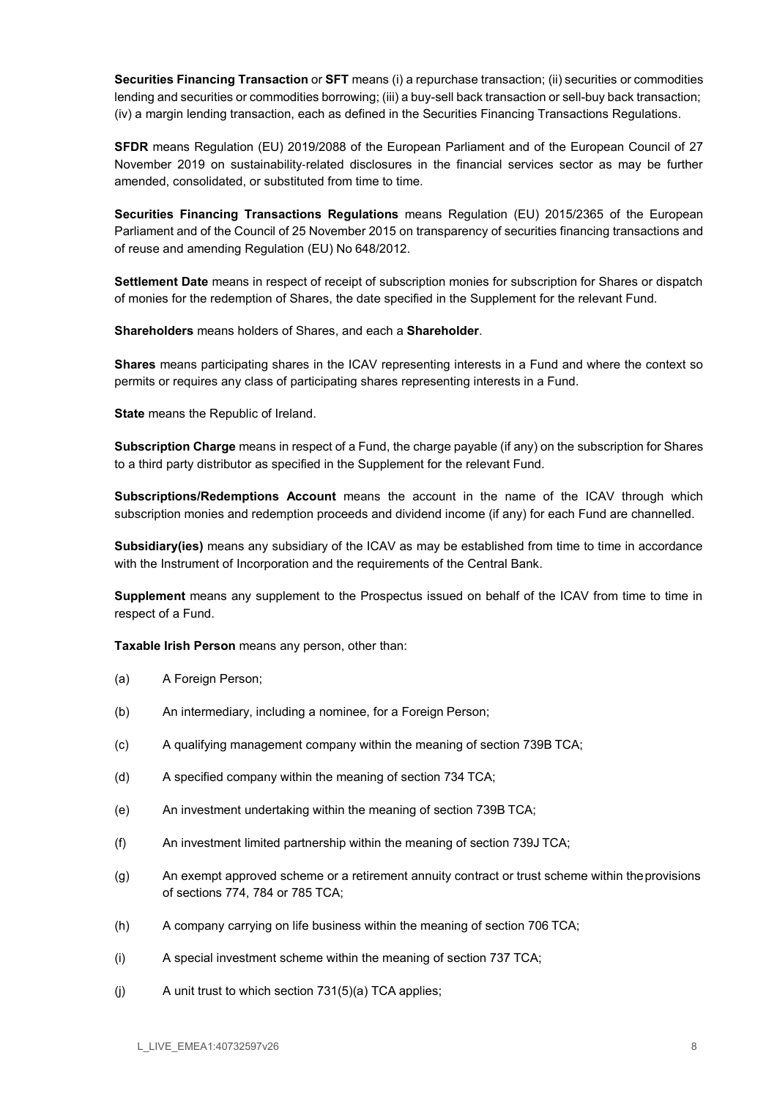Securities Financing Transaction or SFT means (i) a repurchase transaction; (ii) securities or commodities lending and securities or commodities borrowing; (iii) a buy-sell back transaction or sell-buy back transaction; (iv) a margin lending transaction, each as defined in the Securities Financing Transactions Regulations.

SFDR means Regulation (EU) 2019/2088 of the European Parliament and of the European Council of 27 November 2019 on sustainability-related disclosures in the financial services sector as may be further amended, consolidated, or substituted from time to time.

Securities Financing Transactions Regulations means Regulation (EU) 2015/2365 of the European Parliament and of the Council of 25 November 2015 on transparency of securities financing transactions and of reuse and amending Regulation (EU) No 648/2012.

Settlement Date means in respect of receipt of subscription monies for subscription for Shares or dispatch of monies for the redemption of Shares, the date specified in the Supplement for the relevant Fund.

Shareholders means holders of Shares, and each a Shareholder.

Shares means participating shares in the ICAV representing interests in a Fund and where the context so permits or requires any class of participating shares representing interests in a Fund.

State means the Republic of Ireland.

Subscription Charge means in respect of a Fund, the charge payable (if any) on the subscription for Shares to a third party distributor as specified in the Supplement for the relevant Fund.

Subscriptions/Redemptions Account means the account in the name of the ICAV through which subscription monies and redemption proceeds and dividend income (if any) for each Fund are channelled.

Subsidiary(ies) means any subsidiary of the ICAV as may be established from time to time in accordance with the Instrument of Incorporation and the requirements of the Central Bank.

Supplement means any supplement to the Prospectus issued on behalf of the ICAV from time to time in respect of a Fund.

Taxable Irish Person means any person, other than:

- (a) A Foreign Person;
- (b) An intermediary, including a nominee, for a Foreign Person;
- (c) A qualifying management company within the meaning of section 739B TCA;
- (d) A specified company within the meaning of section 734 TCA;
- (e) An investment undertaking within the meaning of section 739B TCA;
- (f) An investment limited partnership within the meaning of section 739J TCA;
- (g) An exempt approved scheme or a retirement annuity contract or trust scheme within the provisions of sections 774, 784 or 785 TCA;
- (h) A company carrying on life business within the meaning of section 706 TCA;
- (i) A special investment scheme within the meaning of section 737 TCA;
- (i)  $\blacksquare$  A unit trust to which section 731(5)(a) TCA applies;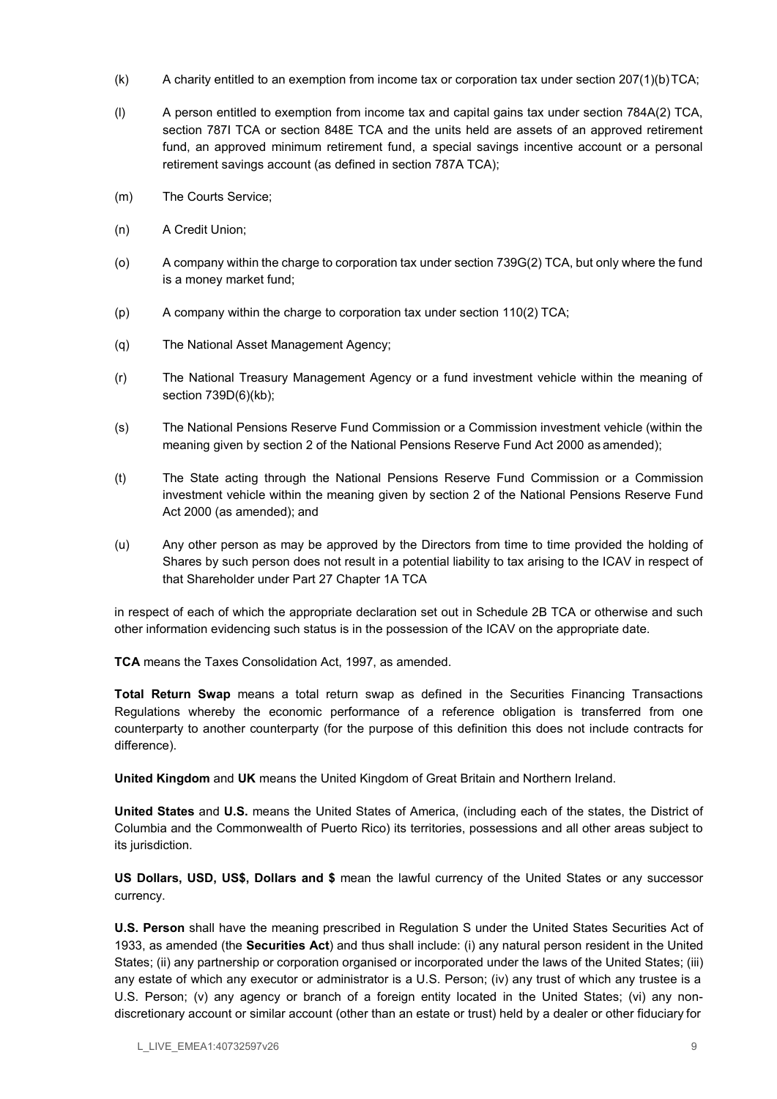- (k) A charity entitled to an exemption from income tax or corporation tax under section 207(1)(b) TCA;
- (l) A person entitled to exemption from income tax and capital gains tax under section 784A(2) TCA, section 787I TCA or section 848E TCA and the units held are assets of an approved retirement fund, an approved minimum retirement fund, a special savings incentive account or a personal retirement savings account (as defined in section 787A TCA);
- (m) The Courts Service;
- (n) A Credit Union;
- (o) A company within the charge to corporation tax under section 739G(2) TCA, but only where the fund is a money market fund;
- (p) A company within the charge to corporation tax under section 110(2) TCA;
- (q) The National Asset Management Agency;
- (r) The National Treasury Management Agency or a fund investment vehicle within the meaning of section 739D(6)(kb);
- (s) The National Pensions Reserve Fund Commission or a Commission investment vehicle (within the meaning given by section 2 of the National Pensions Reserve Fund Act 2000 as amended);
- (t) The State acting through the National Pensions Reserve Fund Commission or a Commission investment vehicle within the meaning given by section 2 of the National Pensions Reserve Fund Act 2000 (as amended); and
- (u) Any other person as may be approved by the Directors from time to time provided the holding of Shares by such person does not result in a potential liability to tax arising to the ICAV in respect of that Shareholder under Part 27 Chapter 1A TCA

in respect of each of which the appropriate declaration set out in Schedule 2B TCA or otherwise and such other information evidencing such status is in the possession of the ICAV on the appropriate date.

TCA means the Taxes Consolidation Act, 1997, as amended.

Total Return Swap means a total return swap as defined in the Securities Financing Transactions Regulations whereby the economic performance of a reference obligation is transferred from one counterparty to another counterparty (for the purpose of this definition this does not include contracts for difference).

United Kingdom and UK means the United Kingdom of Great Britain and Northern Ireland.

United States and U.S. means the United States of America, (including each of the states, the District of Columbia and the Commonwealth of Puerto Rico) its territories, possessions and all other areas subject to its jurisdiction.

US Dollars, USD, US\$, Dollars and \$ mean the lawful currency of the United States or any successor currency.

U.S. Person shall have the meaning prescribed in Regulation S under the United States Securities Act of 1933, as amended (the Securities Act) and thus shall include: (i) any natural person resident in the United States; (ii) any partnership or corporation organised or incorporated under the laws of the United States; (iii) any estate of which any executor or administrator is a U.S. Person; (iv) any trust of which any trustee is a U.S. Person; (v) any agency or branch of a foreign entity located in the United States; (vi) any nondiscretionary account or similar account (other than an estate or trust) held by a dealer or other fiduciary for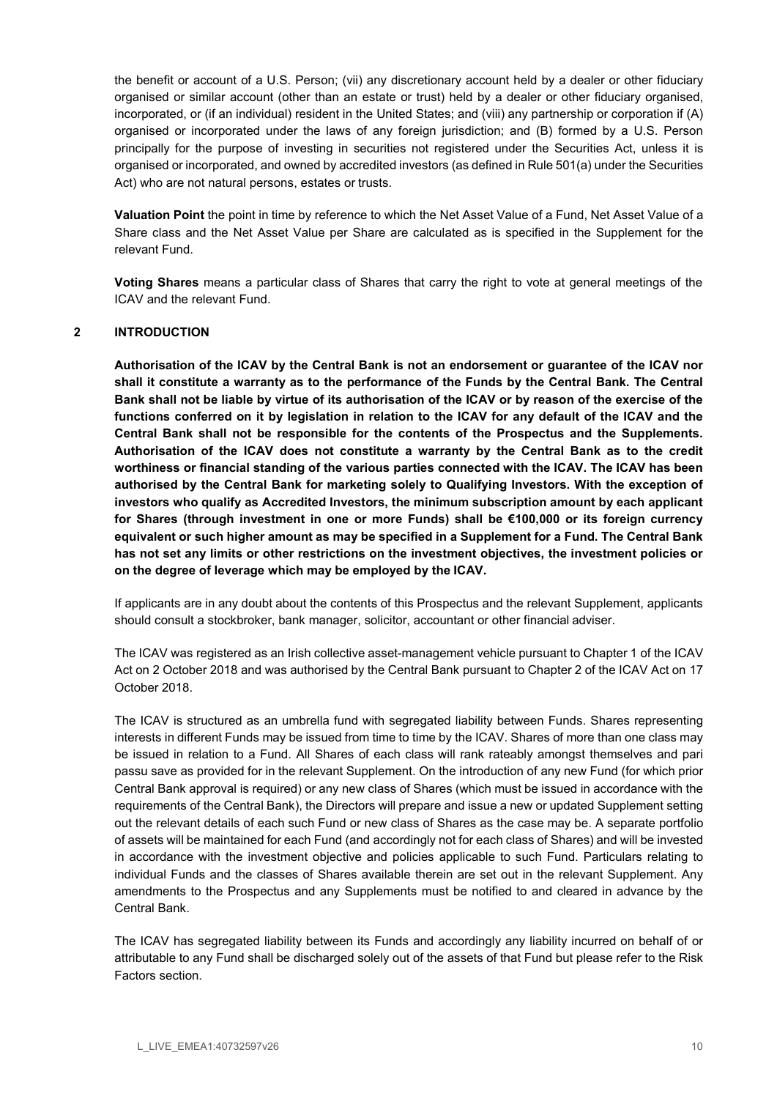the benefit or account of a U.S. Person; (vii) any discretionary account held by a dealer or other fiduciary organised or similar account (other than an estate or trust) held by a dealer or other fiduciary organised, incorporated, or (if an individual) resident in the United States; and (viii) any partnership or corporation if (A) organised or incorporated under the laws of any foreign jurisdiction; and (B) formed by a U.S. Person principally for the purpose of investing in securities not registered under the Securities Act, unless it is organised or incorporated, and owned by accredited investors (as defined in Rule 501(a) under the Securities Act) who are not natural persons, estates or trusts.

Valuation Point the point in time by reference to which the Net Asset Value of a Fund, Net Asset Value of a Share class and the Net Asset Value per Share are calculated as is specified in the Supplement for the relevant Fund.

Voting Shares means a particular class of Shares that carry the right to vote at general meetings of the ICAV and the relevant Fund.

## 2 INTRODUCTION

Authorisation of the ICAV by the Central Bank is not an endorsement or guarantee of the ICAV nor shall it constitute a warranty as to the performance of the Funds by the Central Bank. The Central Bank shall not be liable by virtue of its authorisation of the ICAV or by reason of the exercise of the functions conferred on it by legislation in relation to the ICAV for any default of the ICAV and the Central Bank shall not be responsible for the contents of the Prospectus and the Supplements. Authorisation of the ICAV does not constitute a warranty by the Central Bank as to the credit worthiness or financial standing of the various parties connected with the ICAV. The ICAV has been authorised by the Central Bank for marketing solely to Qualifying Investors. With the exception of investors who qualify as Accredited Investors, the minimum subscription amount by each applicant for Shares (through investment in one or more Funds) shall be €100,000 or its foreign currency equivalent or such higher amount as may be specified in a Supplement for a Fund. The Central Bank has not set any limits or other restrictions on the investment objectives, the investment policies or on the degree of leverage which may be employed by the ICAV.

If applicants are in any doubt about the contents of this Prospectus and the relevant Supplement, applicants should consult a stockbroker, bank manager, solicitor, accountant or other financial adviser.

The ICAV was registered as an Irish collective asset-management vehicle pursuant to Chapter 1 of the ICAV Act on 2 October 2018 and was authorised by the Central Bank pursuant to Chapter 2 of the ICAV Act on 17 October 2018.

The ICAV is structured as an umbrella fund with segregated liability between Funds. Shares representing interests in different Funds may be issued from time to time by the ICAV. Shares of more than one class may be issued in relation to a Fund. All Shares of each class will rank rateably amongst themselves and pari passu save as provided for in the relevant Supplement. On the introduction of any new Fund (for which prior Central Bank approval is required) or any new class of Shares (which must be issued in accordance with the requirements of the Central Bank), the Directors will prepare and issue a new or updated Supplement setting out the relevant details of each such Fund or new class of Shares as the case may be. A separate portfolio of assets will be maintained for each Fund (and accordingly not for each class of Shares) and will be invested in accordance with the investment objective and policies applicable to such Fund. Particulars relating to individual Funds and the classes of Shares available therein are set out in the relevant Supplement. Any amendments to the Prospectus and any Supplements must be notified to and cleared in advance by the Central Bank.

The ICAV has segregated liability between its Funds and accordingly any liability incurred on behalf of or attributable to any Fund shall be discharged solely out of the assets of that Fund but please refer to the Risk Factors section.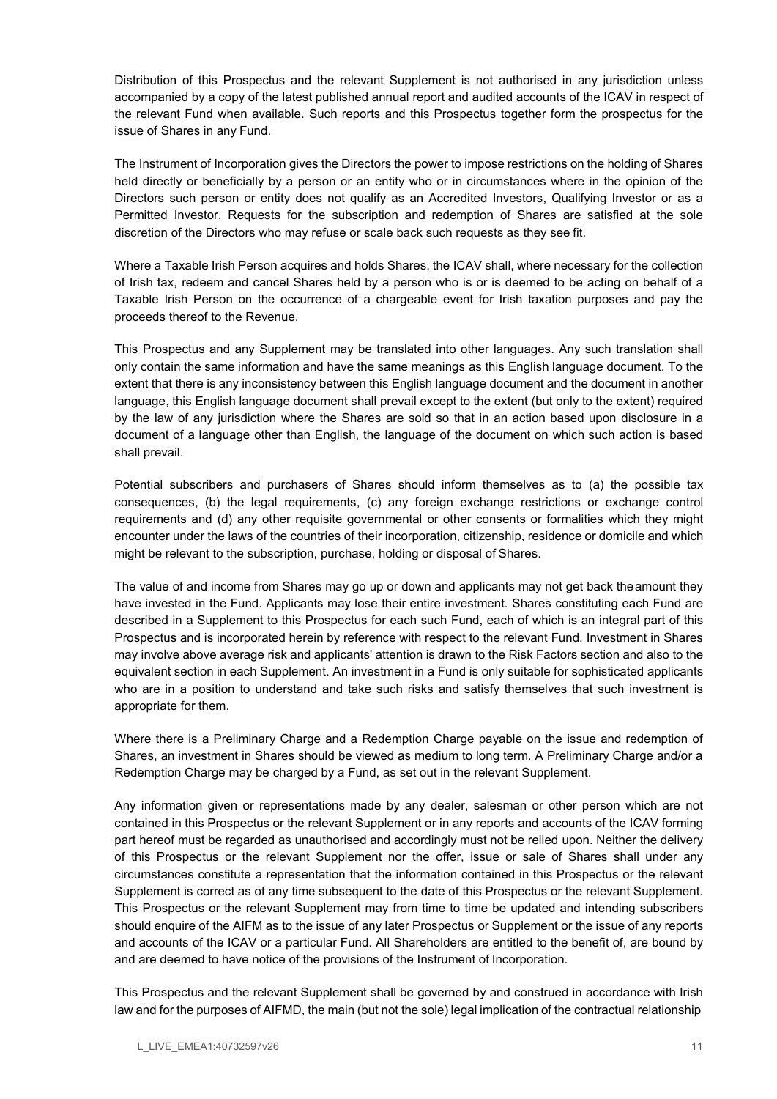Distribution of this Prospectus and the relevant Supplement is not authorised in any jurisdiction unless accompanied by a copy of the latest published annual report and audited accounts of the ICAV in respect of the relevant Fund when available. Such reports and this Prospectus together form the prospectus for the issue of Shares in any Fund.

The Instrument of Incorporation gives the Directors the power to impose restrictions on the holding of Shares held directly or beneficially by a person or an entity who or in circumstances where in the opinion of the Directors such person or entity does not qualify as an Accredited Investors, Qualifying Investor or as a Permitted Investor. Requests for the subscription and redemption of Shares are satisfied at the sole discretion of the Directors who may refuse or scale back such requests as they see fit.

Where a Taxable Irish Person acquires and holds Shares, the ICAV shall, where necessary for the collection of Irish tax, redeem and cancel Shares held by a person who is or is deemed to be acting on behalf of a Taxable Irish Person on the occurrence of a chargeable event for Irish taxation purposes and pay the proceeds thereof to the Revenue.

This Prospectus and any Supplement may be translated into other languages. Any such translation shall only contain the same information and have the same meanings as this English language document. To the extent that there is any inconsistency between this English language document and the document in another language, this English language document shall prevail except to the extent (but only to the extent) required by the law of any jurisdiction where the Shares are sold so that in an action based upon disclosure in a document of a language other than English, the language of the document on which such action is based shall prevail.

Potential subscribers and purchasers of Shares should inform themselves as to (a) the possible tax consequences, (b) the legal requirements, (c) any foreign exchange restrictions or exchange control requirements and (d) any other requisite governmental or other consents or formalities which they might encounter under the laws of the countries of their incorporation, citizenship, residence or domicile and which might be relevant to the subscription, purchase, holding or disposal of Shares.

The value of and income from Shares may go up or down and applicants may not get back the amount they have invested in the Fund. Applicants may lose their entire investment. Shares constituting each Fund are described in a Supplement to this Prospectus for each such Fund, each of which is an integral part of this Prospectus and is incorporated herein by reference with respect to the relevant Fund. Investment in Shares may involve above average risk and applicants' attention is drawn to the Risk Factors section and also to the equivalent section in each Supplement. An investment in a Fund is only suitable for sophisticated applicants who are in a position to understand and take such risks and satisfy themselves that such investment is appropriate for them.

Where there is a Preliminary Charge and a Redemption Charge payable on the issue and redemption of Shares, an investment in Shares should be viewed as medium to long term. A Preliminary Charge and/or a Redemption Charge may be charged by a Fund, as set out in the relevant Supplement.

Any information given or representations made by any dealer, salesman or other person which are not contained in this Prospectus or the relevant Supplement or in any reports and accounts of the ICAV forming part hereof must be regarded as unauthorised and accordingly must not be relied upon. Neither the delivery of this Prospectus or the relevant Supplement nor the offer, issue or sale of Shares shall under any circumstances constitute a representation that the information contained in this Prospectus or the relevant Supplement is correct as of any time subsequent to the date of this Prospectus or the relevant Supplement. This Prospectus or the relevant Supplement may from time to time be updated and intending subscribers should enquire of the AIFM as to the issue of any later Prospectus or Supplement or the issue of any reports and accounts of the ICAV or a particular Fund. All Shareholders are entitled to the benefit of, are bound by and are deemed to have notice of the provisions of the Instrument of Incorporation.

This Prospectus and the relevant Supplement shall be governed by and construed in accordance with Irish law and for the purposes of AIFMD, the main (but not the sole) legal implication of the contractual relationship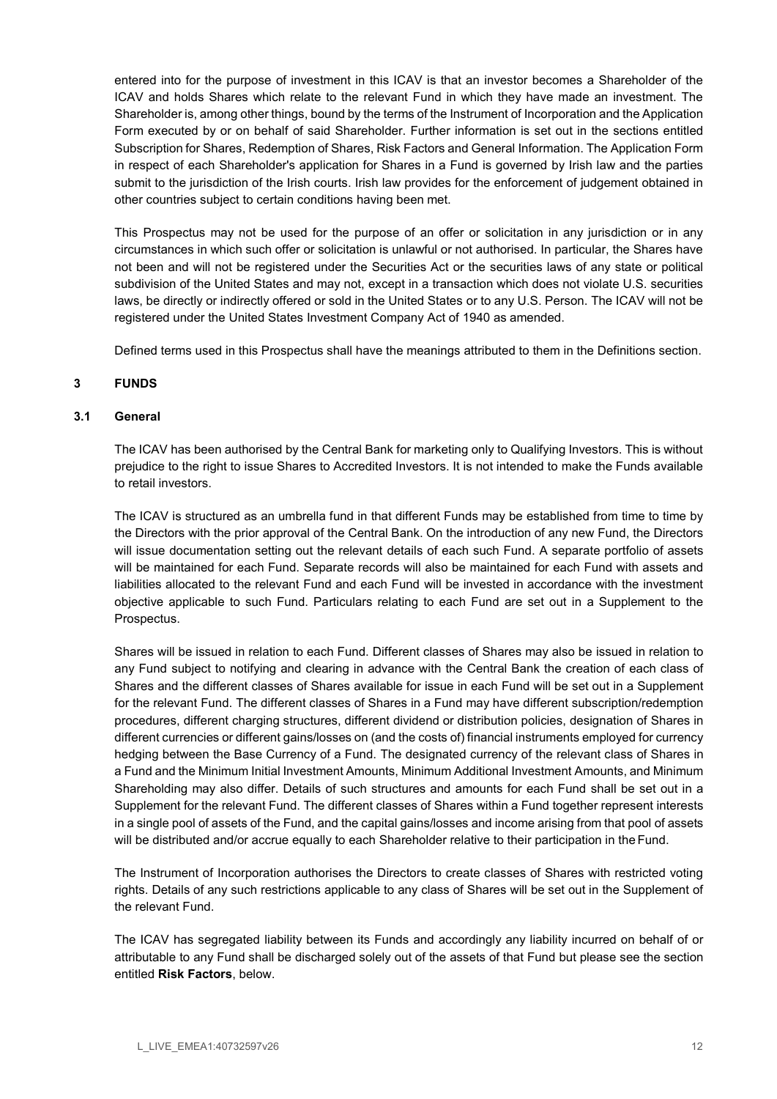entered into for the purpose of investment in this ICAV is that an investor becomes a Shareholder of the ICAV and holds Shares which relate to the relevant Fund in which they have made an investment. The Shareholder is, among other things, bound by the terms of the Instrument of Incorporation and the Application Form executed by or on behalf of said Shareholder. Further information is set out in the sections entitled Subscription for Shares, Redemption of Shares, Risk Factors and General Information. The Application Form in respect of each Shareholder's application for Shares in a Fund is governed by Irish law and the parties submit to the jurisdiction of the Irish courts. Irish law provides for the enforcement of judgement obtained in other countries subject to certain conditions having been met.

This Prospectus may not be used for the purpose of an offer or solicitation in any jurisdiction or in any circumstances in which such offer or solicitation is unlawful or not authorised. In particular, the Shares have not been and will not be registered under the Securities Act or the securities laws of any state or political subdivision of the United States and may not, except in a transaction which does not violate U.S. securities laws, be directly or indirectly offered or sold in the United States or to any U.S. Person. The ICAV will not be registered under the United States Investment Company Act of 1940 as amended.

Defined terms used in this Prospectus shall have the meanings attributed to them in the Definitions section.

## 3 FUNDS

## 3.1 General

The ICAV has been authorised by the Central Bank for marketing only to Qualifying Investors. This is without prejudice to the right to issue Shares to Accredited Investors. It is not intended to make the Funds available to retail investors.

The ICAV is structured as an umbrella fund in that different Funds may be established from time to time by the Directors with the prior approval of the Central Bank. On the introduction of any new Fund, the Directors will issue documentation setting out the relevant details of each such Fund. A separate portfolio of assets will be maintained for each Fund. Separate records will also be maintained for each Fund with assets and liabilities allocated to the relevant Fund and each Fund will be invested in accordance with the investment objective applicable to such Fund. Particulars relating to each Fund are set out in a Supplement to the Prospectus.

Shares will be issued in relation to each Fund. Different classes of Shares may also be issued in relation to any Fund subject to notifying and clearing in advance with the Central Bank the creation of each class of Shares and the different classes of Shares available for issue in each Fund will be set out in a Supplement for the relevant Fund. The different classes of Shares in a Fund may have different subscription/redemption procedures, different charging structures, different dividend or distribution policies, designation of Shares in different currencies or different gains/losses on (and the costs of) financial instruments employed for currency hedging between the Base Currency of a Fund. The designated currency of the relevant class of Shares in a Fund and the Minimum Initial Investment Amounts, Minimum Additional Investment Amounts, and Minimum Shareholding may also differ. Details of such structures and amounts for each Fund shall be set out in a Supplement for the relevant Fund. The different classes of Shares within a Fund together represent interests in a single pool of assets of the Fund, and the capital gains/losses and income arising from that pool of assets will be distributed and/or accrue equally to each Shareholder relative to their participation in the Fund.

The Instrument of Incorporation authorises the Directors to create classes of Shares with restricted voting rights. Details of any such restrictions applicable to any class of Shares will be set out in the Supplement of the relevant Fund.

The ICAV has segregated liability between its Funds and accordingly any liability incurred on behalf of or attributable to any Fund shall be discharged solely out of the assets of that Fund but please see the section entitled Risk Factors, below.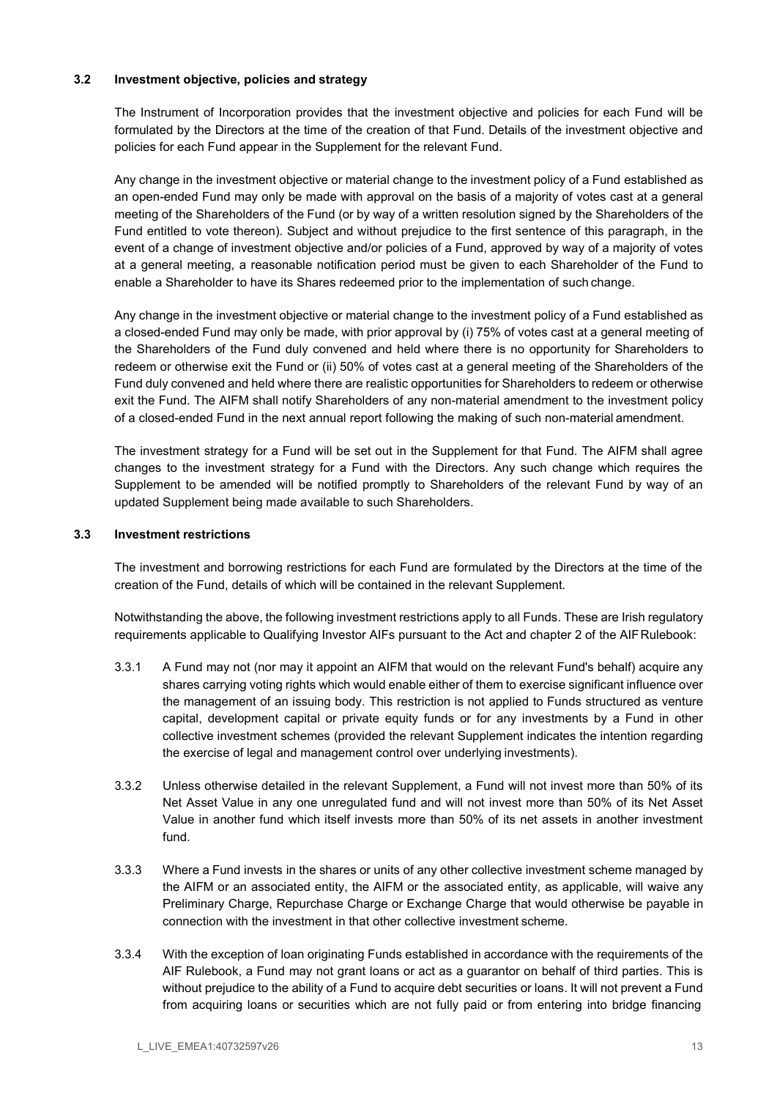## 3.2 Investment objective, policies and strategy

The Instrument of Incorporation provides that the investment objective and policies for each Fund will be formulated by the Directors at the time of the creation of that Fund. Details of the investment objective and policies for each Fund appear in the Supplement for the relevant Fund.

Any change in the investment objective or material change to the investment policy of a Fund established as an open-ended Fund may only be made with approval on the basis of a majority of votes cast at a general meeting of the Shareholders of the Fund (or by way of a written resolution signed by the Shareholders of the Fund entitled to vote thereon). Subject and without prejudice to the first sentence of this paragraph, in the event of a change of investment objective and/or policies of a Fund, approved by way of a majority of votes at a general meeting, a reasonable notification period must be given to each Shareholder of the Fund to enable a Shareholder to have its Shares redeemed prior to the implementation of such change.

Any change in the investment objective or material change to the investment policy of a Fund established as a closed-ended Fund may only be made, with prior approval by (i) 75% of votes cast at a general meeting of the Shareholders of the Fund duly convened and held where there is no opportunity for Shareholders to redeem or otherwise exit the Fund or (ii) 50% of votes cast at a general meeting of the Shareholders of the Fund duly convened and held where there are realistic opportunities for Shareholders to redeem or otherwise exit the Fund. The AIFM shall notify Shareholders of any non-material amendment to the investment policy of a closed-ended Fund in the next annual report following the making of such non-material amendment.

The investment strategy for a Fund will be set out in the Supplement for that Fund. The AIFM shall agree changes to the investment strategy for a Fund with the Directors. Any such change which requires the Supplement to be amended will be notified promptly to Shareholders of the relevant Fund by way of an updated Supplement being made available to such Shareholders.

## 3.3 Investment restrictions

The investment and borrowing restrictions for each Fund are formulated by the Directors at the time of the creation of the Fund, details of which will be contained in the relevant Supplement.

Notwithstanding the above, the following investment restrictions apply to all Funds. These are Irish regulatory requirements applicable to Qualifying Investor AIFs pursuant to the Act and chapter 2 of the AIF Rulebook:

- 3.3.1 A Fund may not (nor may it appoint an AIFM that would on the relevant Fund's behalf) acquire any shares carrying voting rights which would enable either of them to exercise significant influence over the management of an issuing body. This restriction is not applied to Funds structured as venture capital, development capital or private equity funds or for any investments by a Fund in other collective investment schemes (provided the relevant Supplement indicates the intention regarding the exercise of legal and management control over underlying investments).
- 3.3.2 Unless otherwise detailed in the relevant Supplement, a Fund will not invest more than 50% of its Net Asset Value in any one unregulated fund and will not invest more than 50% of its Net Asset Value in another fund which itself invests more than 50% of its net assets in another investment fund.
- 3.3.3 Where a Fund invests in the shares or units of any other collective investment scheme managed by the AIFM or an associated entity, the AIFM or the associated entity, as applicable, will waive any Preliminary Charge, Repurchase Charge or Exchange Charge that would otherwise be payable in connection with the investment in that other collective investment scheme.
- 3.3.4 With the exception of loan originating Funds established in accordance with the requirements of the AIF Rulebook, a Fund may not grant loans or act as a guarantor on behalf of third parties. This is without prejudice to the ability of a Fund to acquire debt securities or loans. It will not prevent a Fund from acquiring loans or securities which are not fully paid or from entering into bridge financing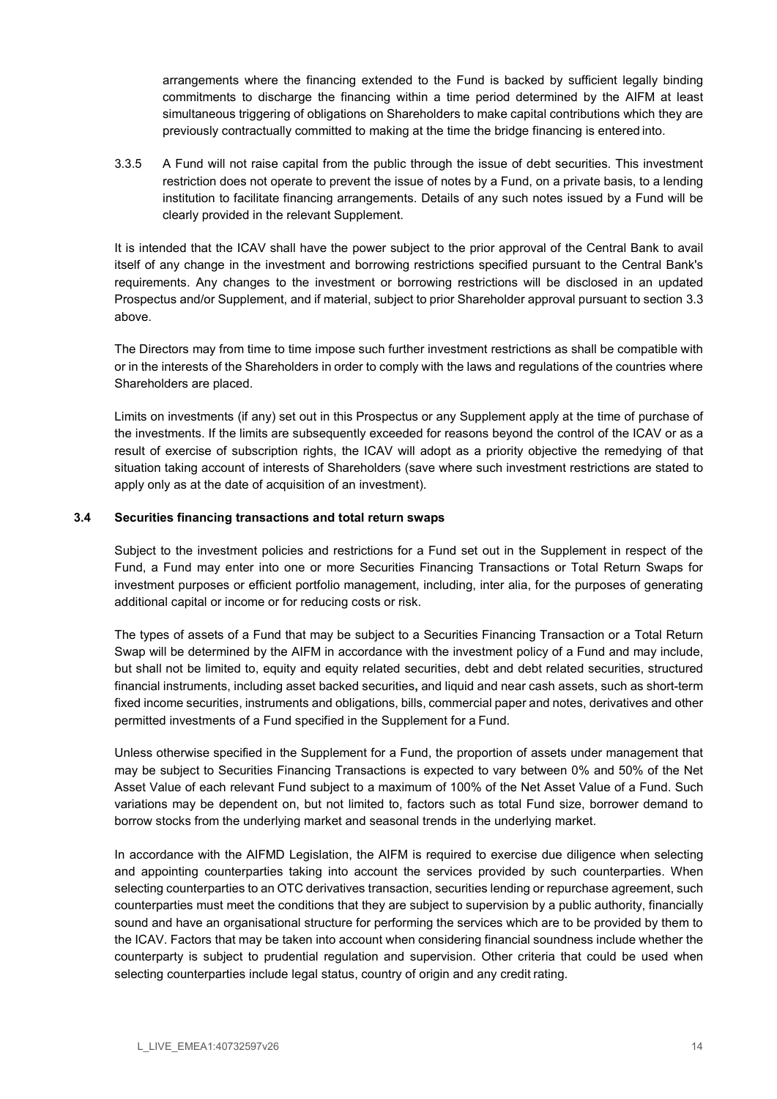arrangements where the financing extended to the Fund is backed by sufficient legally binding commitments to discharge the financing within a time period determined by the AIFM at least simultaneous triggering of obligations on Shareholders to make capital contributions which they are previously contractually committed to making at the time the bridge financing is entered into.

3.3.5 A Fund will not raise capital from the public through the issue of debt securities. This investment restriction does not operate to prevent the issue of notes by a Fund, on a private basis, to a lending institution to facilitate financing arrangements. Details of any such notes issued by a Fund will be clearly provided in the relevant Supplement.

It is intended that the ICAV shall have the power subject to the prior approval of the Central Bank to avail itself of any change in the investment and borrowing restrictions specified pursuant to the Central Bank's requirements. Any changes to the investment or borrowing restrictions will be disclosed in an updated Prospectus and/or Supplement, and if material, subject to prior Shareholder approval pursuant to section 3.3 above.

The Directors may from time to time impose such further investment restrictions as shall be compatible with or in the interests of the Shareholders in order to comply with the laws and regulations of the countries where Shareholders are placed.

Limits on investments (if any) set out in this Prospectus or any Supplement apply at the time of purchase of the investments. If the limits are subsequently exceeded for reasons beyond the control of the ICAV or as a result of exercise of subscription rights, the ICAV will adopt as a priority objective the remedying of that situation taking account of interests of Shareholders (save where such investment restrictions are stated to apply only as at the date of acquisition of an investment).

## 3.4 Securities financing transactions and total return swaps

Subject to the investment policies and restrictions for a Fund set out in the Supplement in respect of the Fund, a Fund may enter into one or more Securities Financing Transactions or Total Return Swaps for investment purposes or efficient portfolio management, including, inter alia, for the purposes of generating additional capital or income or for reducing costs or risk.

The types of assets of a Fund that may be subject to a Securities Financing Transaction or a Total Return Swap will be determined by the AIFM in accordance with the investment policy of a Fund and may include, but shall not be limited to, equity and equity related securities, debt and debt related securities, structured financial instruments, including asset backed securities, and liquid and near cash assets, such as short-term fixed income securities, instruments and obligations, bills, commercial paper and notes, derivatives and other permitted investments of a Fund specified in the Supplement for a Fund.

Unless otherwise specified in the Supplement for a Fund, the proportion of assets under management that may be subject to Securities Financing Transactions is expected to vary between 0% and 50% of the Net Asset Value of each relevant Fund subject to a maximum of 100% of the Net Asset Value of a Fund. Such variations may be dependent on, but not limited to, factors such as total Fund size, borrower demand to borrow stocks from the underlying market and seasonal trends in the underlying market.

In accordance with the AIFMD Legislation, the AIFM is required to exercise due diligence when selecting and appointing counterparties taking into account the services provided by such counterparties. When selecting counterparties to an OTC derivatives transaction, securities lending or repurchase agreement, such counterparties must meet the conditions that they are subject to supervision by a public authority, financially sound and have an organisational structure for performing the services which are to be provided by them to the ICAV. Factors that may be taken into account when considering financial soundness include whether the counterparty is subject to prudential regulation and supervision. Other criteria that could be used when selecting counterparties include legal status, country of origin and any credit rating.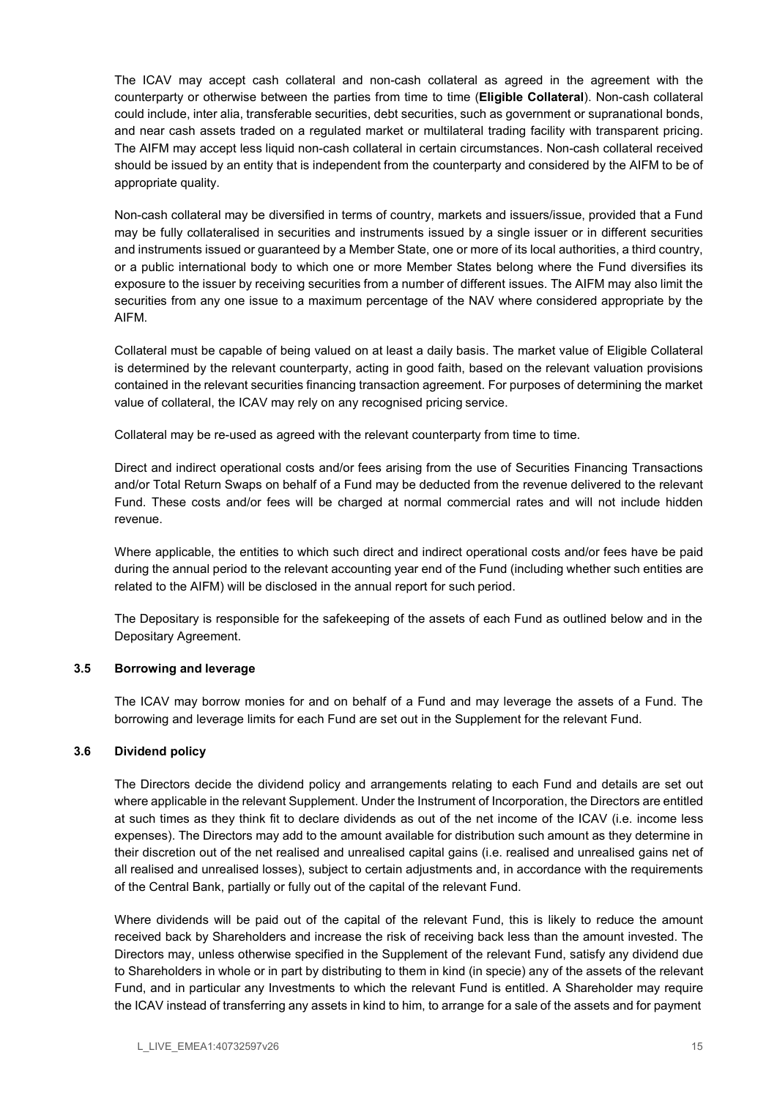The ICAV may accept cash collateral and non-cash collateral as agreed in the agreement with the counterparty or otherwise between the parties from time to time (Eligible Collateral). Non-cash collateral could include, inter alia, transferable securities, debt securities, such as government or supranational bonds, and near cash assets traded on a regulated market or multilateral trading facility with transparent pricing. The AIFM may accept less liquid non-cash collateral in certain circumstances. Non-cash collateral received should be issued by an entity that is independent from the counterparty and considered by the AIFM to be of appropriate quality.

Non-cash collateral may be diversified in terms of country, markets and issuers/issue, provided that a Fund may be fully collateralised in securities and instruments issued by a single issuer or in different securities and instruments issued or guaranteed by a Member State, one or more of its local authorities, a third country, or a public international body to which one or more Member States belong where the Fund diversifies its exposure to the issuer by receiving securities from a number of different issues. The AIFM may also limit the securities from any one issue to a maximum percentage of the NAV where considered appropriate by the AIFM.

Collateral must be capable of being valued on at least a daily basis. The market value of Eligible Collateral is determined by the relevant counterparty, acting in good faith, based on the relevant valuation provisions contained in the relevant securities financing transaction agreement. For purposes of determining the market value of collateral, the ICAV may rely on any recognised pricing service.

Collateral may be re-used as agreed with the relevant counterparty from time to time.

Direct and indirect operational costs and/or fees arising from the use of Securities Financing Transactions and/or Total Return Swaps on behalf of a Fund may be deducted from the revenue delivered to the relevant Fund. These costs and/or fees will be charged at normal commercial rates and will not include hidden revenue.

Where applicable, the entities to which such direct and indirect operational costs and/or fees have be paid during the annual period to the relevant accounting year end of the Fund (including whether such entities are related to the AIFM) will be disclosed in the annual report for such period.

The Depositary is responsible for the safekeeping of the assets of each Fund as outlined below and in the Depositary Agreement.

## 3.5 Borrowing and leverage

The ICAV may borrow monies for and on behalf of a Fund and may leverage the assets of a Fund. The borrowing and leverage limits for each Fund are set out in the Supplement for the relevant Fund.

## 3.6 Dividend policy

The Directors decide the dividend policy and arrangements relating to each Fund and details are set out where applicable in the relevant Supplement. Under the Instrument of Incorporation, the Directors are entitled at such times as they think fit to declare dividends as out of the net income of the ICAV (i.e. income less expenses). The Directors may add to the amount available for distribution such amount as they determine in their discretion out of the net realised and unrealised capital gains (i.e. realised and unrealised gains net of all realised and unrealised losses), subject to certain adjustments and, in accordance with the requirements of the Central Bank, partially or fully out of the capital of the relevant Fund.

Where dividends will be paid out of the capital of the relevant Fund, this is likely to reduce the amount received back by Shareholders and increase the risk of receiving back less than the amount invested. The Directors may, unless otherwise specified in the Supplement of the relevant Fund, satisfy any dividend due to Shareholders in whole or in part by distributing to them in kind (in specie) any of the assets of the relevant Fund, and in particular any Investments to which the relevant Fund is entitled. A Shareholder may require the ICAV instead of transferring any assets in kind to him, to arrange for a sale of the assets and for payment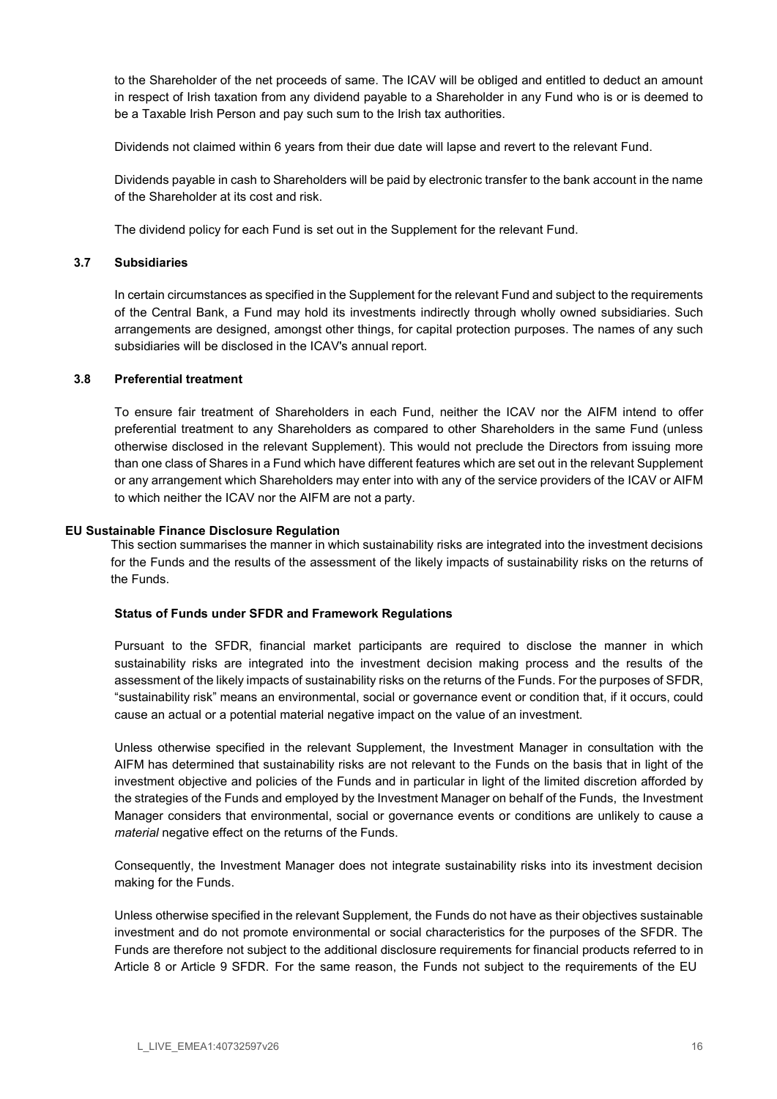to the Shareholder of the net proceeds of same. The ICAV will be obliged and entitled to deduct an amount in respect of Irish taxation from any dividend payable to a Shareholder in any Fund who is or is deemed to be a Taxable Irish Person and pay such sum to the Irish tax authorities.

Dividends not claimed within 6 years from their due date will lapse and revert to the relevant Fund.

Dividends payable in cash to Shareholders will be paid by electronic transfer to the bank account in the name of the Shareholder at its cost and risk.

The dividend policy for each Fund is set out in the Supplement for the relevant Fund.

#### 3.7 Subsidiaries

In certain circumstances as specified in the Supplement for the relevant Fund and subject to the requirements of the Central Bank, a Fund may hold its investments indirectly through wholly owned subsidiaries. Such arrangements are designed, amongst other things, for capital protection purposes. The names of any such subsidiaries will be disclosed in the ICAV's annual report.

#### 3.8 Preferential treatment

To ensure fair treatment of Shareholders in each Fund, neither the ICAV nor the AIFM intend to offer preferential treatment to any Shareholders as compared to other Shareholders in the same Fund (unless otherwise disclosed in the relevant Supplement). This would not preclude the Directors from issuing more than one class of Shares in a Fund which have different features which are set out in the relevant Supplement or any arrangement which Shareholders may enter into with any of the service providers of the ICAV or AIFM to which neither the ICAV nor the AIFM are not a party.

#### EU Sustainable Finance Disclosure Regulation

This section summarises the manner in which sustainability risks are integrated into the investment decisions for the Funds and the results of the assessment of the likely impacts of sustainability risks on the returns of the Funds.

## Status of Funds under SFDR and Framework Regulations

Pursuant to the SFDR, financial market participants are required to disclose the manner in which sustainability risks are integrated into the investment decision making process and the results of the assessment of the likely impacts of sustainability risks on the returns of the Funds. For the purposes of SFDR, "sustainability risk" means an environmental, social or governance event or condition that, if it occurs, could cause an actual or a potential material negative impact on the value of an investment.

Unless otherwise specified in the relevant Supplement, the Investment Manager in consultation with the AIFM has determined that sustainability risks are not relevant to the Funds on the basis that in light of the investment objective and policies of the Funds and in particular in light of the limited discretion afforded by the strategies of the Funds and employed by the Investment Manager on behalf of the Funds, the Investment Manager considers that environmental, social or governance events or conditions are unlikely to cause a material negative effect on the returns of the Funds.

Consequently, the Investment Manager does not integrate sustainability risks into its investment decision making for the Funds.

Unless otherwise specified in the relevant Supplement, the Funds do not have as their objectives sustainable investment and do not promote environmental or social characteristics for the purposes of the SFDR. The Funds are therefore not subject to the additional disclosure requirements for financial products referred to in Article 8 or Article 9 SFDR. For the same reason, the Funds not subject to the requirements of the EU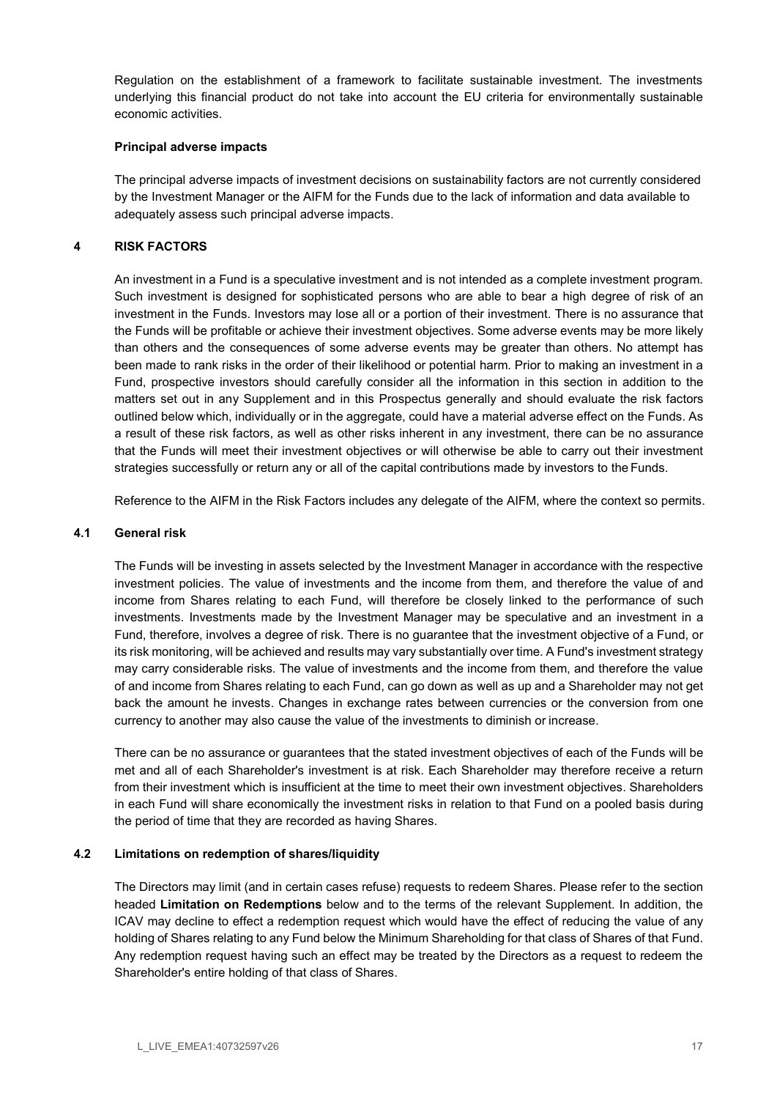Regulation on the establishment of a framework to facilitate sustainable investment. The investments underlying this financial product do not take into account the EU criteria for environmentally sustainable economic activities.

### Principal adverse impacts

The principal adverse impacts of investment decisions on sustainability factors are not currently considered by the Investment Manager or the AIFM for the Funds due to the lack of information and data available to adequately assess such principal adverse impacts.

## 4 RISK FACTORS

An investment in a Fund is a speculative investment and is not intended as a complete investment program. Such investment is designed for sophisticated persons who are able to bear a high degree of risk of an investment in the Funds. Investors may lose all or a portion of their investment. There is no assurance that the Funds will be profitable or achieve their investment objectives. Some adverse events may be more likely than others and the consequences of some adverse events may be greater than others. No attempt has been made to rank risks in the order of their likelihood or potential harm. Prior to making an investment in a Fund, prospective investors should carefully consider all the information in this section in addition to the matters set out in any Supplement and in this Prospectus generally and should evaluate the risk factors outlined below which, individually or in the aggregate, could have a material adverse effect on the Funds. As a result of these risk factors, as well as other risks inherent in any investment, there can be no assurance that the Funds will meet their investment objectives or will otherwise be able to carry out their investment strategies successfully or return any or all of the capital contributions made by investors to the Funds.

Reference to the AIFM in the Risk Factors includes any delegate of the AIFM, where the context so permits.

#### 4.1 General risk

The Funds will be investing in assets selected by the Investment Manager in accordance with the respective investment policies. The value of investments and the income from them, and therefore the value of and income from Shares relating to each Fund, will therefore be closely linked to the performance of such investments. Investments made by the Investment Manager may be speculative and an investment in a Fund, therefore, involves a degree of risk. There is no guarantee that the investment objective of a Fund, or its risk monitoring, will be achieved and results may vary substantially over time. A Fund's investment strategy may carry considerable risks. The value of investments and the income from them, and therefore the value of and income from Shares relating to each Fund, can go down as well as up and a Shareholder may not get back the amount he invests. Changes in exchange rates between currencies or the conversion from one currency to another may also cause the value of the investments to diminish or increase.

There can be no assurance or guarantees that the stated investment objectives of each of the Funds will be met and all of each Shareholder's investment is at risk. Each Shareholder may therefore receive a return from their investment which is insufficient at the time to meet their own investment objectives. Shareholders in each Fund will share economically the investment risks in relation to that Fund on a pooled basis during the period of time that they are recorded as having Shares.

#### 4.2 Limitations on redemption of shares/liquidity

The Directors may limit (and in certain cases refuse) requests to redeem Shares. Please refer to the section headed Limitation on Redemptions below and to the terms of the relevant Supplement. In addition, the ICAV may decline to effect a redemption request which would have the effect of reducing the value of any holding of Shares relating to any Fund below the Minimum Shareholding for that class of Shares of that Fund. Any redemption request having such an effect may be treated by the Directors as a request to redeem the Shareholder's entire holding of that class of Shares.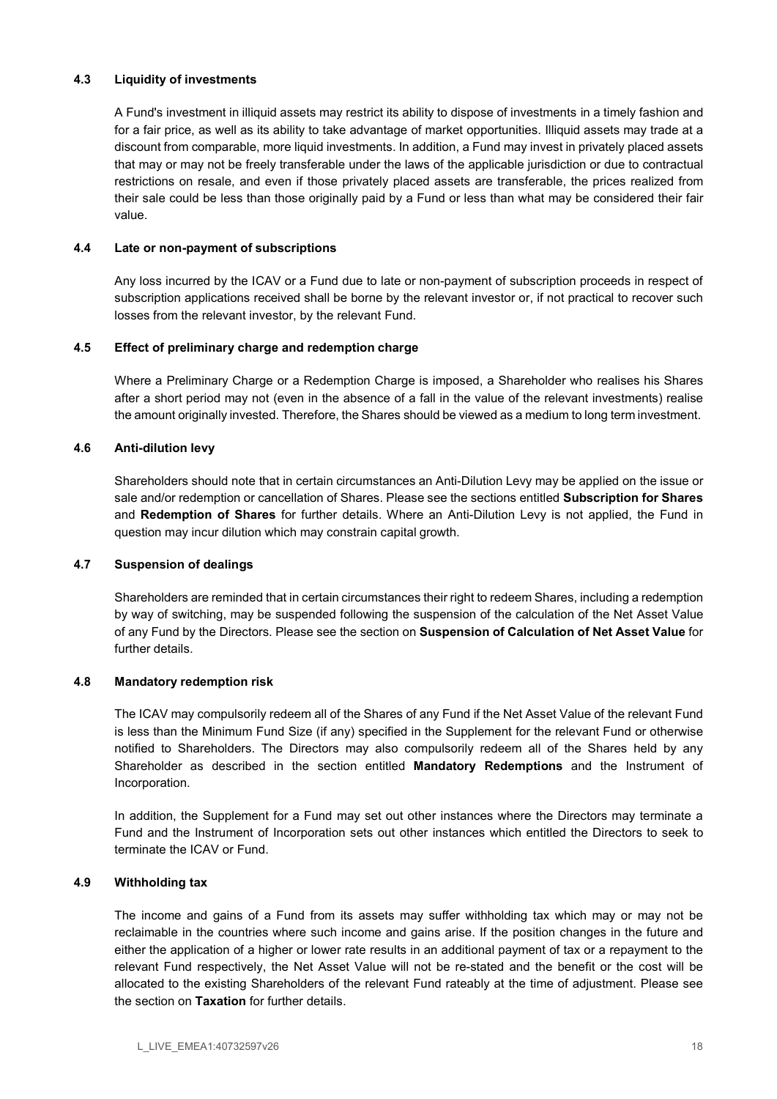## 4.3 Liquidity of investments

A Fund's investment in illiquid assets may restrict its ability to dispose of investments in a timely fashion and for a fair price, as well as its ability to take advantage of market opportunities. Illiquid assets may trade at a discount from comparable, more liquid investments. In addition, a Fund may invest in privately placed assets that may or may not be freely transferable under the laws of the applicable jurisdiction or due to contractual restrictions on resale, and even if those privately placed assets are transferable, the prices realized from their sale could be less than those originally paid by a Fund or less than what may be considered their fair value.

### 4.4 Late or non-payment of subscriptions

Any loss incurred by the ICAV or a Fund due to late or non-payment of subscription proceeds in respect of subscription applications received shall be borne by the relevant investor or, if not practical to recover such losses from the relevant investor, by the relevant Fund.

## 4.5 Effect of preliminary charge and redemption charge

Where a Preliminary Charge or a Redemption Charge is imposed, a Shareholder who realises his Shares after a short period may not (even in the absence of a fall in the value of the relevant investments) realise the amount originally invested. Therefore, the Shares should be viewed as a medium to long term investment.

## 4.6 Anti-dilution levy

Shareholders should note that in certain circumstances an Anti-Dilution Levy may be applied on the issue or sale and/or redemption or cancellation of Shares. Please see the sections entitled **Subscription for Shares** and Redemption of Shares for further details. Where an Anti-Dilution Levy is not applied, the Fund in question may incur dilution which may constrain capital growth.

#### 4.7 Suspension of dealings

Shareholders are reminded that in certain circumstances their right to redeem Shares, including a redemption by way of switching, may be suspended following the suspension of the calculation of the Net Asset Value of any Fund by the Directors. Please see the section on Suspension of Calculation of Net Asset Value for further details.

#### 4.8 Mandatory redemption risk

The ICAV may compulsorily redeem all of the Shares of any Fund if the Net Asset Value of the relevant Fund is less than the Minimum Fund Size (if any) specified in the Supplement for the relevant Fund or otherwise notified to Shareholders. The Directors may also compulsorily redeem all of the Shares held by any Shareholder as described in the section entitled Mandatory Redemptions and the Instrument of Incorporation.

In addition, the Supplement for a Fund may set out other instances where the Directors may terminate a Fund and the Instrument of Incorporation sets out other instances which entitled the Directors to seek to terminate the ICAV or Fund.

## 4.9 Withholding tax

The income and gains of a Fund from its assets may suffer withholding tax which may or may not be reclaimable in the countries where such income and gains arise. If the position changes in the future and either the application of a higher or lower rate results in an additional payment of tax or a repayment to the relevant Fund respectively, the Net Asset Value will not be re-stated and the benefit or the cost will be allocated to the existing Shareholders of the relevant Fund rateably at the time of adjustment. Please see the section on Taxation for further details.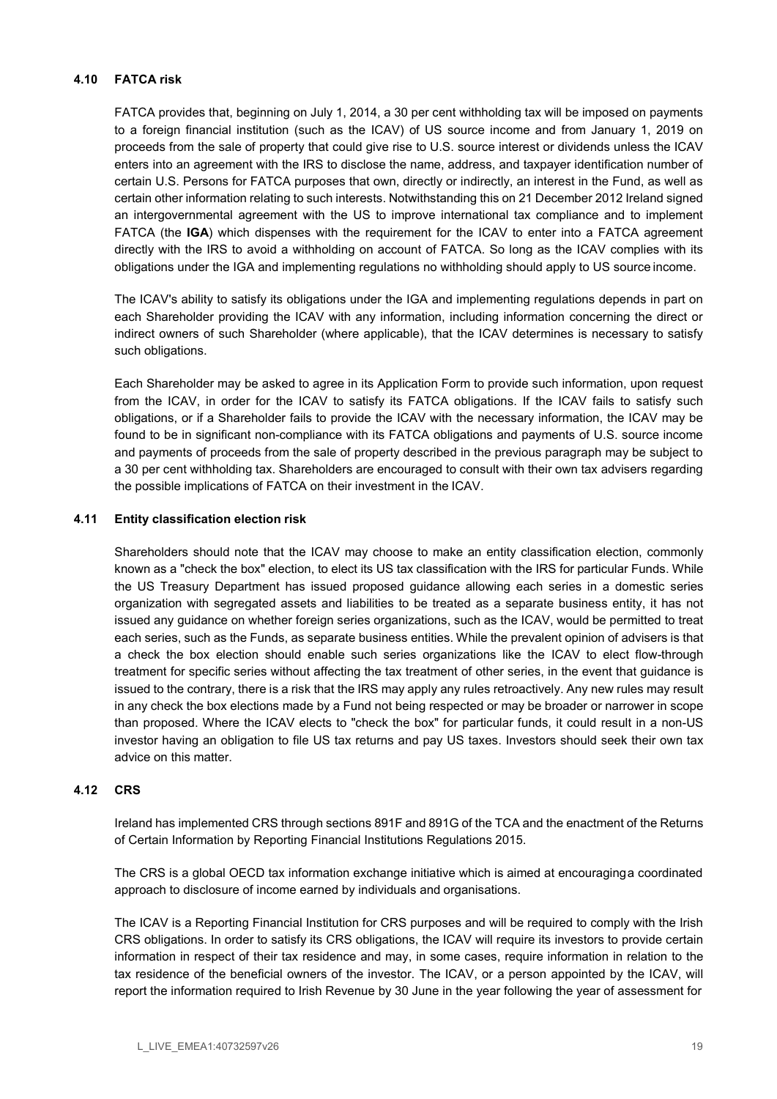## 4.10 FATCA risk

FATCA provides that, beginning on July 1, 2014, a 30 per cent withholding tax will be imposed on payments to a foreign financial institution (such as the ICAV) of US source income and from January 1, 2019 on proceeds from the sale of property that could give rise to U.S. source interest or dividends unless the ICAV enters into an agreement with the IRS to disclose the name, address, and taxpayer identification number of certain U.S. Persons for FATCA purposes that own, directly or indirectly, an interest in the Fund, as well as certain other information relating to such interests. Notwithstanding this on 21 December 2012 Ireland signed an intergovernmental agreement with the US to improve international tax compliance and to implement FATCA (the IGA) which dispenses with the requirement for the ICAV to enter into a FATCA agreement directly with the IRS to avoid a withholding on account of FATCA. So long as the ICAV complies with its obligations under the IGA and implementing regulations no withholding should apply to US source income.

The ICAV's ability to satisfy its obligations under the IGA and implementing regulations depends in part on each Shareholder providing the ICAV with any information, including information concerning the direct or indirect owners of such Shareholder (where applicable), that the ICAV determines is necessary to satisfy such obligations.

Each Shareholder may be asked to agree in its Application Form to provide such information, upon request from the ICAV, in order for the ICAV to satisfy its FATCA obligations. If the ICAV fails to satisfy such obligations, or if a Shareholder fails to provide the ICAV with the necessary information, the ICAV may be found to be in significant non-compliance with its FATCA obligations and payments of U.S. source income and payments of proceeds from the sale of property described in the previous paragraph may be subject to a 30 per cent withholding tax. Shareholders are encouraged to consult with their own tax advisers regarding the possible implications of FATCA on their investment in the ICAV.

#### 4.11 Entity classification election risk

Shareholders should note that the ICAV may choose to make an entity classification election, commonly known as a "check the box" election, to elect its US tax classification with the IRS for particular Funds. While the US Treasury Department has issued proposed guidance allowing each series in a domestic series organization with segregated assets and liabilities to be treated as a separate business entity, it has not issued any guidance on whether foreign series organizations, such as the ICAV, would be permitted to treat each series, such as the Funds, as separate business entities. While the prevalent opinion of advisers is that a check the box election should enable such series organizations like the ICAV to elect flow-through treatment for specific series without affecting the tax treatment of other series, in the event that guidance is issued to the contrary, there is a risk that the IRS may apply any rules retroactively. Any new rules may result in any check the box elections made by a Fund not being respected or may be broader or narrower in scope than proposed. Where the ICAV elects to "check the box" for particular funds, it could result in a non-US investor having an obligation to file US tax returns and pay US taxes. Investors should seek their own tax advice on this matter.

#### 4.12 CRS

Ireland has implemented CRS through sections 891F and 891G of the TCA and the enactment of the Returns of Certain Information by Reporting Financial Institutions Regulations 2015.

The CRS is a global OECD tax information exchange initiative which is aimed at encouraging a coordinated approach to disclosure of income earned by individuals and organisations.

The ICAV is a Reporting Financial Institution for CRS purposes and will be required to comply with the Irish CRS obligations. In order to satisfy its CRS obligations, the ICAV will require its investors to provide certain information in respect of their tax residence and may, in some cases, require information in relation to the tax residence of the beneficial owners of the investor. The ICAV, or a person appointed by the ICAV, will report the information required to Irish Revenue by 30 June in the year following the year of assessment for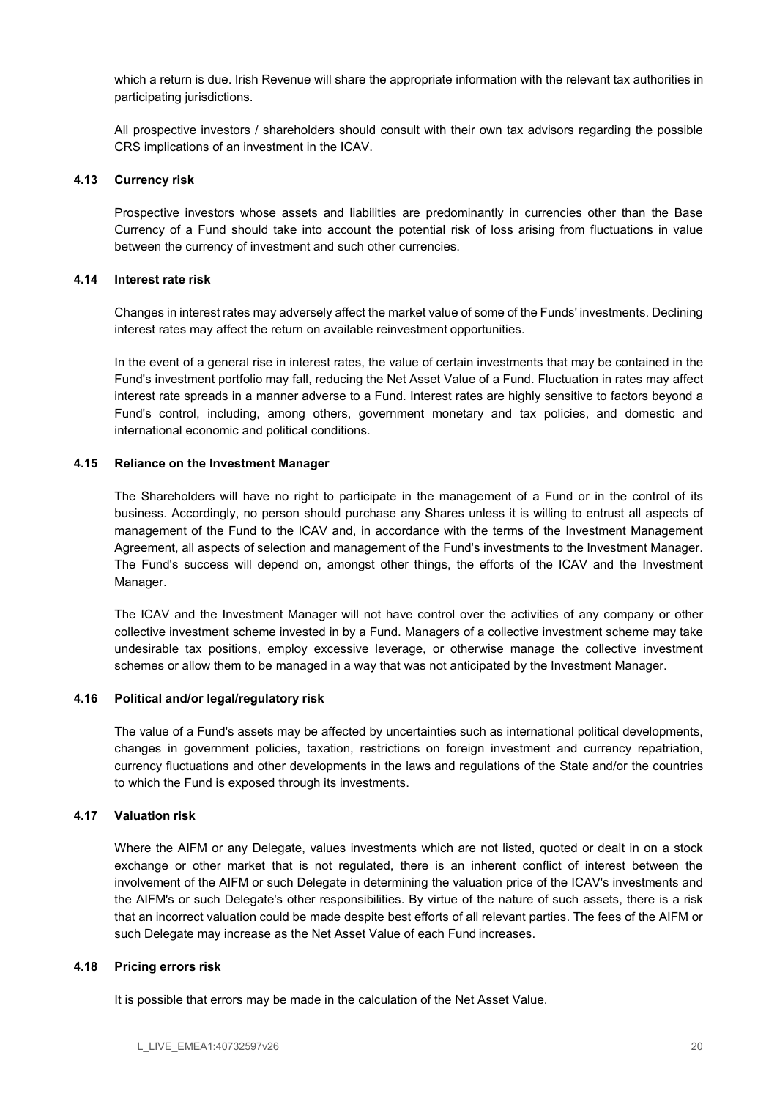which a return is due. Irish Revenue will share the appropriate information with the relevant tax authorities in participating jurisdictions.

All prospective investors / shareholders should consult with their own tax advisors regarding the possible CRS implications of an investment in the ICAV.

### 4.13 Currency risk

Prospective investors whose assets and liabilities are predominantly in currencies other than the Base Currency of a Fund should take into account the potential risk of loss arising from fluctuations in value between the currency of investment and such other currencies.

## 4.14 Interest rate risk

Changes in interest rates may adversely affect the market value of some of the Funds' investments. Declining interest rates may affect the return on available reinvestment opportunities.

In the event of a general rise in interest rates, the value of certain investments that may be contained in the Fund's investment portfolio may fall, reducing the Net Asset Value of a Fund. Fluctuation in rates may affect interest rate spreads in a manner adverse to a Fund. Interest rates are highly sensitive to factors beyond a Fund's control, including, among others, government monetary and tax policies, and domestic and international economic and political conditions.

## 4.15 Reliance on the Investment Manager

The Shareholders will have no right to participate in the management of a Fund or in the control of its business. Accordingly, no person should purchase any Shares unless it is willing to entrust all aspects of management of the Fund to the ICAV and, in accordance with the terms of the Investment Management Agreement, all aspects of selection and management of the Fund's investments to the Investment Manager. The Fund's success will depend on, amongst other things, the efforts of the ICAV and the Investment Manager.

The ICAV and the Investment Manager will not have control over the activities of any company or other collective investment scheme invested in by a Fund. Managers of a collective investment scheme may take undesirable tax positions, employ excessive leverage, or otherwise manage the collective investment schemes or allow them to be managed in a way that was not anticipated by the Investment Manager.

#### 4.16 Political and/or legal/regulatory risk

The value of a Fund's assets may be affected by uncertainties such as international political developments, changes in government policies, taxation, restrictions on foreign investment and currency repatriation, currency fluctuations and other developments in the laws and regulations of the State and/or the countries to which the Fund is exposed through its investments.

## 4.17 Valuation risk

Where the AIFM or any Delegate, values investments which are not listed, quoted or dealt in on a stock exchange or other market that is not regulated, there is an inherent conflict of interest between the involvement of the AIFM or such Delegate in determining the valuation price of the ICAV's investments and the AIFM's or such Delegate's other responsibilities. By virtue of the nature of such assets, there is a risk that an incorrect valuation could be made despite best efforts of all relevant parties. The fees of the AIFM or such Delegate may increase as the Net Asset Value of each Fund increases.

## 4.18 Pricing errors risk

It is possible that errors may be made in the calculation of the Net Asset Value.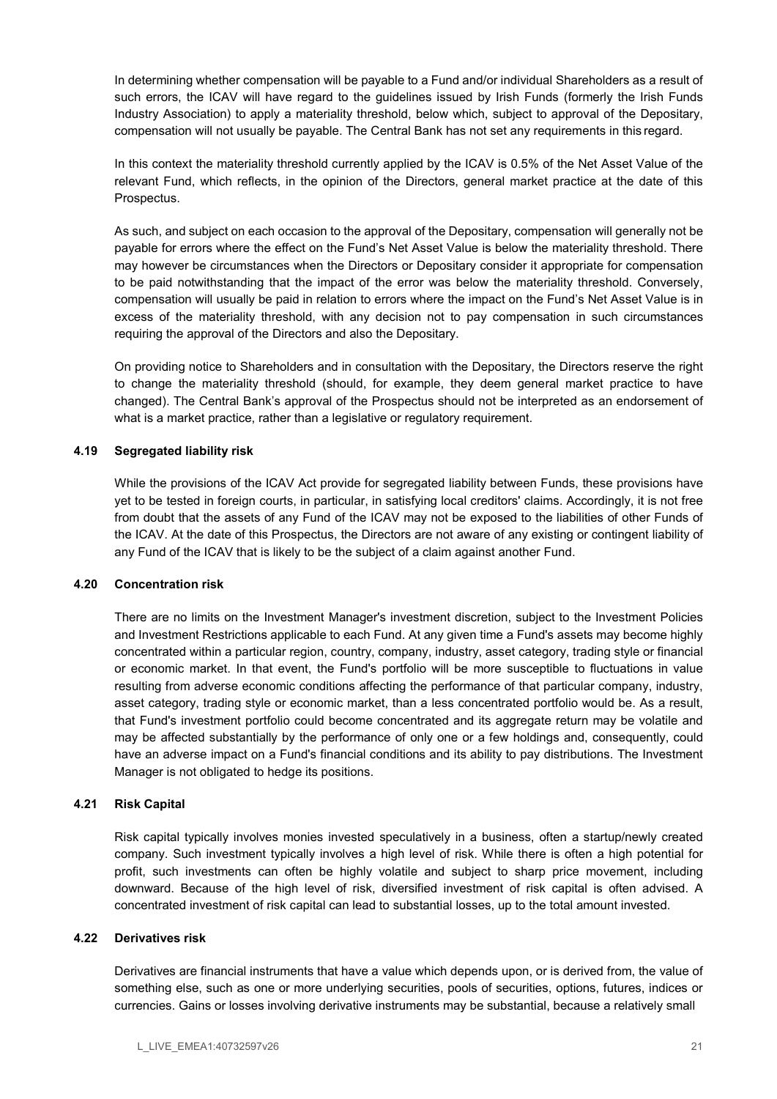In determining whether compensation will be payable to a Fund and/or individual Shareholders as a result of such errors, the ICAV will have regard to the guidelines issued by Irish Funds (formerly the Irish Funds Industry Association) to apply a materiality threshold, below which, subject to approval of the Depositary, compensation will not usually be payable. The Central Bank has not set any requirements in this regard.

In this context the materiality threshold currently applied by the ICAV is 0.5% of the Net Asset Value of the relevant Fund, which reflects, in the opinion of the Directors, general market practice at the date of this Prospectus.

As such, and subject on each occasion to the approval of the Depositary, compensation will generally not be payable for errors where the effect on the Fund's Net Asset Value is below the materiality threshold. There may however be circumstances when the Directors or Depositary consider it appropriate for compensation to be paid notwithstanding that the impact of the error was below the materiality threshold. Conversely, compensation will usually be paid in relation to errors where the impact on the Fund's Net Asset Value is in excess of the materiality threshold, with any decision not to pay compensation in such circumstances requiring the approval of the Directors and also the Depositary.

On providing notice to Shareholders and in consultation with the Depositary, the Directors reserve the right to change the materiality threshold (should, for example, they deem general market practice to have changed). The Central Bank's approval of the Prospectus should not be interpreted as an endorsement of what is a market practice, rather than a legislative or regulatory requirement.

## 4.19 Segregated liability risk

While the provisions of the ICAV Act provide for segregated liability between Funds, these provisions have yet to be tested in foreign courts, in particular, in satisfying local creditors' claims. Accordingly, it is not free from doubt that the assets of any Fund of the ICAV may not be exposed to the liabilities of other Funds of the ICAV. At the date of this Prospectus, the Directors are not aware of any existing or contingent liability of any Fund of the ICAV that is likely to be the subject of a claim against another Fund.

#### 4.20 Concentration risk

There are no limits on the Investment Manager's investment discretion, subject to the Investment Policies and Investment Restrictions applicable to each Fund. At any given time a Fund's assets may become highly concentrated within a particular region, country, company, industry, asset category, trading style or financial or economic market. In that event, the Fund's portfolio will be more susceptible to fluctuations in value resulting from adverse economic conditions affecting the performance of that particular company, industry, asset category, trading style or economic market, than a less concentrated portfolio would be. As a result, that Fund's investment portfolio could become concentrated and its aggregate return may be volatile and may be affected substantially by the performance of only one or a few holdings and, consequently, could have an adverse impact on a Fund's financial conditions and its ability to pay distributions. The Investment Manager is not obligated to hedge its positions.

#### 4.21 Risk Capital

Risk capital typically involves monies invested speculatively in a business, often a startup/newly created company. Such investment typically involves a high level of risk. While there is often a high potential for profit, such investments can often be highly volatile and subject to sharp price movement, including downward. Because of the high level of risk, diversified investment of risk capital is often advised. A concentrated investment of risk capital can lead to substantial losses, up to the total amount invested.

#### 4.22 Derivatives risk

Derivatives are financial instruments that have a value which depends upon, or is derived from, the value of something else, such as one or more underlying securities, pools of securities, options, futures, indices or currencies. Gains or losses involving derivative instruments may be substantial, because a relatively small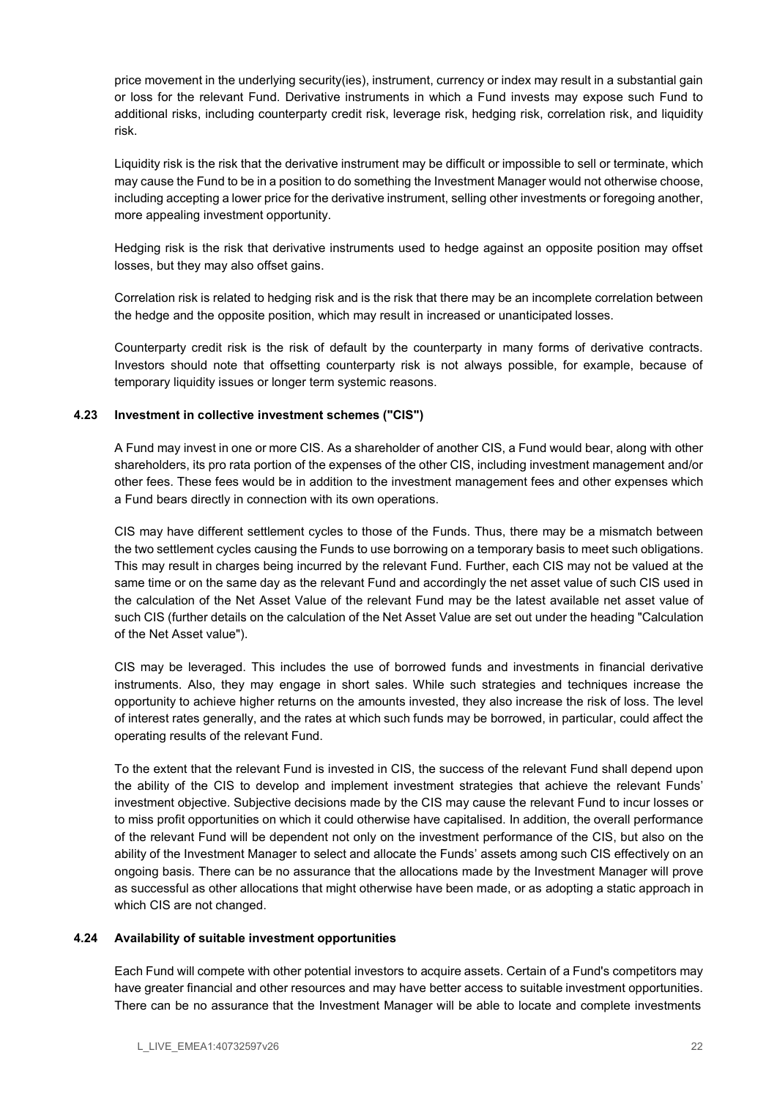price movement in the underlying security(ies), instrument, currency or index may result in a substantial gain or loss for the relevant Fund. Derivative instruments in which a Fund invests may expose such Fund to additional risks, including counterparty credit risk, leverage risk, hedging risk, correlation risk, and liquidity risk.

Liquidity risk is the risk that the derivative instrument may be difficult or impossible to sell or terminate, which may cause the Fund to be in a position to do something the Investment Manager would not otherwise choose, including accepting a lower price for the derivative instrument, selling other investments or foregoing another, more appealing investment opportunity.

Hedging risk is the risk that derivative instruments used to hedge against an opposite position may offset losses, but they may also offset gains.

Correlation risk is related to hedging risk and is the risk that there may be an incomplete correlation between the hedge and the opposite position, which may result in increased or unanticipated losses.

Counterparty credit risk is the risk of default by the counterparty in many forms of derivative contracts. Investors should note that offsetting counterparty risk is not always possible, for example, because of temporary liquidity issues or longer term systemic reasons.

## 4.23 Investment in collective investment schemes ("CIS")

A Fund may invest in one or more CIS. As a shareholder of another CIS, a Fund would bear, along with other shareholders, its pro rata portion of the expenses of the other CIS, including investment management and/or other fees. These fees would be in addition to the investment management fees and other expenses which a Fund bears directly in connection with its own operations.

CIS may have different settlement cycles to those of the Funds. Thus, there may be a mismatch between the two settlement cycles causing the Funds to use borrowing on a temporary basis to meet such obligations. This may result in charges being incurred by the relevant Fund. Further, each CIS may not be valued at the same time or on the same day as the relevant Fund and accordingly the net asset value of such CIS used in the calculation of the Net Asset Value of the relevant Fund may be the latest available net asset value of such CIS (further details on the calculation of the Net Asset Value are set out under the heading "Calculation of the Net Asset value").

CIS may be leveraged. This includes the use of borrowed funds and investments in financial derivative instruments. Also, they may engage in short sales. While such strategies and techniques increase the opportunity to achieve higher returns on the amounts invested, they also increase the risk of loss. The level of interest rates generally, and the rates at which such funds may be borrowed, in particular, could affect the operating results of the relevant Fund.

To the extent that the relevant Fund is invested in CIS, the success of the relevant Fund shall depend upon the ability of the CIS to develop and implement investment strategies that achieve the relevant Funds' investment objective. Subjective decisions made by the CIS may cause the relevant Fund to incur losses or to miss profit opportunities on which it could otherwise have capitalised. In addition, the overall performance of the relevant Fund will be dependent not only on the investment performance of the CIS, but also on the ability of the Investment Manager to select and allocate the Funds' assets among such CIS effectively on an ongoing basis. There can be no assurance that the allocations made by the Investment Manager will prove as successful as other allocations that might otherwise have been made, or as adopting a static approach in which CIS are not changed.

## 4.24 Availability of suitable investment opportunities

Each Fund will compete with other potential investors to acquire assets. Certain of a Fund's competitors may have greater financial and other resources and may have better access to suitable investment opportunities. There can be no assurance that the Investment Manager will be able to locate and complete investments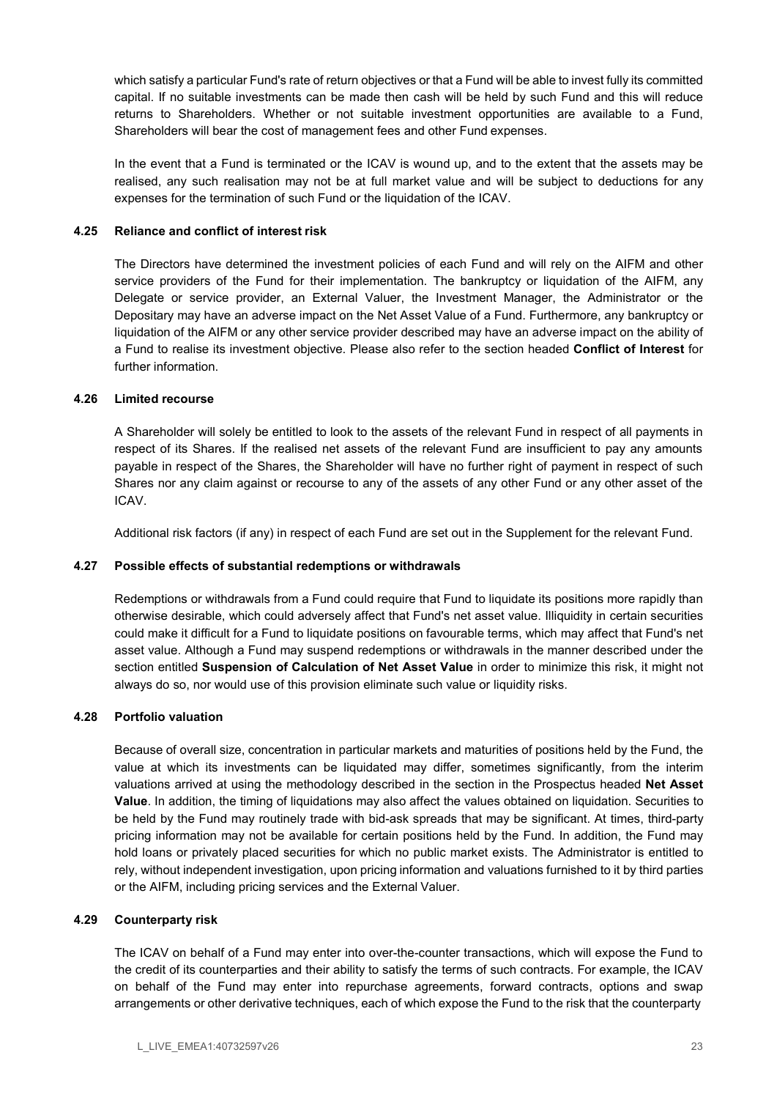which satisfy a particular Fund's rate of return objectives or that a Fund will be able to invest fully its committed capital. If no suitable investments can be made then cash will be held by such Fund and this will reduce returns to Shareholders. Whether or not suitable investment opportunities are available to a Fund, Shareholders will bear the cost of management fees and other Fund expenses.

In the event that a Fund is terminated or the ICAV is wound up, and to the extent that the assets may be realised, any such realisation may not be at full market value and will be subject to deductions for any expenses for the termination of such Fund or the liquidation of the ICAV.

### 4.25 Reliance and conflict of interest risk

The Directors have determined the investment policies of each Fund and will rely on the AIFM and other service providers of the Fund for their implementation. The bankruptcy or liquidation of the AIFM, any Delegate or service provider, an External Valuer, the Investment Manager, the Administrator or the Depositary may have an adverse impact on the Net Asset Value of a Fund. Furthermore, any bankruptcy or liquidation of the AIFM or any other service provider described may have an adverse impact on the ability of a Fund to realise its investment objective. Please also refer to the section headed Conflict of Interest for further information.

## 4.26 Limited recourse

A Shareholder will solely be entitled to look to the assets of the relevant Fund in respect of all payments in respect of its Shares. If the realised net assets of the relevant Fund are insufficient to pay any amounts payable in respect of the Shares, the Shareholder will have no further right of payment in respect of such Shares nor any claim against or recourse to any of the assets of any other Fund or any other asset of the ICAV.

Additional risk factors (if any) in respect of each Fund are set out in the Supplement for the relevant Fund.

## 4.27 Possible effects of substantial redemptions or withdrawals

Redemptions or withdrawals from a Fund could require that Fund to liquidate its positions more rapidly than otherwise desirable, which could adversely affect that Fund's net asset value. Illiquidity in certain securities could make it difficult for a Fund to liquidate positions on favourable terms, which may affect that Fund's net asset value. Although a Fund may suspend redemptions or withdrawals in the manner described under the section entitled Suspension of Calculation of Net Asset Value in order to minimize this risk, it might not always do so, nor would use of this provision eliminate such value or liquidity risks.

#### 4.28 Portfolio valuation

Because of overall size, concentration in particular markets and maturities of positions held by the Fund, the value at which its investments can be liquidated may differ, sometimes significantly, from the interim valuations arrived at using the methodology described in the section in the Prospectus headed Net Asset Value. In addition, the timing of liquidations may also affect the values obtained on liquidation. Securities to be held by the Fund may routinely trade with bid-ask spreads that may be significant. At times, third-party pricing information may not be available for certain positions held by the Fund. In addition, the Fund may hold loans or privately placed securities for which no public market exists. The Administrator is entitled to rely, without independent investigation, upon pricing information and valuations furnished to it by third parties or the AIFM, including pricing services and the External Valuer.

#### 4.29 Counterparty risk

The ICAV on behalf of a Fund may enter into over-the-counter transactions, which will expose the Fund to the credit of its counterparties and their ability to satisfy the terms of such contracts. For example, the ICAV on behalf of the Fund may enter into repurchase agreements, forward contracts, options and swap arrangements or other derivative techniques, each of which expose the Fund to the risk that the counterparty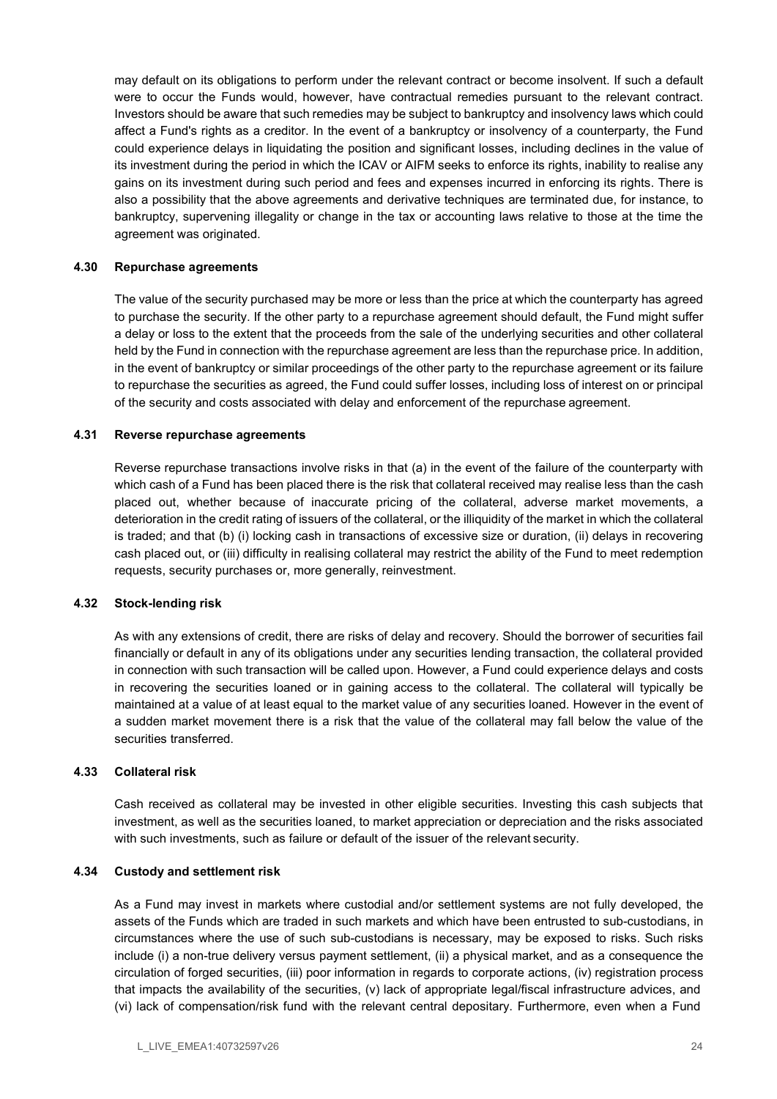may default on its obligations to perform under the relevant contract or become insolvent. If such a default were to occur the Funds would, however, have contractual remedies pursuant to the relevant contract. Investors should be aware that such remedies may be subject to bankruptcy and insolvency laws which could affect a Fund's rights as a creditor. In the event of a bankruptcy or insolvency of a counterparty, the Fund could experience delays in liquidating the position and significant losses, including declines in the value of its investment during the period in which the ICAV or AIFM seeks to enforce its rights, inability to realise any gains on its investment during such period and fees and expenses incurred in enforcing its rights. There is also a possibility that the above agreements and derivative techniques are terminated due, for instance, to bankruptcy, supervening illegality or change in the tax or accounting laws relative to those at the time the agreement was originated.

#### 4.30 Repurchase agreements

The value of the security purchased may be more or less than the price at which the counterparty has agreed to purchase the security. If the other party to a repurchase agreement should default, the Fund might suffer a delay or loss to the extent that the proceeds from the sale of the underlying securities and other collateral held by the Fund in connection with the repurchase agreement are less than the repurchase price. In addition, in the event of bankruptcy or similar proceedings of the other party to the repurchase agreement or its failure to repurchase the securities as agreed, the Fund could suffer losses, including loss of interest on or principal of the security and costs associated with delay and enforcement of the repurchase agreement.

#### 4.31 Reverse repurchase agreements

Reverse repurchase transactions involve risks in that (a) in the event of the failure of the counterparty with which cash of a Fund has been placed there is the risk that collateral received may realise less than the cash placed out, whether because of inaccurate pricing of the collateral, adverse market movements, a deterioration in the credit rating of issuers of the collateral, or the illiquidity of the market in which the collateral is traded; and that (b) (i) locking cash in transactions of excessive size or duration, (ii) delays in recovering cash placed out, or (iii) difficulty in realising collateral may restrict the ability of the Fund to meet redemption requests, security purchases or, more generally, reinvestment.

#### 4.32 Stock-lending risk

As with any extensions of credit, there are risks of delay and recovery. Should the borrower of securities fail financially or default in any of its obligations under any securities lending transaction, the collateral provided in connection with such transaction will be called upon. However, a Fund could experience delays and costs in recovering the securities loaned or in gaining access to the collateral. The collateral will typically be maintained at a value of at least equal to the market value of any securities loaned. However in the event of a sudden market movement there is a risk that the value of the collateral may fall below the value of the securities transferred.

#### 4.33 Collateral risk

Cash received as collateral may be invested in other eligible securities. Investing this cash subjects that investment, as well as the securities loaned, to market appreciation or depreciation and the risks associated with such investments, such as failure or default of the issuer of the relevant security.

#### 4.34 Custody and settlement risk

As a Fund may invest in markets where custodial and/or settlement systems are not fully developed, the assets of the Funds which are traded in such markets and which have been entrusted to sub-custodians, in circumstances where the use of such sub-custodians is necessary, may be exposed to risks. Such risks include (i) a non-true delivery versus payment settlement, (ii) a physical market, and as a consequence the circulation of forged securities, (iii) poor information in regards to corporate actions, (iv) registration process that impacts the availability of the securities, (v) lack of appropriate legal/fiscal infrastructure advices, and (vi) lack of compensation/risk fund with the relevant central depositary. Furthermore, even when a Fund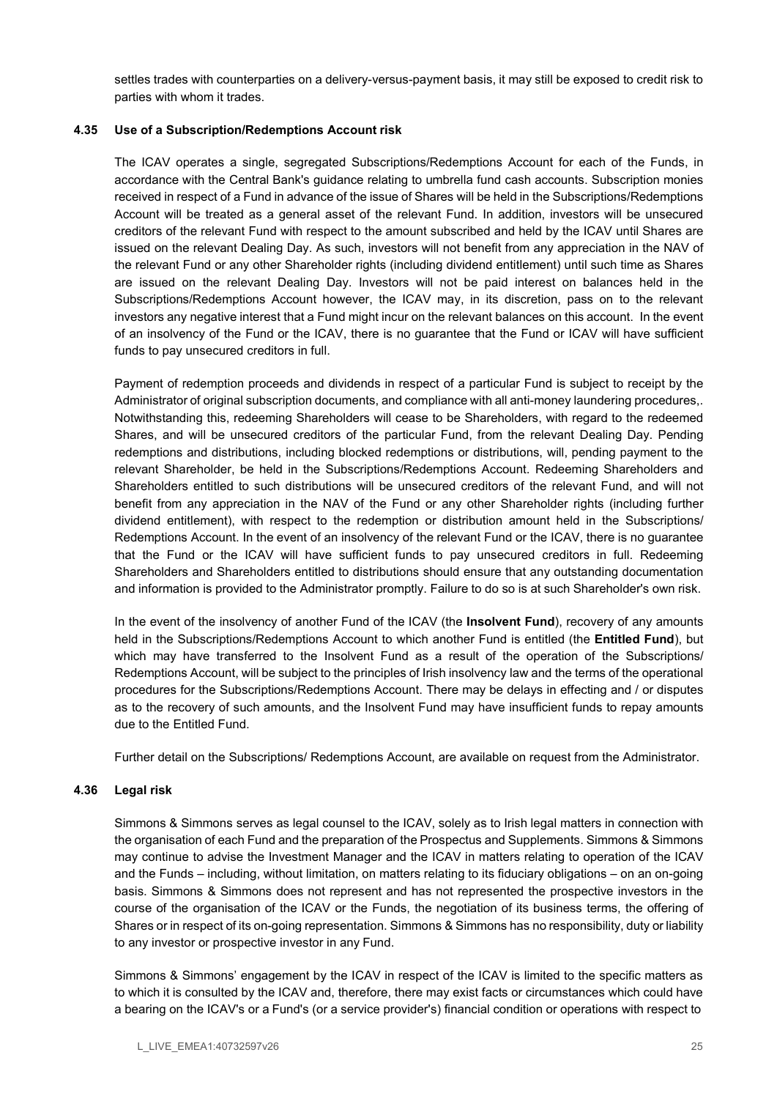settles trades with counterparties on a delivery-versus-payment basis, it may still be exposed to credit risk to parties with whom it trades.

## 4.35 Use of a Subscription/Redemptions Account risk

The ICAV operates a single, segregated Subscriptions/Redemptions Account for each of the Funds, in accordance with the Central Bank's guidance relating to umbrella fund cash accounts. Subscription monies received in respect of a Fund in advance of the issue of Shares will be held in the Subscriptions/Redemptions Account will be treated as a general asset of the relevant Fund. In addition, investors will be unsecured creditors of the relevant Fund with respect to the amount subscribed and held by the ICAV until Shares are issued on the relevant Dealing Day. As such, investors will not benefit from any appreciation in the NAV of the relevant Fund or any other Shareholder rights (including dividend entitlement) until such time as Shares are issued on the relevant Dealing Day. Investors will not be paid interest on balances held in the Subscriptions/Redemptions Account however, the ICAV may, in its discretion, pass on to the relevant investors any negative interest that a Fund might incur on the relevant balances on this account. In the event of an insolvency of the Fund or the ICAV, there is no guarantee that the Fund or ICAV will have sufficient funds to pay unsecured creditors in full.

Payment of redemption proceeds and dividends in respect of a particular Fund is subject to receipt by the Administrator of original subscription documents, and compliance with all anti-money laundering procedures,. Notwithstanding this, redeeming Shareholders will cease to be Shareholders, with regard to the redeemed Shares, and will be unsecured creditors of the particular Fund, from the relevant Dealing Day. Pending redemptions and distributions, including blocked redemptions or distributions, will, pending payment to the relevant Shareholder, be held in the Subscriptions/Redemptions Account. Redeeming Shareholders and Shareholders entitled to such distributions will be unsecured creditors of the relevant Fund, and will not benefit from any appreciation in the NAV of the Fund or any other Shareholder rights (including further dividend entitlement), with respect to the redemption or distribution amount held in the Subscriptions/ Redemptions Account. In the event of an insolvency of the relevant Fund or the ICAV, there is no guarantee that the Fund or the ICAV will have sufficient funds to pay unsecured creditors in full. Redeeming Shareholders and Shareholders entitled to distributions should ensure that any outstanding documentation and information is provided to the Administrator promptly. Failure to do so is at such Shareholder's own risk.

In the event of the insolvency of another Fund of the ICAV (the **Insolvent Fund**), recovery of any amounts held in the Subscriptions/Redemptions Account to which another Fund is entitled (the **Entitled Fund**), but which may have transferred to the Insolvent Fund as a result of the operation of the Subscriptions/ Redemptions Account, will be subject to the principles of Irish insolvency law and the terms of the operational procedures for the Subscriptions/Redemptions Account. There may be delays in effecting and / or disputes as to the recovery of such amounts, and the Insolvent Fund may have insufficient funds to repay amounts due to the Entitled Fund.

Further detail on the Subscriptions/ Redemptions Account, are available on request from the Administrator.

#### 4.36 Legal risk

Simmons & Simmons serves as legal counsel to the ICAV, solely as to Irish legal matters in connection with the organisation of each Fund and the preparation of the Prospectus and Supplements. Simmons & Simmons may continue to advise the Investment Manager and the ICAV in matters relating to operation of the ICAV and the Funds – including, without limitation, on matters relating to its fiduciary obligations – on an on-going basis. Simmons & Simmons does not represent and has not represented the prospective investors in the course of the organisation of the ICAV or the Funds, the negotiation of its business terms, the offering of Shares or in respect of its on-going representation. Simmons & Simmons has no responsibility, duty or liability to any investor or prospective investor in any Fund.

Simmons & Simmons' engagement by the ICAV in respect of the ICAV is limited to the specific matters as to which it is consulted by the ICAV and, therefore, there may exist facts or circumstances which could have a bearing on the ICAV's or a Fund's (or a service provider's) financial condition or operations with respect to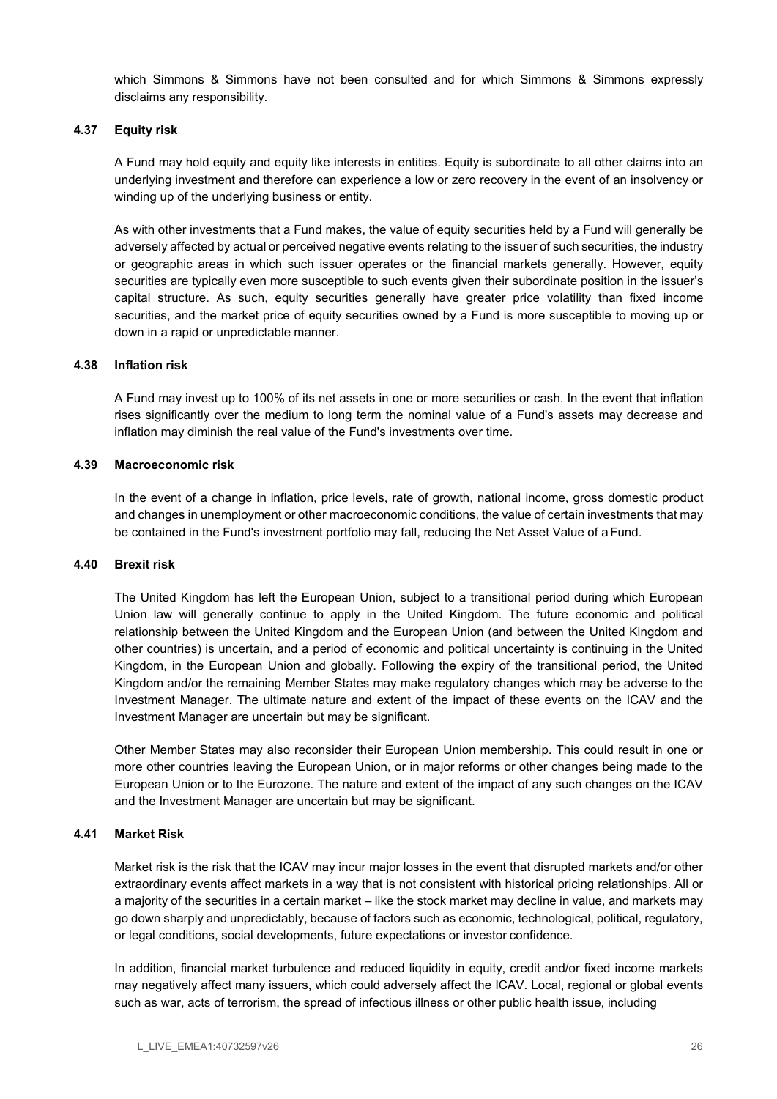which Simmons & Simmons have not been consulted and for which Simmons & Simmons expressly disclaims any responsibility.

## 4.37 Equity risk

A Fund may hold equity and equity like interests in entities. Equity is subordinate to all other claims into an underlying investment and therefore can experience a low or zero recovery in the event of an insolvency or winding up of the underlying business or entity.

As with other investments that a Fund makes, the value of equity securities held by a Fund will generally be adversely affected by actual or perceived negative events relating to the issuer of such securities, the industry or geographic areas in which such issuer operates or the financial markets generally. However, equity securities are typically even more susceptible to such events given their subordinate position in the issuer's capital structure. As such, equity securities generally have greater price volatility than fixed income securities, and the market price of equity securities owned by a Fund is more susceptible to moving up or down in a rapid or unpredictable manner.

#### 4.38 Inflation risk

A Fund may invest up to 100% of its net assets in one or more securities or cash. In the event that inflation rises significantly over the medium to long term the nominal value of a Fund's assets may decrease and inflation may diminish the real value of the Fund's investments over time.

#### 4.39 Macroeconomic risk

In the event of a change in inflation, price levels, rate of growth, national income, gross domestic product and changes in unemployment or other macroeconomic conditions, the value of certain investments that may be contained in the Fund's investment portfolio may fall, reducing the Net Asset Value of a Fund.

#### 4.40 Brexit risk

The United Kingdom has left the European Union, subject to a transitional period during which European Union law will generally continue to apply in the United Kingdom. The future economic and political relationship between the United Kingdom and the European Union (and between the United Kingdom and other countries) is uncertain, and a period of economic and political uncertainty is continuing in the United Kingdom, in the European Union and globally. Following the expiry of the transitional period, the United Kingdom and/or the remaining Member States may make regulatory changes which may be adverse to the Investment Manager. The ultimate nature and extent of the impact of these events on the ICAV and the Investment Manager are uncertain but may be significant.

Other Member States may also reconsider their European Union membership. This could result in one or more other countries leaving the European Union, or in major reforms or other changes being made to the European Union or to the Eurozone. The nature and extent of the impact of any such changes on the ICAV and the Investment Manager are uncertain but may be significant.

#### 4.41 Market Risk

Market risk is the risk that the ICAV may incur major losses in the event that disrupted markets and/or other extraordinary events affect markets in a way that is not consistent with historical pricing relationships. All or a majority of the securities in a certain market – like the stock market may decline in value, and markets may go down sharply and unpredictably, because of factors such as economic, technological, political, regulatory, or legal conditions, social developments, future expectations or investor confidence.

In addition, financial market turbulence and reduced liquidity in equity, credit and/or fixed income markets may negatively affect many issuers, which could adversely affect the ICAV. Local, regional or global events such as war, acts of terrorism, the spread of infectious illness or other public health issue, including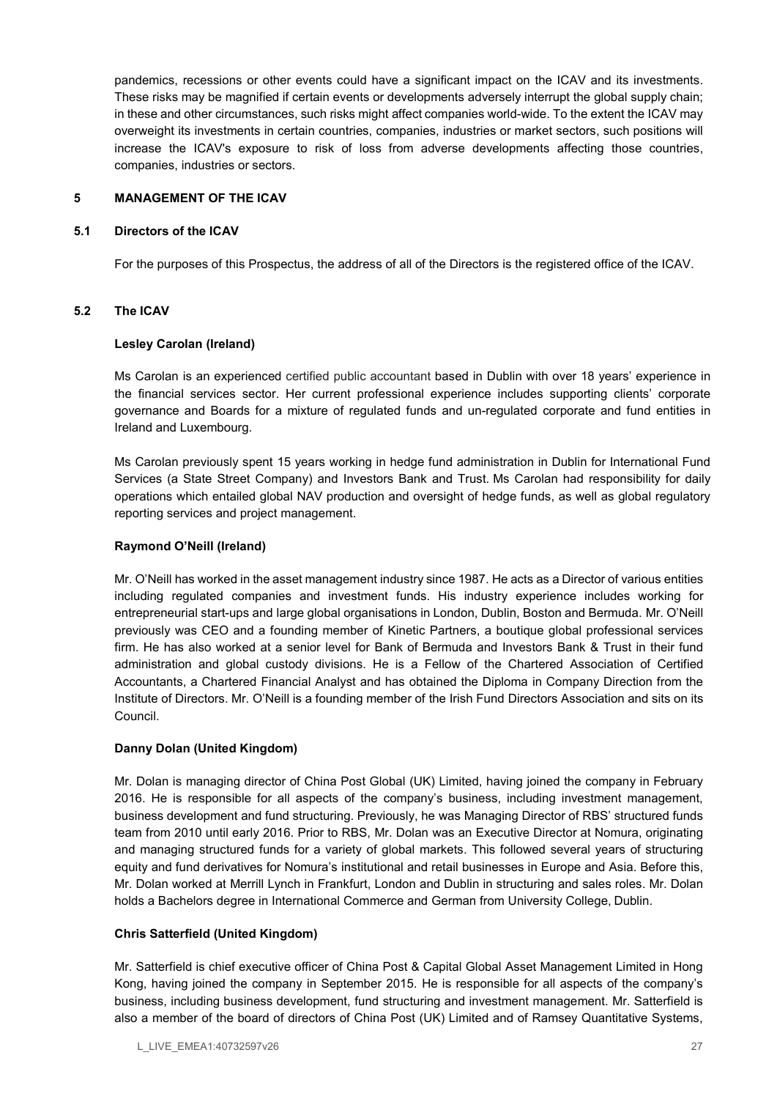pandemics, recessions or other events could have a significant impact on the ICAV and its investments. These risks may be magnified if certain events or developments adversely interrupt the global supply chain; in these and other circumstances, such risks might affect companies world-wide. To the extent the ICAV may overweight its investments in certain countries, companies, industries or market sectors, such positions will increase the ICAV's exposure to risk of loss from adverse developments affecting those countries, companies, industries or sectors.

## 5 MANAGEMENT OF THE ICAV

#### 5.1 Directors of the ICAV

For the purposes of this Prospectus, the address of all of the Directors is the registered office of the ICAV.

#### 5.2 The ICAV

#### Lesley Carolan (Ireland)

Ms Carolan is an experienced certified public accountant based in Dublin with over 18 years' experience in the financial services sector. Her current professional experience includes supporting clients' corporate governance and Boards for a mixture of regulated funds and un-regulated corporate and fund entities in Ireland and Luxembourg.

Ms Carolan previously spent 15 years working in hedge fund administration in Dublin for International Fund Services (a State Street Company) and Investors Bank and Trust. Ms Carolan had responsibility for daily operations which entailed global NAV production and oversight of hedge funds, as well as global regulatory reporting services and project management.

### Raymond O'Neill (Ireland)

Mr. O'Neill has worked in the asset management industry since 1987. He acts as a Director of various entities including regulated companies and investment funds. His industry experience includes working for entrepreneurial start-ups and large global organisations in London, Dublin, Boston and Bermuda. Mr. O'Neill previously was CEO and a founding member of Kinetic Partners, a boutique global professional services firm. He has also worked at a senior level for Bank of Bermuda and Investors Bank & Trust in their fund administration and global custody divisions. He is a Fellow of the Chartered Association of Certified Accountants, a Chartered Financial Analyst and has obtained the Diploma in Company Direction from the Institute of Directors. Mr. O'Neill is a founding member of the Irish Fund Directors Association and sits on its Council.

#### Danny Dolan (United Kingdom)

Mr. Dolan is managing director of China Post Global (UK) Limited, having joined the company in February 2016. He is responsible for all aspects of the company's business, including investment management, business development and fund structuring. Previously, he was Managing Director of RBS' structured funds team from 2010 until early 2016. Prior to RBS, Mr. Dolan was an Executive Director at Nomura, originating and managing structured funds for a variety of global markets. This followed several years of structuring equity and fund derivatives for Nomura's institutional and retail businesses in Europe and Asia. Before this, Mr. Dolan worked at Merrill Lynch in Frankfurt, London and Dublin in structuring and sales roles. Mr. Dolan holds a Bachelors degree in International Commerce and German from University College, Dublin.

## Chris Satterfield (United Kingdom)

Mr. Satterfield is chief executive officer of China Post & Capital Global Asset Management Limited in Hong Kong, having joined the company in September 2015. He is responsible for all aspects of the company's business, including business development, fund structuring and investment management. Mr. Satterfield is also a member of the board of directors of China Post (UK) Limited and of Ramsey Quantitative Systems,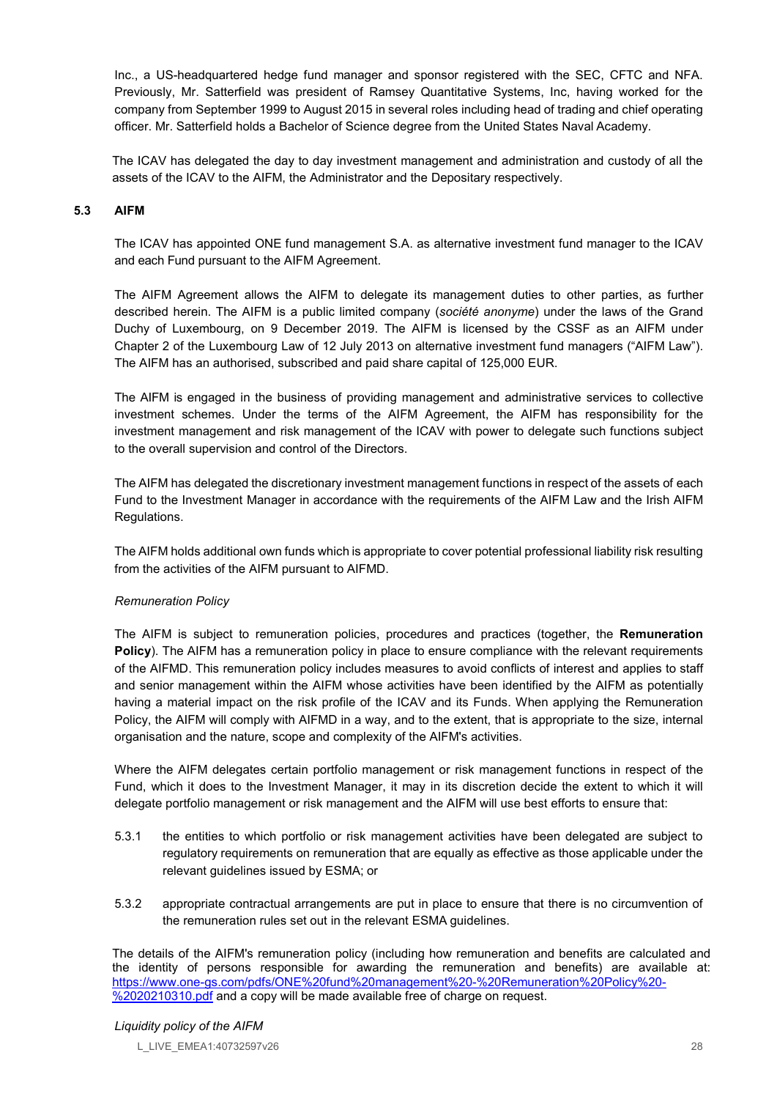Inc., a US-headquartered hedge fund manager and sponsor registered with the SEC, CFTC and NFA. Previously, Mr. Satterfield was president of Ramsey Quantitative Systems, Inc, having worked for the company from September 1999 to August 2015 in several roles including head of trading and chief operating officer. Mr. Satterfield holds a Bachelor of Science degree from the United States Naval Academy.

The ICAV has delegated the day to day investment management and administration and custody of all the assets of the ICAV to the AIFM, the Administrator and the Depositary respectively.

## 5.3 AIFM

The ICAV has appointed ONE fund management S.A. as alternative investment fund manager to the ICAV and each Fund pursuant to the AIFM Agreement.

The AIFM Agreement allows the AIFM to delegate its management duties to other parties, as further described herein. The AIFM is a public limited company (société anonyme) under the laws of the Grand Duchy of Luxembourg, on 9 December 2019. The AIFM is licensed by the CSSF as an AIFM under Chapter 2 of the Luxembourg Law of 12 July 2013 on alternative investment fund managers ("AIFM Law"). The AIFM has an authorised, subscribed and paid share capital of 125,000 EUR.

The AIFM is engaged in the business of providing management and administrative services to collective investment schemes. Under the terms of the AIFM Agreement, the AIFM has responsibility for the investment management and risk management of the ICAV with power to delegate such functions subject to the overall supervision and control of the Directors.

The AIFM has delegated the discretionary investment management functions in respect of the assets of each Fund to the Investment Manager in accordance with the requirements of the AIFM Law and the Irish AIFM Regulations.

The AIFM holds additional own funds which is appropriate to cover potential professional liability risk resulting from the activities of the AIFM pursuant to AIFMD.

#### Remuneration Policy

The AIFM is subject to remuneration policies, procedures and practices (together, the Remuneration Policy). The AIFM has a remuneration policy in place to ensure compliance with the relevant requirements of the AIFMD. This remuneration policy includes measures to avoid conflicts of interest and applies to staff and senior management within the AIFM whose activities have been identified by the AIFM as potentially having a material impact on the risk profile of the ICAV and its Funds. When applying the Remuneration Policy, the AIFM will comply with AIFMD in a way, and to the extent, that is appropriate to the size, internal organisation and the nature, scope and complexity of the AIFM's activities.

Where the AIFM delegates certain portfolio management or risk management functions in respect of the Fund, which it does to the Investment Manager, it may in its discretion decide the extent to which it will delegate portfolio management or risk management and the AIFM will use best efforts to ensure that:

- 5.3.1 the entities to which portfolio or risk management activities have been delegated are subject to regulatory requirements on remuneration that are equally as effective as those applicable under the relevant guidelines issued by ESMA; or
- 5.3.2 appropriate contractual arrangements are put in place to ensure that there is no circumvention of the remuneration rules set out in the relevant ESMA guidelines.

The details of the AIFM's remuneration policy (including how remuneration and benefits are calculated and the identity of persons responsible for awarding the remuneration and benefits) are available at: https://www.one-gs.com/pdfs/ONE%20fund%20management%20-%20Remuneration%20Policy%20- %2020210310.pdf and a copy will be made available free of charge on request.

#### Liquidity policy of the AIFM

L\_LIVE\_EMEA1:40732597v26 28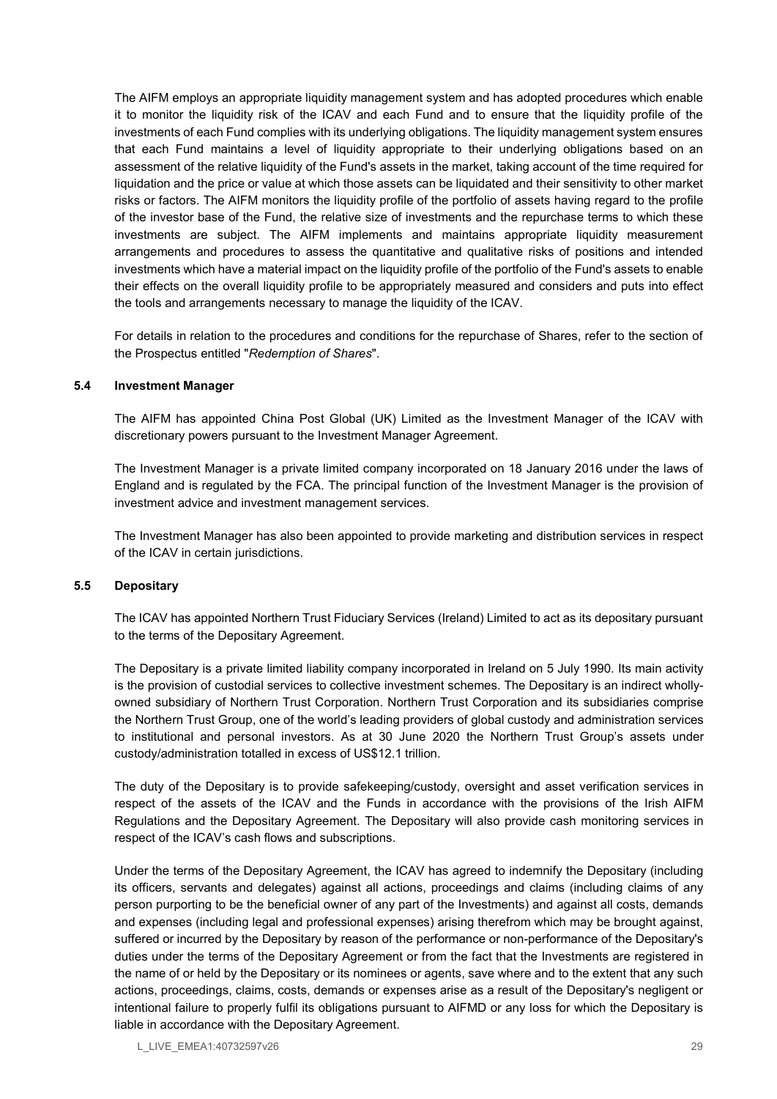The AIFM employs an appropriate liquidity management system and has adopted procedures which enable it to monitor the liquidity risk of the ICAV and each Fund and to ensure that the liquidity profile of the investments of each Fund complies with its underlying obligations. The liquidity management system ensures that each Fund maintains a level of liquidity appropriate to their underlying obligations based on an assessment of the relative liquidity of the Fund's assets in the market, taking account of the time required for liquidation and the price or value at which those assets can be liquidated and their sensitivity to other market risks or factors. The AIFM monitors the liquidity profile of the portfolio of assets having regard to the profile of the investor base of the Fund, the relative size of investments and the repurchase terms to which these investments are subject. The AIFM implements and maintains appropriate liquidity measurement arrangements and procedures to assess the quantitative and qualitative risks of positions and intended investments which have a material impact on the liquidity profile of the portfolio of the Fund's assets to enable their effects on the overall liquidity profile to be appropriately measured and considers and puts into effect the tools and arrangements necessary to manage the liquidity of the ICAV.

For details in relation to the procedures and conditions for the repurchase of Shares, refer to the section of the Prospectus entitled "Redemption of Shares".

#### 5.4 Investment Manager

The AIFM has appointed China Post Global (UK) Limited as the Investment Manager of the ICAV with discretionary powers pursuant to the Investment Manager Agreement.

The Investment Manager is a private limited company incorporated on 18 January 2016 under the laws of England and is regulated by the FCA. The principal function of the Investment Manager is the provision of investment advice and investment management services.

The Investment Manager has also been appointed to provide marketing and distribution services in respect of the ICAV in certain jurisdictions.

#### 5.5 Depositary

The ICAV has appointed Northern Trust Fiduciary Services (Ireland) Limited to act as its depositary pursuant to the terms of the Depositary Agreement.

The Depositary is a private limited liability company incorporated in Ireland on 5 July 1990. Its main activity is the provision of custodial services to collective investment schemes. The Depositary is an indirect whollyowned subsidiary of Northern Trust Corporation. Northern Trust Corporation and its subsidiaries comprise the Northern Trust Group, one of the world's leading providers of global custody and administration services to institutional and personal investors. As at 30 June 2020 the Northern Trust Group's assets under custody/administration totalled in excess of US\$12.1 trillion.

The duty of the Depositary is to provide safekeeping/custody, oversight and asset verification services in respect of the assets of the ICAV and the Funds in accordance with the provisions of the Irish AIFM Regulations and the Depositary Agreement. The Depositary will also provide cash monitoring services in respect of the ICAV's cash flows and subscriptions.

Under the terms of the Depositary Agreement, the ICAV has agreed to indemnify the Depositary (including its officers, servants and delegates) against all actions, proceedings and claims (including claims of any person purporting to be the beneficial owner of any part of the Investments) and against all costs, demands and expenses (including legal and professional expenses) arising therefrom which may be brought against, suffered or incurred by the Depositary by reason of the performance or non-performance of the Depositary's duties under the terms of the Depositary Agreement or from the fact that the Investments are registered in the name of or held by the Depositary or its nominees or agents, save where and to the extent that any such actions, proceedings, claims, costs, demands or expenses arise as a result of the Depositary's negligent or intentional failure to properly fulfil its obligations pursuant to AIFMD or any loss for which the Depositary is liable in accordance with the Depositary Agreement.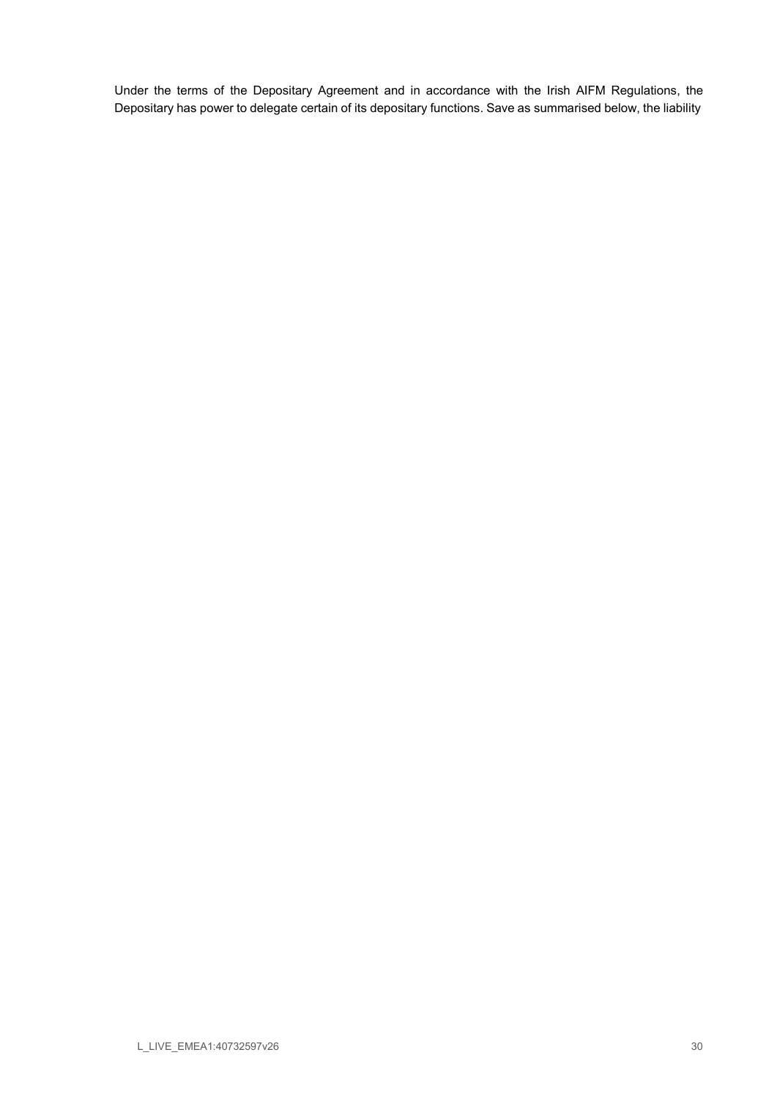Under the terms of the Depositary Agreement and in accordance with the Irish AIFM Regulations, the Depositary has power to delegate certain of its depositary functions. Save as summarised below, the liability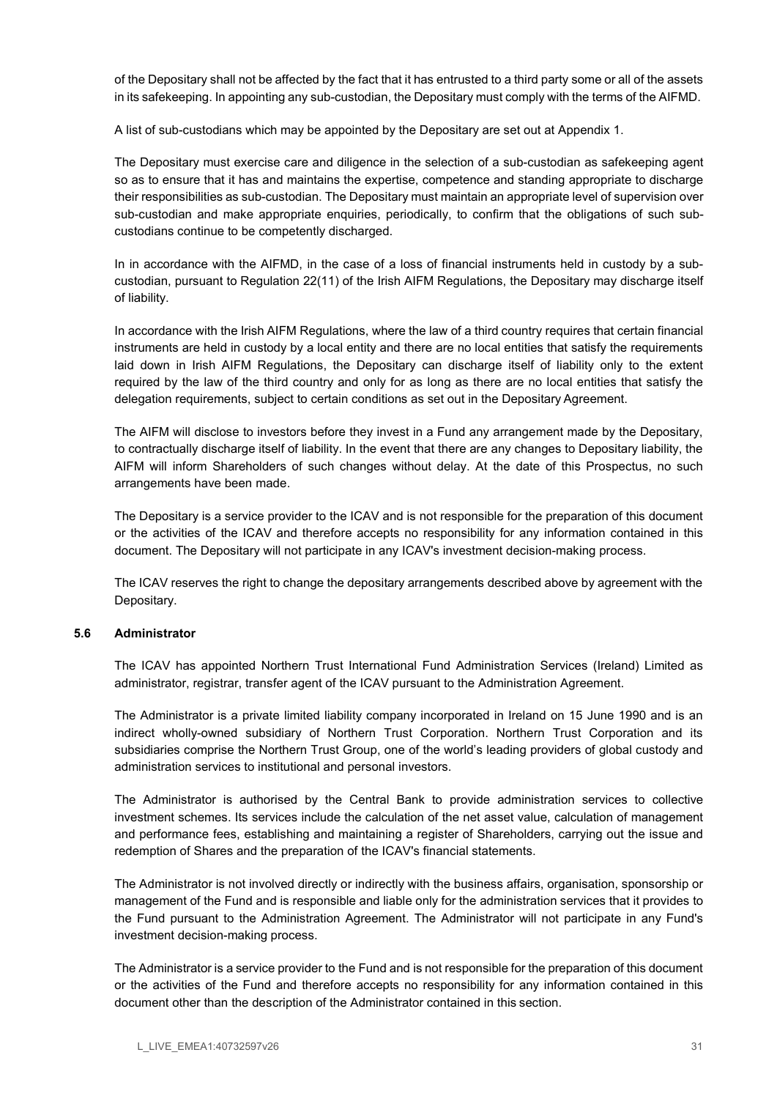of the Depositary shall not be affected by the fact that it has entrusted to a third party some or all of the assets in its safekeeping. In appointing any sub-custodian, the Depositary must comply with the terms of the AIFMD.

A list of sub-custodians which may be appointed by the Depositary are set out at Appendix 1.

The Depositary must exercise care and diligence in the selection of a sub-custodian as safekeeping agent so as to ensure that it has and maintains the expertise, competence and standing appropriate to discharge their responsibilities as sub-custodian. The Depositary must maintain an appropriate level of supervision over sub-custodian and make appropriate enquiries, periodically, to confirm that the obligations of such subcustodians continue to be competently discharged.

In in accordance with the AIFMD, in the case of a loss of financial instruments held in custody by a subcustodian, pursuant to Regulation 22(11) of the Irish AIFM Regulations, the Depositary may discharge itself of liability.

In accordance with the Irish AIFM Regulations, where the law of a third country requires that certain financial instruments are held in custody by a local entity and there are no local entities that satisfy the requirements laid down in Irish AIFM Regulations, the Depositary can discharge itself of liability only to the extent required by the law of the third country and only for as long as there are no local entities that satisfy the delegation requirements, subject to certain conditions as set out in the Depositary Agreement.

The AIFM will disclose to investors before they invest in a Fund any arrangement made by the Depositary, to contractually discharge itself of liability. In the event that there are any changes to Depositary liability, the AIFM will inform Shareholders of such changes without delay. At the date of this Prospectus, no such arrangements have been made.

The Depositary is a service provider to the ICAV and is not responsible for the preparation of this document or the activities of the ICAV and therefore accepts no responsibility for any information contained in this document. The Depositary will not participate in any ICAV's investment decision-making process.

The ICAV reserves the right to change the depositary arrangements described above by agreement with the Depositary.

#### 5.6 Administrator

The ICAV has appointed Northern Trust International Fund Administration Services (Ireland) Limited as administrator, registrar, transfer agent of the ICAV pursuant to the Administration Agreement.

The Administrator is a private limited liability company incorporated in Ireland on 15 June 1990 and is an indirect wholly-owned subsidiary of Northern Trust Corporation. Northern Trust Corporation and its subsidiaries comprise the Northern Trust Group, one of the world's leading providers of global custody and administration services to institutional and personal investors.

The Administrator is authorised by the Central Bank to provide administration services to collective investment schemes. Its services include the calculation of the net asset value, calculation of management and performance fees, establishing and maintaining a register of Shareholders, carrying out the issue and redemption of Shares and the preparation of the ICAV's financial statements.

The Administrator is not involved directly or indirectly with the business affairs, organisation, sponsorship or management of the Fund and is responsible and liable only for the administration services that it provides to the Fund pursuant to the Administration Agreement. The Administrator will not participate in any Fund's investment decision-making process.

The Administrator is a service provider to the Fund and is not responsible for the preparation of this document or the activities of the Fund and therefore accepts no responsibility for any information contained in this document other than the description of the Administrator contained in this section.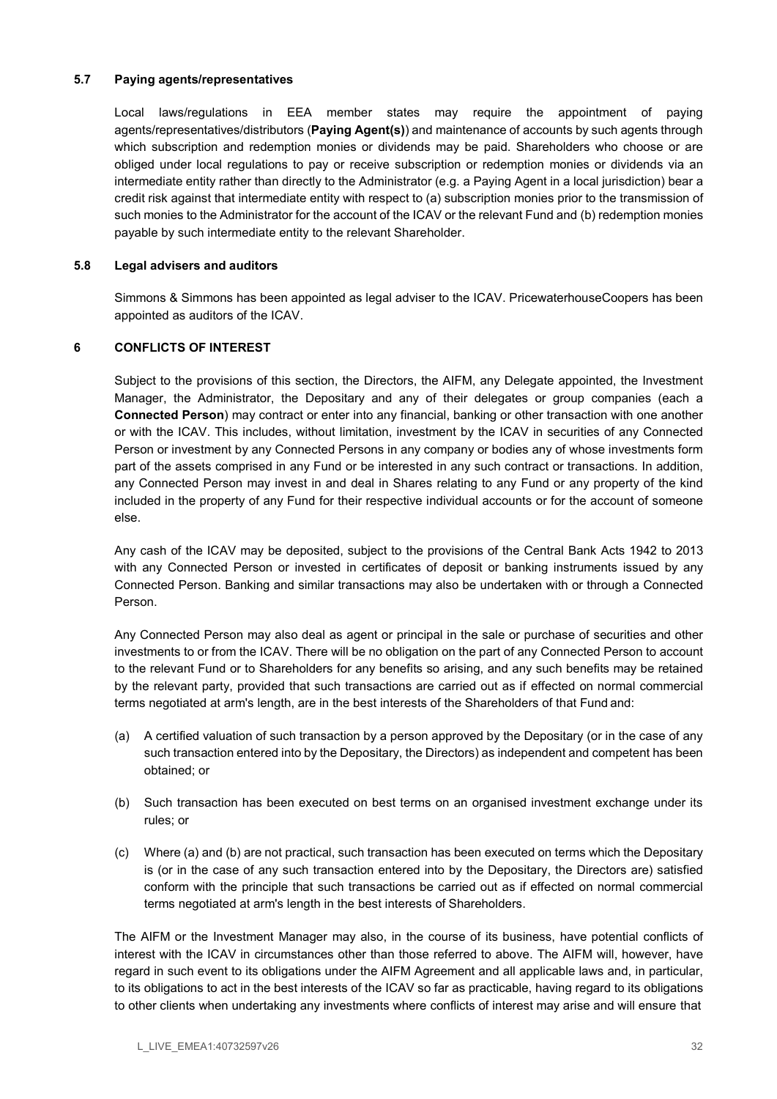#### 5.7 Paying agents/representatives

Local laws/regulations in EEA member states may require the appointment of paying agents/representatives/distributors (Paying Agent(s)) and maintenance of accounts by such agents through which subscription and redemption monies or dividends may be paid. Shareholders who choose or are obliged under local regulations to pay or receive subscription or redemption monies or dividends via an intermediate entity rather than directly to the Administrator (e.g. a Paying Agent in a local jurisdiction) bear a credit risk against that intermediate entity with respect to (a) subscription monies prior to the transmission of such monies to the Administrator for the account of the ICAV or the relevant Fund and (b) redemption monies payable by such intermediate entity to the relevant Shareholder.

## 5.8 Legal advisers and auditors

Simmons & Simmons has been appointed as legal adviser to the ICAV. PricewaterhouseCoopers has been appointed as auditors of the ICAV.

## 6 CONFLICTS OF INTEREST

Subject to the provisions of this section, the Directors, the AIFM, any Delegate appointed, the Investment Manager, the Administrator, the Depositary and any of their delegates or group companies (each a Connected Person) may contract or enter into any financial, banking or other transaction with one another or with the ICAV. This includes, without limitation, investment by the ICAV in securities of any Connected Person or investment by any Connected Persons in any company or bodies any of whose investments form part of the assets comprised in any Fund or be interested in any such contract or transactions. In addition, any Connected Person may invest in and deal in Shares relating to any Fund or any property of the kind included in the property of any Fund for their respective individual accounts or for the account of someone else.

Any cash of the ICAV may be deposited, subject to the provisions of the Central Bank Acts 1942 to 2013 with any Connected Person or invested in certificates of deposit or banking instruments issued by any Connected Person. Banking and similar transactions may also be undertaken with or through a Connected Person.

Any Connected Person may also deal as agent or principal in the sale or purchase of securities and other investments to or from the ICAV. There will be no obligation on the part of any Connected Person to account to the relevant Fund or to Shareholders for any benefits so arising, and any such benefits may be retained by the relevant party, provided that such transactions are carried out as if effected on normal commercial terms negotiated at arm's length, are in the best interests of the Shareholders of that Fund and:

- (a) A certified valuation of such transaction by a person approved by the Depositary (or in the case of any such transaction entered into by the Depositary, the Directors) as independent and competent has been obtained; or
- (b) Such transaction has been executed on best terms on an organised investment exchange under its rules; or
- (c) Where (a) and (b) are not practical, such transaction has been executed on terms which the Depositary is (or in the case of any such transaction entered into by the Depositary, the Directors are) satisfied conform with the principle that such transactions be carried out as if effected on normal commercial terms negotiated at arm's length in the best interests of Shareholders.

The AIFM or the Investment Manager may also, in the course of its business, have potential conflicts of interest with the ICAV in circumstances other than those referred to above. The AIFM will, however, have regard in such event to its obligations under the AIFM Agreement and all applicable laws and, in particular, to its obligations to act in the best interests of the ICAV so far as practicable, having regard to its obligations to other clients when undertaking any investments where conflicts of interest may arise and will ensure that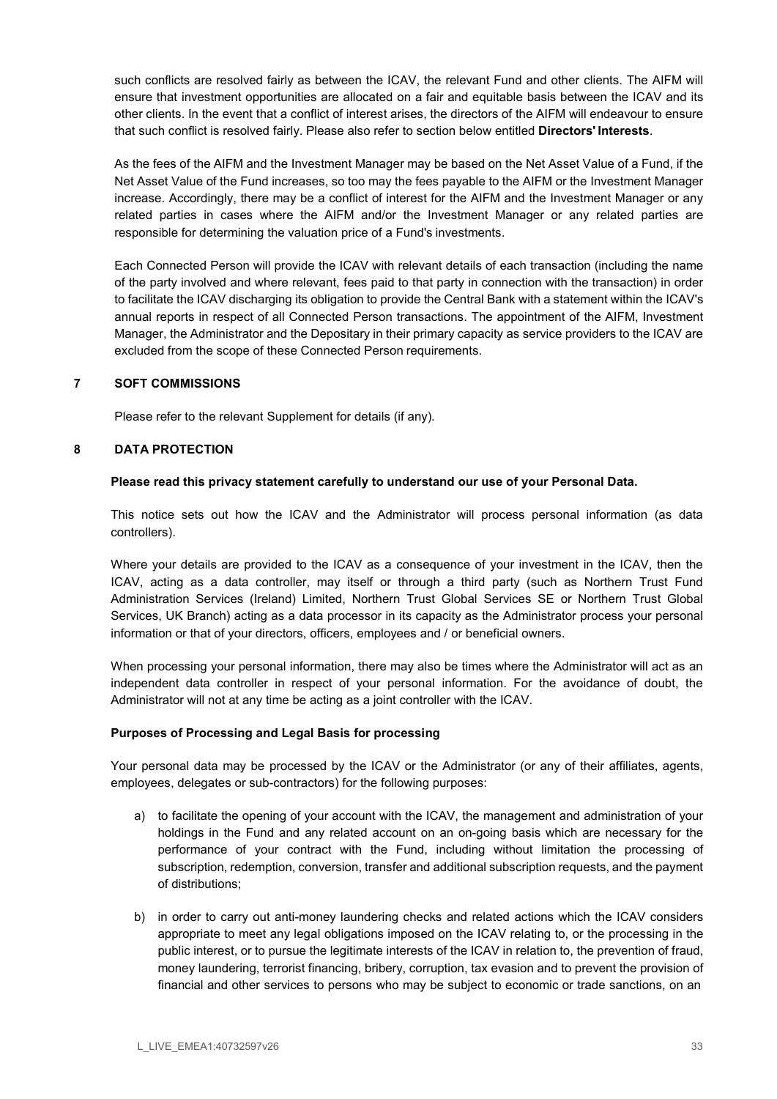such conflicts are resolved fairly as between the ICAV, the relevant Fund and other clients. The AIFM will ensure that investment opportunities are allocated on a fair and equitable basis between the ICAV and its other clients. In the event that a conflict of interest arises, the directors of the AIFM will endeavour to ensure that such conflict is resolved fairly. Please also refer to section below entitled Directors' Interests.

As the fees of the AIFM and the Investment Manager may be based on the Net Asset Value of a Fund, if the Net Asset Value of the Fund increases, so too may the fees payable to the AIFM or the Investment Manager increase. Accordingly, there may be a conflict of interest for the AIFM and the Investment Manager or any related parties in cases where the AIFM and/or the Investment Manager or any related parties are responsible for determining the valuation price of a Fund's investments.

Each Connected Person will provide the ICAV with relevant details of each transaction (including the name of the party involved and where relevant, fees paid to that party in connection with the transaction) in order to facilitate the ICAV discharging its obligation to provide the Central Bank with a statement within the ICAV's annual reports in respect of all Connected Person transactions. The appointment of the AIFM, Investment Manager, the Administrator and the Depositary in their primary capacity as service providers to the ICAV are excluded from the scope of these Connected Person requirements.

## 7 SOFT COMMISSIONS

Please refer to the relevant Supplement for details (if any).

## 8 DATA PROTECTION

#### Please read this privacy statement carefully to understand our use of your Personal Data.

This notice sets out how the ICAV and the Administrator will process personal information (as data controllers).

Where your details are provided to the ICAV as a consequence of your investment in the ICAV, then the ICAV, acting as a data controller, may itself or through a third party (such as Northern Trust Fund Administration Services (Ireland) Limited, Northern Trust Global Services SE or Northern Trust Global Services, UK Branch) acting as a data processor in its capacity as the Administrator process your personal information or that of your directors, officers, employees and / or beneficial owners.

When processing your personal information, there may also be times where the Administrator will act as an independent data controller in respect of your personal information. For the avoidance of doubt, the Administrator will not at any time be acting as a joint controller with the ICAV.

#### Purposes of Processing and Legal Basis for processing

Your personal data may be processed by the ICAV or the Administrator (or any of their affiliates, agents, employees, delegates or sub-contractors) for the following purposes:

- a) to facilitate the opening of your account with the ICAV, the management and administration of your holdings in the Fund and any related account on an on-going basis which are necessary for the performance of your contract with the Fund, including without limitation the processing of subscription, redemption, conversion, transfer and additional subscription requests, and the payment of distributions;
- b) in order to carry out anti-money laundering checks and related actions which the ICAV considers appropriate to meet any legal obligations imposed on the ICAV relating to, or the processing in the public interest, or to pursue the legitimate interests of the ICAV in relation to, the prevention of fraud, money laundering, terrorist financing, bribery, corruption, tax evasion and to prevent the provision of financial and other services to persons who may be subject to economic or trade sanctions, on an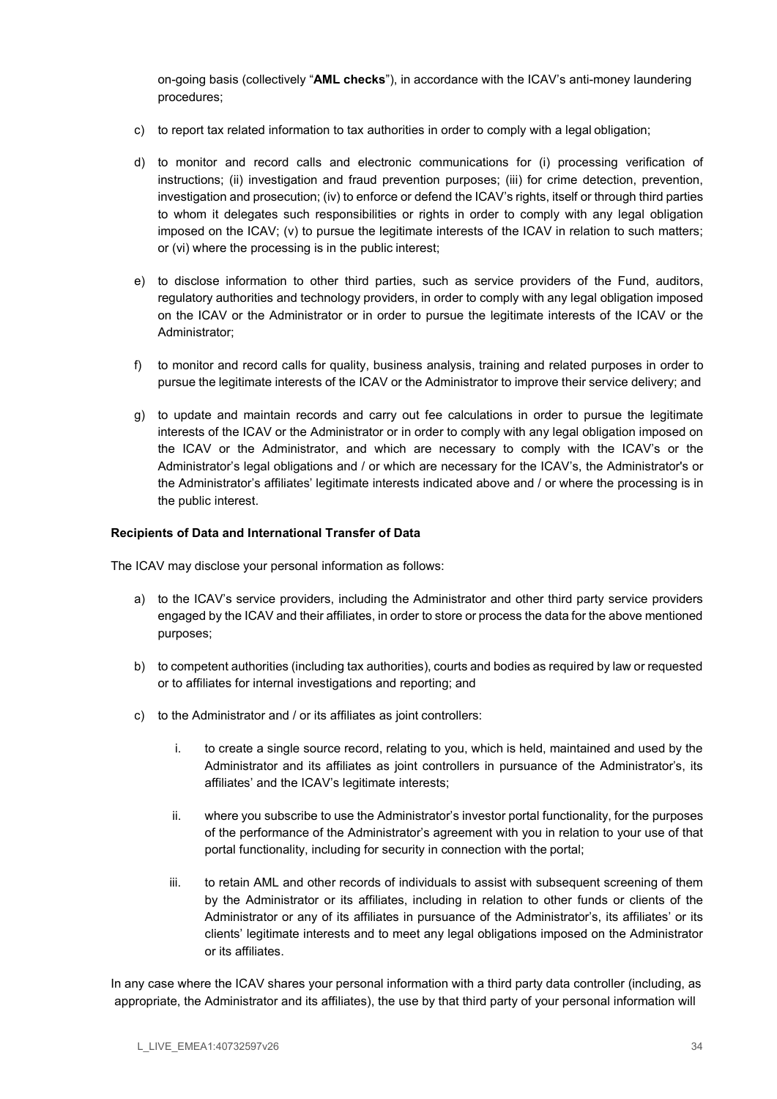on-going basis (collectively "AML checks"), in accordance with the ICAV's anti-money laundering procedures;

- c) to report tax related information to tax authorities in order to comply with a legal obligation;
- d) to monitor and record calls and electronic communications for (i) processing verification of instructions; (ii) investigation and fraud prevention purposes; (iii) for crime detection, prevention, investigation and prosecution; (iv) to enforce or defend the ICAV's rights, itself or through third parties to whom it delegates such responsibilities or rights in order to comply with any legal obligation imposed on the ICAV; (v) to pursue the legitimate interests of the ICAV in relation to such matters; or (vi) where the processing is in the public interest;
- e) to disclose information to other third parties, such as service providers of the Fund, auditors, regulatory authorities and technology providers, in order to comply with any legal obligation imposed on the ICAV or the Administrator or in order to pursue the legitimate interests of the ICAV or the Administrator;
- f) to monitor and record calls for quality, business analysis, training and related purposes in order to pursue the legitimate interests of the ICAV or the Administrator to improve their service delivery; and
- g) to update and maintain records and carry out fee calculations in order to pursue the legitimate interests of the ICAV or the Administrator or in order to comply with any legal obligation imposed on the ICAV or the Administrator, and which are necessary to comply with the ICAV's or the Administrator's legal obligations and / or which are necessary for the ICAV's, the Administrator's or the Administrator's affiliates' legitimate interests indicated above and / or where the processing is in the public interest.

#### Recipients of Data and International Transfer of Data

The ICAV may disclose your personal information as follows:

- a) to the ICAV's service providers, including the Administrator and other third party service providers engaged by the ICAV and their affiliates, in order to store or process the data for the above mentioned purposes;
- b) to competent authorities (including tax authorities), courts and bodies as required by law or requested or to affiliates for internal investigations and reporting; and
- c) to the Administrator and / or its affiliates as joint controllers:
	- i. to create a single source record, relating to you, which is held, maintained and used by the Administrator and its affiliates as joint controllers in pursuance of the Administrator's, its affiliates' and the ICAV's legitimate interests;
	- ii. where you subscribe to use the Administrator's investor portal functionality, for the purposes of the performance of the Administrator's agreement with you in relation to your use of that portal functionality, including for security in connection with the portal;
	- iii. to retain AML and other records of individuals to assist with subsequent screening of them by the Administrator or its affiliates, including in relation to other funds or clients of the Administrator or any of its affiliates in pursuance of the Administrator's, its affiliates' or its clients' legitimate interests and to meet any legal obligations imposed on the Administrator or its affiliates.

In any case where the ICAV shares your personal information with a third party data controller (including, as appropriate, the Administrator and its affiliates), the use by that third party of your personal information will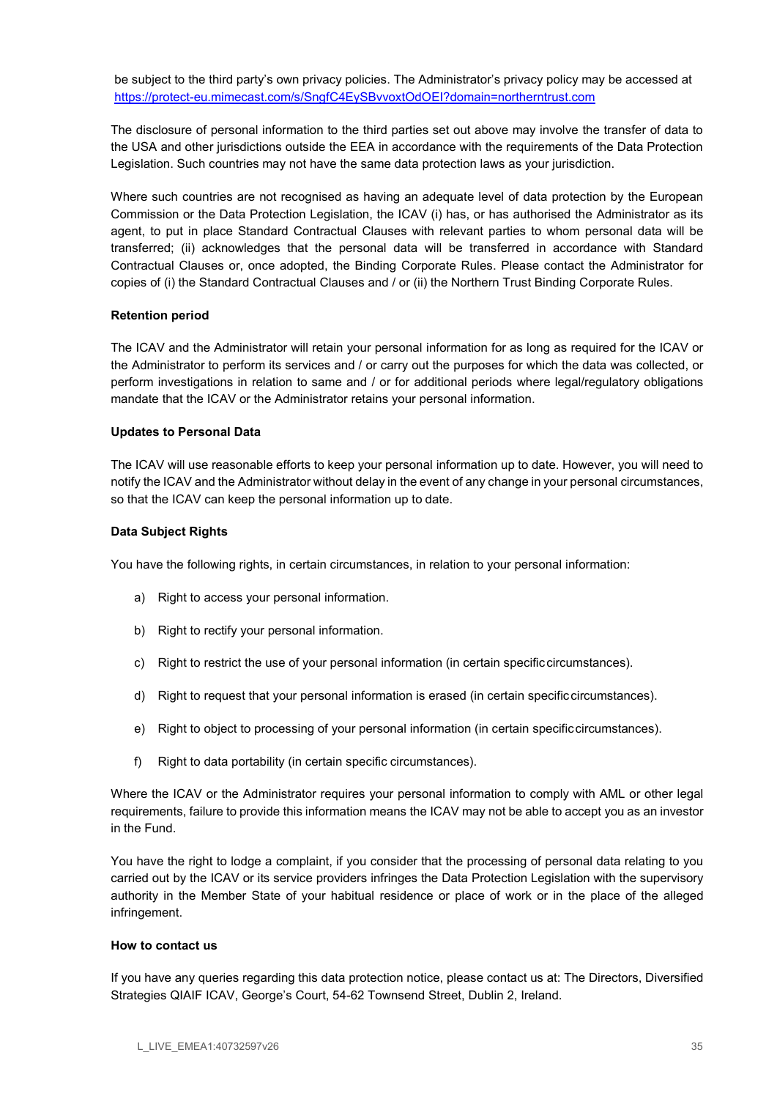be subject to the third party's own privacy policies. The Administrator's privacy policy may be accessed at https://protect-eu.mimecast.com/s/SngfC4EySBvvoxtOdOEI?domain=northerntrust.com

The disclosure of personal information to the third parties set out above may involve the transfer of data to the USA and other jurisdictions outside the EEA in accordance with the requirements of the Data Protection Legislation. Such countries may not have the same data protection laws as your jurisdiction.

Where such countries are not recognised as having an adequate level of data protection by the European Commission or the Data Protection Legislation, the ICAV (i) has, or has authorised the Administrator as its agent, to put in place Standard Contractual Clauses with relevant parties to whom personal data will be transferred; (ii) acknowledges that the personal data will be transferred in accordance with Standard Contractual Clauses or, once adopted, the Binding Corporate Rules. Please contact the Administrator for copies of (i) the Standard Contractual Clauses and / or (ii) the Northern Trust Binding Corporate Rules.

## Retention period

The ICAV and the Administrator will retain your personal information for as long as required for the ICAV or the Administrator to perform its services and / or carry out the purposes for which the data was collected, or perform investigations in relation to same and / or for additional periods where legal/regulatory obligations mandate that the ICAV or the Administrator retains your personal information.

#### Updates to Personal Data

The ICAV will use reasonable efforts to keep your personal information up to date. However, you will need to notify the ICAV and the Administrator without delay in the event of any change in your personal circumstances, so that the ICAV can keep the personal information up to date.

## Data Subject Rights

You have the following rights, in certain circumstances, in relation to your personal information:

- a) Right to access your personal information.
- b) Right to rectify your personal information.
- c) Right to restrict the use of your personal information (in certain specific circumstances).
- d) Right to request that your personal information is erased (in certain specific circumstances).
- e) Right to object to processing of your personal information (in certain specific circumstances).
- f) Right to data portability (in certain specific circumstances).

Where the ICAV or the Administrator requires your personal information to comply with AML or other legal requirements, failure to provide this information means the ICAV may not be able to accept you as an investor in the Fund.

You have the right to lodge a complaint, if you consider that the processing of personal data relating to you carried out by the ICAV or its service providers infringes the Data Protection Legislation with the supervisory authority in the Member State of your habitual residence or place of work or in the place of the alleged infringement.

#### How to contact us

If you have any queries regarding this data protection notice, please contact us at: The Directors, Diversified Strategies QIAIF ICAV, George's Court, 54-62 Townsend Street, Dublin 2, Ireland.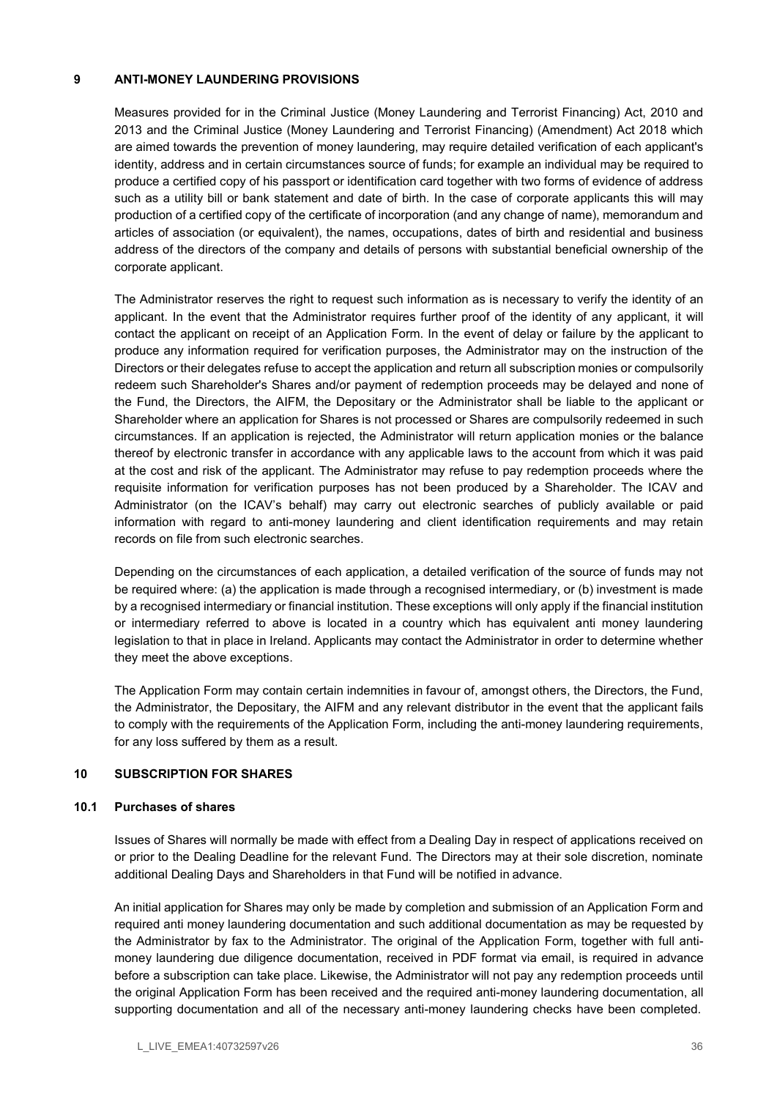### 9 ANTI-MONEY LAUNDERING PROVISIONS

Measures provided for in the Criminal Justice (Money Laundering and Terrorist Financing) Act, 2010 and 2013 and the Criminal Justice (Money Laundering and Terrorist Financing) (Amendment) Act 2018 which are aimed towards the prevention of money laundering, may require detailed verification of each applicant's identity, address and in certain circumstances source of funds; for example an individual may be required to produce a certified copy of his passport or identification card together with two forms of evidence of address such as a utility bill or bank statement and date of birth. In the case of corporate applicants this will may production of a certified copy of the certificate of incorporation (and any change of name), memorandum and articles of association (or equivalent), the names, occupations, dates of birth and residential and business address of the directors of the company and details of persons with substantial beneficial ownership of the corporate applicant.

The Administrator reserves the right to request such information as is necessary to verify the identity of an applicant. In the event that the Administrator requires further proof of the identity of any applicant, it will contact the applicant on receipt of an Application Form. In the event of delay or failure by the applicant to produce any information required for verification purposes, the Administrator may on the instruction of the Directors or their delegates refuse to accept the application and return all subscription monies or compulsorily redeem such Shareholder's Shares and/or payment of redemption proceeds may be delayed and none of the Fund, the Directors, the AIFM, the Depositary or the Administrator shall be liable to the applicant or Shareholder where an application for Shares is not processed or Shares are compulsorily redeemed in such circumstances. If an application is rejected, the Administrator will return application monies or the balance thereof by electronic transfer in accordance with any applicable laws to the account from which it was paid at the cost and risk of the applicant. The Administrator may refuse to pay redemption proceeds where the requisite information for verification purposes has not been produced by a Shareholder. The ICAV and Administrator (on the ICAV's behalf) may carry out electronic searches of publicly available or paid information with regard to anti-money laundering and client identification requirements and may retain records on file from such electronic searches.

Depending on the circumstances of each application, a detailed verification of the source of funds may not be required where: (a) the application is made through a recognised intermediary, or (b) investment is made by a recognised intermediary or financial institution. These exceptions will only apply if the financial institution or intermediary referred to above is located in a country which has equivalent anti money laundering legislation to that in place in Ireland. Applicants may contact the Administrator in order to determine whether they meet the above exceptions.

The Application Form may contain certain indemnities in favour of, amongst others, the Directors, the Fund, the Administrator, the Depositary, the AIFM and any relevant distributor in the event that the applicant fails to comply with the requirements of the Application Form, including the anti-money laundering requirements, for any loss suffered by them as a result.

# 10 SUBSCRIPTION FOR SHARES

### 10.1 Purchases of shares

Issues of Shares will normally be made with effect from a Dealing Day in respect of applications received on or prior to the Dealing Deadline for the relevant Fund. The Directors may at their sole discretion, nominate additional Dealing Days and Shareholders in that Fund will be notified in advance.

An initial application for Shares may only be made by completion and submission of an Application Form and required anti money laundering documentation and such additional documentation as may be requested by the Administrator by fax to the Administrator. The original of the Application Form, together with full antimoney laundering due diligence documentation, received in PDF format via email, is required in advance before a subscription can take place. Likewise, the Administrator will not pay any redemption proceeds until the original Application Form has been received and the required anti-money laundering documentation, all supporting documentation and all of the necessary anti-money laundering checks have been completed.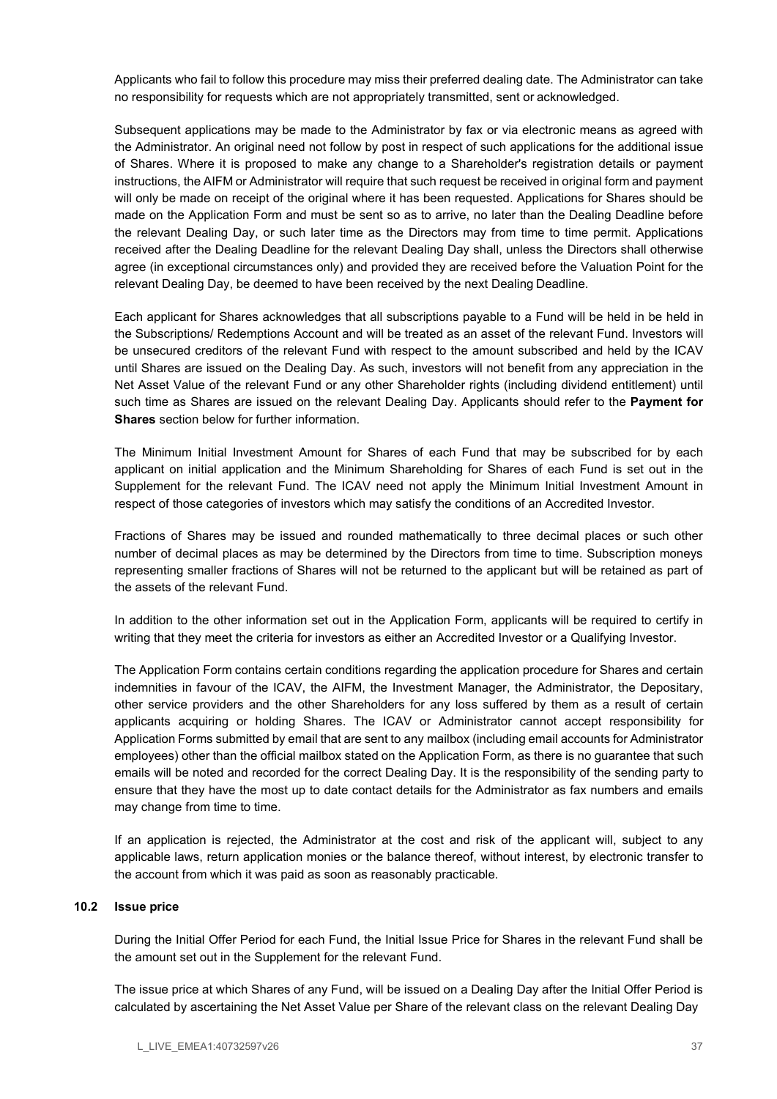Applicants who fail to follow this procedure may miss their preferred dealing date. The Administrator can take no responsibility for requests which are not appropriately transmitted, sent or acknowledged.

Subsequent applications may be made to the Administrator by fax or via electronic means as agreed with the Administrator. An original need not follow by post in respect of such applications for the additional issue of Shares. Where it is proposed to make any change to a Shareholder's registration details or payment instructions, the AIFM or Administrator will require that such request be received in original form and payment will only be made on receipt of the original where it has been requested. Applications for Shares should be made on the Application Form and must be sent so as to arrive, no later than the Dealing Deadline before the relevant Dealing Day, or such later time as the Directors may from time to time permit. Applications received after the Dealing Deadline for the relevant Dealing Day shall, unless the Directors shall otherwise agree (in exceptional circumstances only) and provided they are received before the Valuation Point for the relevant Dealing Day, be deemed to have been received by the next Dealing Deadline.

Each applicant for Shares acknowledges that all subscriptions payable to a Fund will be held in be held in the Subscriptions/ Redemptions Account and will be treated as an asset of the relevant Fund. Investors will be unsecured creditors of the relevant Fund with respect to the amount subscribed and held by the ICAV until Shares are issued on the Dealing Day. As such, investors will not benefit from any appreciation in the Net Asset Value of the relevant Fund or any other Shareholder rights (including dividend entitlement) until such time as Shares are issued on the relevant Dealing Day. Applicants should refer to the Payment for Shares section below for further information.

The Minimum Initial Investment Amount for Shares of each Fund that may be subscribed for by each applicant on initial application and the Minimum Shareholding for Shares of each Fund is set out in the Supplement for the relevant Fund. The ICAV need not apply the Minimum Initial Investment Amount in respect of those categories of investors which may satisfy the conditions of an Accredited Investor.

Fractions of Shares may be issued and rounded mathematically to three decimal places or such other number of decimal places as may be determined by the Directors from time to time. Subscription moneys representing smaller fractions of Shares will not be returned to the applicant but will be retained as part of the assets of the relevant Fund.

In addition to the other information set out in the Application Form, applicants will be required to certify in writing that they meet the criteria for investors as either an Accredited Investor or a Qualifying Investor.

The Application Form contains certain conditions regarding the application procedure for Shares and certain indemnities in favour of the ICAV, the AIFM, the Investment Manager, the Administrator, the Depositary, other service providers and the other Shareholders for any loss suffered by them as a result of certain applicants acquiring or holding Shares. The ICAV or Administrator cannot accept responsibility for Application Forms submitted by email that are sent to any mailbox (including email accounts for Administrator employees) other than the official mailbox stated on the Application Form, as there is no guarantee that such emails will be noted and recorded for the correct Dealing Day. It is the responsibility of the sending party to ensure that they have the most up to date contact details for the Administrator as fax numbers and emails may change from time to time.

If an application is rejected, the Administrator at the cost and risk of the applicant will, subject to any applicable laws, return application monies or the balance thereof, without interest, by electronic transfer to the account from which it was paid as soon as reasonably practicable.

### 10.2 Issue price

During the Initial Offer Period for each Fund, the Initial Issue Price for Shares in the relevant Fund shall be the amount set out in the Supplement for the relevant Fund.

The issue price at which Shares of any Fund, will be issued on a Dealing Day after the Initial Offer Period is calculated by ascertaining the Net Asset Value per Share of the relevant class on the relevant Dealing Day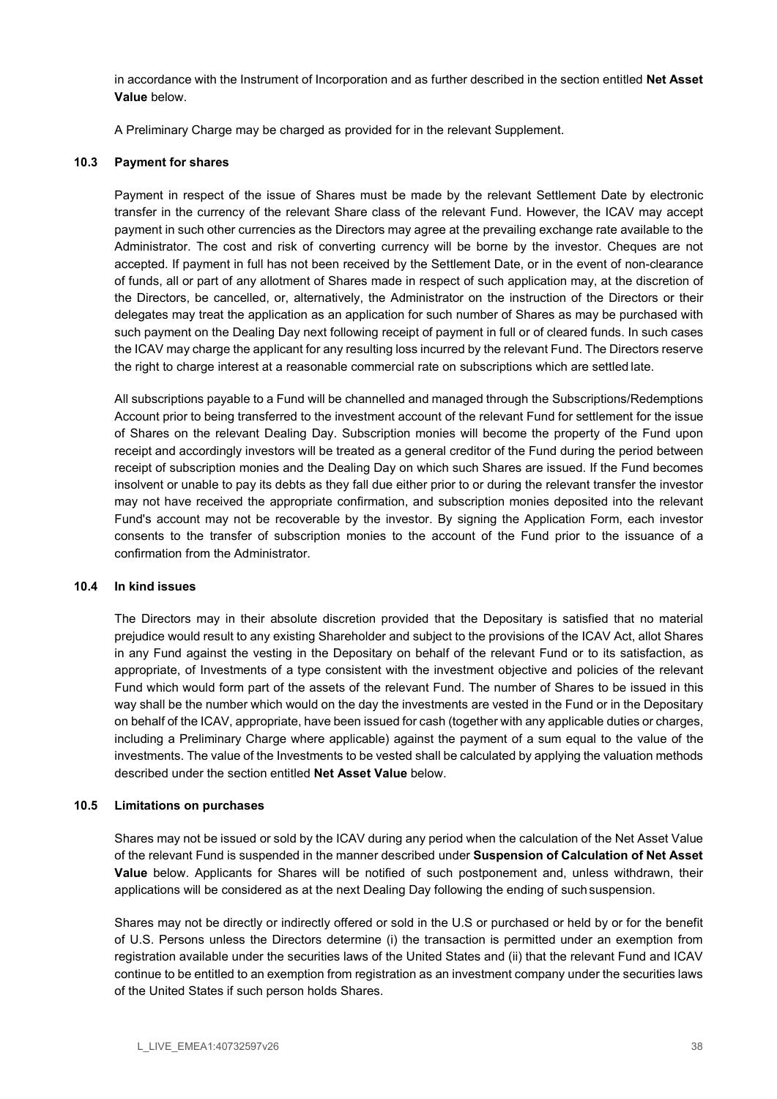in accordance with the Instrument of Incorporation and as further described in the section entitled Net Asset Value below.

A Preliminary Charge may be charged as provided for in the relevant Supplement.

### 10.3 Payment for shares

Payment in respect of the issue of Shares must be made by the relevant Settlement Date by electronic transfer in the currency of the relevant Share class of the relevant Fund. However, the ICAV may accept payment in such other currencies as the Directors may agree at the prevailing exchange rate available to the Administrator. The cost and risk of converting currency will be borne by the investor. Cheques are not accepted. If payment in full has not been received by the Settlement Date, or in the event of non-clearance of funds, all or part of any allotment of Shares made in respect of such application may, at the discretion of the Directors, be cancelled, or, alternatively, the Administrator on the instruction of the Directors or their delegates may treat the application as an application for such number of Shares as may be purchased with such payment on the Dealing Day next following receipt of payment in full or of cleared funds. In such cases the ICAV may charge the applicant for any resulting loss incurred by the relevant Fund. The Directors reserve the right to charge interest at a reasonable commercial rate on subscriptions which are settled late.

All subscriptions payable to a Fund will be channelled and managed through the Subscriptions/Redemptions Account prior to being transferred to the investment account of the relevant Fund for settlement for the issue of Shares on the relevant Dealing Day. Subscription monies will become the property of the Fund upon receipt and accordingly investors will be treated as a general creditor of the Fund during the period between receipt of subscription monies and the Dealing Day on which such Shares are issued. If the Fund becomes insolvent or unable to pay its debts as they fall due either prior to or during the relevant transfer the investor may not have received the appropriate confirmation, and subscription monies deposited into the relevant Fund's account may not be recoverable by the investor. By signing the Application Form, each investor consents to the transfer of subscription monies to the account of the Fund prior to the issuance of a confirmation from the Administrator.

### 10.4 In kind issues

The Directors may in their absolute discretion provided that the Depositary is satisfied that no material prejudice would result to any existing Shareholder and subject to the provisions of the ICAV Act, allot Shares in any Fund against the vesting in the Depositary on behalf of the relevant Fund or to its satisfaction, as appropriate, of Investments of a type consistent with the investment objective and policies of the relevant Fund which would form part of the assets of the relevant Fund. The number of Shares to be issued in this way shall be the number which would on the day the investments are vested in the Fund or in the Depositary on behalf of the ICAV, appropriate, have been issued for cash (together with any applicable duties or charges, including a Preliminary Charge where applicable) against the payment of a sum equal to the value of the investments. The value of the Investments to be vested shall be calculated by applying the valuation methods described under the section entitled Net Asset Value below.

### 10.5 Limitations on purchases

Shares may not be issued or sold by the ICAV during any period when the calculation of the Net Asset Value of the relevant Fund is suspended in the manner described under Suspension of Calculation of Net Asset Value below. Applicants for Shares will be notified of such postponement and, unless withdrawn, their applications will be considered as at the next Dealing Day following the ending of such suspension.

Shares may not be directly or indirectly offered or sold in the U.S or purchased or held by or for the benefit of U.S. Persons unless the Directors determine (i) the transaction is permitted under an exemption from registration available under the securities laws of the United States and (ii) that the relevant Fund and ICAV continue to be entitled to an exemption from registration as an investment company under the securities laws of the United States if such person holds Shares.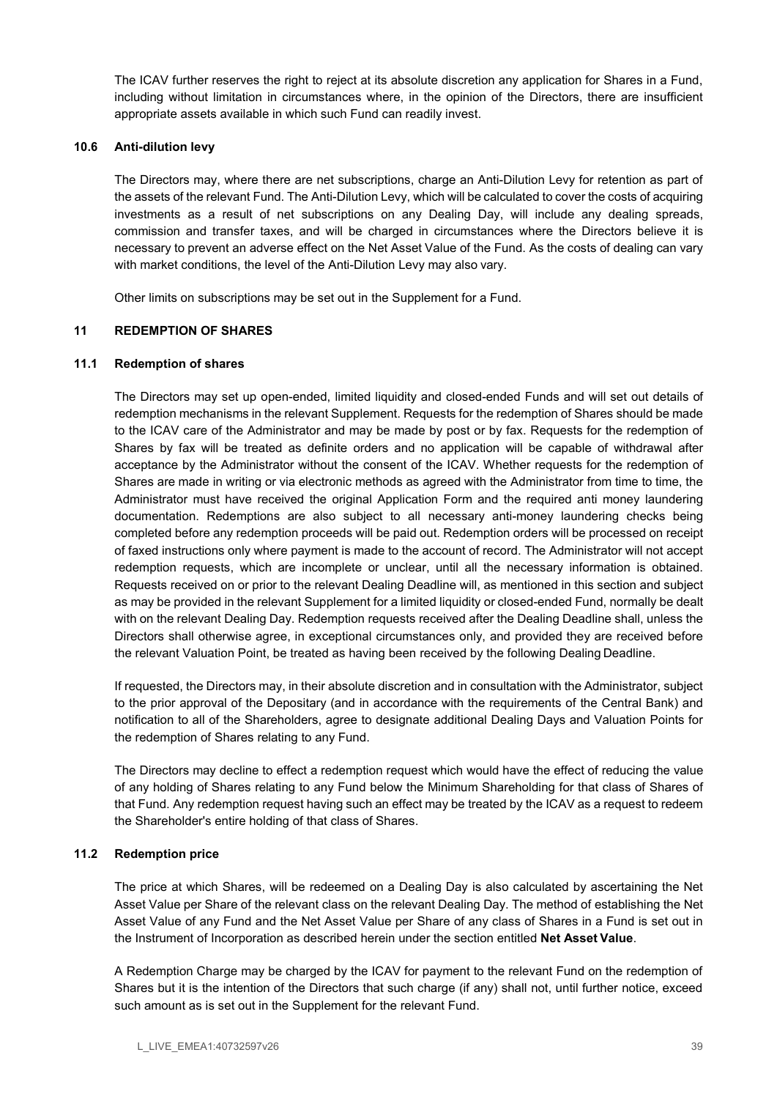The ICAV further reserves the right to reject at its absolute discretion any application for Shares in a Fund, including without limitation in circumstances where, in the opinion of the Directors, there are insufficient appropriate assets available in which such Fund can readily invest.

### 10.6 Anti-dilution levy

The Directors may, where there are net subscriptions, charge an Anti-Dilution Levy for retention as part of the assets of the relevant Fund. The Anti-Dilution Levy, which will be calculated to cover the costs of acquiring investments as a result of net subscriptions on any Dealing Day, will include any dealing spreads, commission and transfer taxes, and will be charged in circumstances where the Directors believe it is necessary to prevent an adverse effect on the Net Asset Value of the Fund. As the costs of dealing can vary with market conditions, the level of the Anti-Dilution Levy may also vary.

Other limits on subscriptions may be set out in the Supplement for a Fund.

### 11 REDEMPTION OF SHARES

### 11.1 Redemption of shares

The Directors may set up open-ended, limited liquidity and closed-ended Funds and will set out details of redemption mechanisms in the relevant Supplement. Requests for the redemption of Shares should be made to the ICAV care of the Administrator and may be made by post or by fax. Requests for the redemption of Shares by fax will be treated as definite orders and no application will be capable of withdrawal after acceptance by the Administrator without the consent of the ICAV. Whether requests for the redemption of Shares are made in writing or via electronic methods as agreed with the Administrator from time to time, the Administrator must have received the original Application Form and the required anti money laundering documentation. Redemptions are also subject to all necessary anti-money laundering checks being completed before any redemption proceeds will be paid out. Redemption orders will be processed on receipt of faxed instructions only where payment is made to the account of record. The Administrator will not accept redemption requests, which are incomplete or unclear, until all the necessary information is obtained. Requests received on or prior to the relevant Dealing Deadline will, as mentioned in this section and subject as may be provided in the relevant Supplement for a limited liquidity or closed-ended Fund, normally be dealt with on the relevant Dealing Day. Redemption requests received after the Dealing Deadline shall, unless the Directors shall otherwise agree, in exceptional circumstances only, and provided they are received before the relevant Valuation Point, be treated as having been received by the following Dealing Deadline.

If requested, the Directors may, in their absolute discretion and in consultation with the Administrator, subject to the prior approval of the Depositary (and in accordance with the requirements of the Central Bank) and notification to all of the Shareholders, agree to designate additional Dealing Days and Valuation Points for the redemption of Shares relating to any Fund.

The Directors may decline to effect a redemption request which would have the effect of reducing the value of any holding of Shares relating to any Fund below the Minimum Shareholding for that class of Shares of that Fund. Any redemption request having such an effect may be treated by the ICAV as a request to redeem the Shareholder's entire holding of that class of Shares.

# 11.2 Redemption price

The price at which Shares, will be redeemed on a Dealing Day is also calculated by ascertaining the Net Asset Value per Share of the relevant class on the relevant Dealing Day. The method of establishing the Net Asset Value of any Fund and the Net Asset Value per Share of any class of Shares in a Fund is set out in the Instrument of Incorporation as described herein under the section entitled Net Asset Value.

A Redemption Charge may be charged by the ICAV for payment to the relevant Fund on the redemption of Shares but it is the intention of the Directors that such charge (if any) shall not, until further notice, exceed such amount as is set out in the Supplement for the relevant Fund.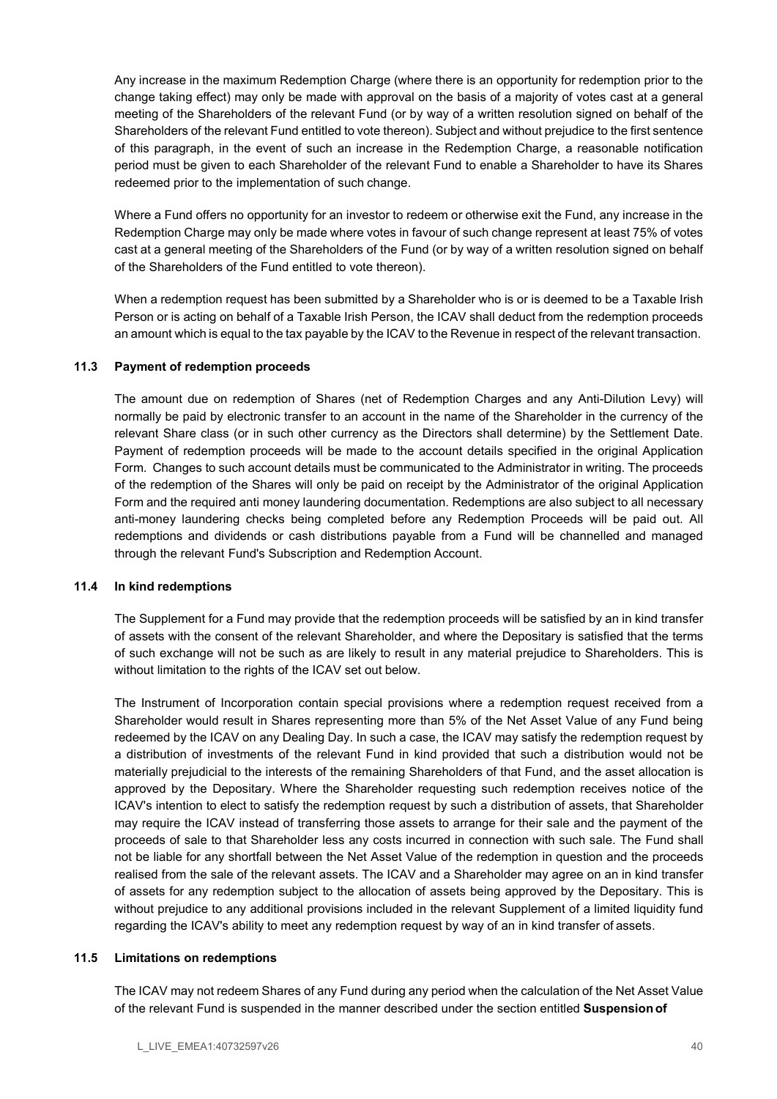Any increase in the maximum Redemption Charge (where there is an opportunity for redemption prior to the change taking effect) may only be made with approval on the basis of a majority of votes cast at a general meeting of the Shareholders of the relevant Fund (or by way of a written resolution signed on behalf of the Shareholders of the relevant Fund entitled to vote thereon). Subject and without prejudice to the first sentence of this paragraph, in the event of such an increase in the Redemption Charge, a reasonable notification period must be given to each Shareholder of the relevant Fund to enable a Shareholder to have its Shares redeemed prior to the implementation of such change.

Where a Fund offers no opportunity for an investor to redeem or otherwise exit the Fund, any increase in the Redemption Charge may only be made where votes in favour of such change represent at least 75% of votes cast at a general meeting of the Shareholders of the Fund (or by way of a written resolution signed on behalf of the Shareholders of the Fund entitled to vote thereon).

When a redemption request has been submitted by a Shareholder who is or is deemed to be a Taxable Irish Person or is acting on behalf of a Taxable Irish Person, the ICAV shall deduct from the redemption proceeds an amount which is equal to the tax payable by the ICAV to the Revenue in respect of the relevant transaction.

### 11.3 Payment of redemption proceeds

The amount due on redemption of Shares (net of Redemption Charges and any Anti-Dilution Levy) will normally be paid by electronic transfer to an account in the name of the Shareholder in the currency of the relevant Share class (or in such other currency as the Directors shall determine) by the Settlement Date. Payment of redemption proceeds will be made to the account details specified in the original Application Form. Changes to such account details must be communicated to the Administrator in writing. The proceeds of the redemption of the Shares will only be paid on receipt by the Administrator of the original Application Form and the required anti money laundering documentation. Redemptions are also subject to all necessary anti-money laundering checks being completed before any Redemption Proceeds will be paid out. All redemptions and dividends or cash distributions payable from a Fund will be channelled and managed through the relevant Fund's Subscription and Redemption Account.

### 11.4 In kind redemptions

The Supplement for a Fund may provide that the redemption proceeds will be satisfied by an in kind transfer of assets with the consent of the relevant Shareholder, and where the Depositary is satisfied that the terms of such exchange will not be such as are likely to result in any material prejudice to Shareholders. This is without limitation to the rights of the ICAV set out below.

The Instrument of Incorporation contain special provisions where a redemption request received from a Shareholder would result in Shares representing more than 5% of the Net Asset Value of any Fund being redeemed by the ICAV on any Dealing Day. In such a case, the ICAV may satisfy the redemption request by a distribution of investments of the relevant Fund in kind provided that such a distribution would not be materially prejudicial to the interests of the remaining Shareholders of that Fund, and the asset allocation is approved by the Depositary. Where the Shareholder requesting such redemption receives notice of the ICAV's intention to elect to satisfy the redemption request by such a distribution of assets, that Shareholder may require the ICAV instead of transferring those assets to arrange for their sale and the payment of the proceeds of sale to that Shareholder less any costs incurred in connection with such sale. The Fund shall not be liable for any shortfall between the Net Asset Value of the redemption in question and the proceeds realised from the sale of the relevant assets. The ICAV and a Shareholder may agree on an in kind transfer of assets for any redemption subject to the allocation of assets being approved by the Depositary. This is without prejudice to any additional provisions included in the relevant Supplement of a limited liquidity fund regarding the ICAV's ability to meet any redemption request by way of an in kind transfer of assets.

### 11.5 Limitations on redemptions

The ICAV may not redeem Shares of any Fund during any period when the calculation of the Net Asset Value of the relevant Fund is suspended in the manner described under the section entitled Suspension of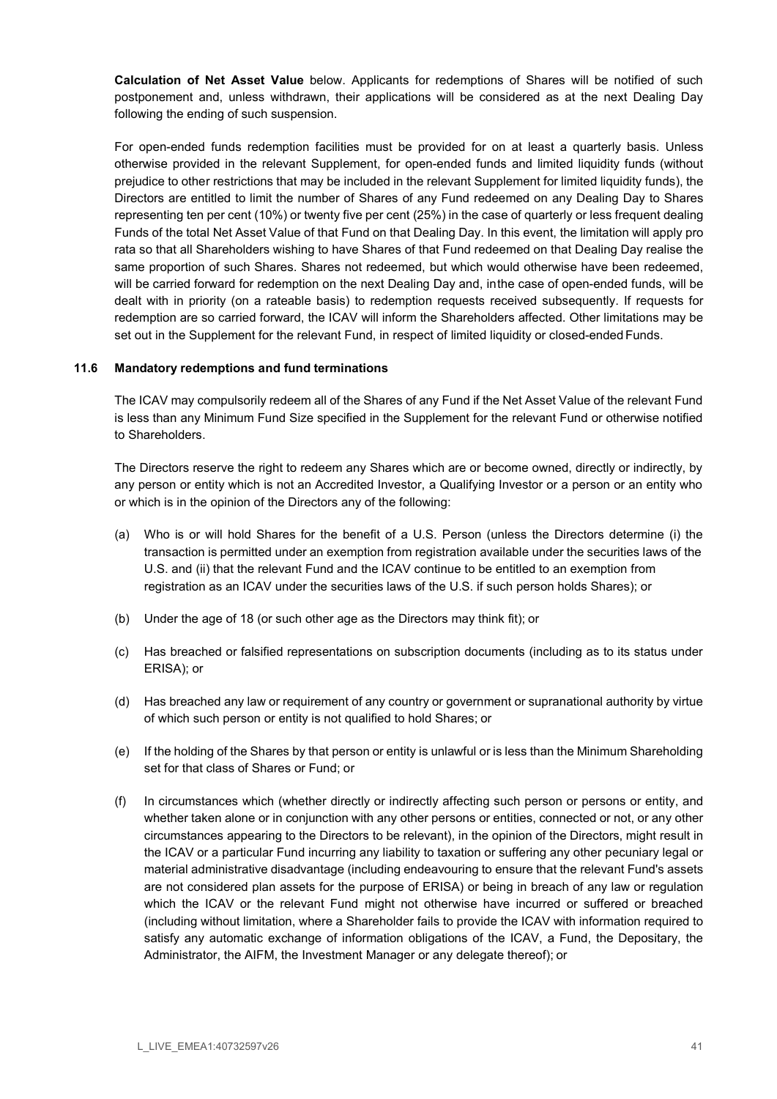Calculation of Net Asset Value below. Applicants for redemptions of Shares will be notified of such postponement and, unless withdrawn, their applications will be considered as at the next Dealing Day following the ending of such suspension.

For open-ended funds redemption facilities must be provided for on at least a quarterly basis. Unless otherwise provided in the relevant Supplement, for open-ended funds and limited liquidity funds (without prejudice to other restrictions that may be included in the relevant Supplement for limited liquidity funds), the Directors are entitled to limit the number of Shares of any Fund redeemed on any Dealing Day to Shares representing ten per cent (10%) or twenty five per cent (25%) in the case of quarterly or less frequent dealing Funds of the total Net Asset Value of that Fund on that Dealing Day. In this event, the limitation will apply pro rata so that all Shareholders wishing to have Shares of that Fund redeemed on that Dealing Day realise the same proportion of such Shares. Shares not redeemed, but which would otherwise have been redeemed, will be carried forward for redemption on the next Dealing Day and, in the case of open-ended funds, will be dealt with in priority (on a rateable basis) to redemption requests received subsequently. If requests for redemption are so carried forward, the ICAV will inform the Shareholders affected. Other limitations may be set out in the Supplement for the relevant Fund, in respect of limited liquidity or closed-ended Funds.

### 11.6 Mandatory redemptions and fund terminations

The ICAV may compulsorily redeem all of the Shares of any Fund if the Net Asset Value of the relevant Fund is less than any Minimum Fund Size specified in the Supplement for the relevant Fund or otherwise notified to Shareholders.

The Directors reserve the right to redeem any Shares which are or become owned, directly or indirectly, by any person or entity which is not an Accredited Investor, a Qualifying Investor or a person or an entity who or which is in the opinion of the Directors any of the following:

- (a) Who is or will hold Shares for the benefit of a U.S. Person (unless the Directors determine (i) the transaction is permitted under an exemption from registration available under the securities laws of the U.S. and (ii) that the relevant Fund and the ICAV continue to be entitled to an exemption from registration as an ICAV under the securities laws of the U.S. if such person holds Shares); or
- (b) Under the age of 18 (or such other age as the Directors may think fit); or
- (c) Has breached or falsified representations on subscription documents (including as to its status under ERISA); or
- (d) Has breached any law or requirement of any country or government or supranational authority by virtue of which such person or entity is not qualified to hold Shares; or
- (e) If the holding of the Shares by that person or entity is unlawful or is less than the Minimum Shareholding set for that class of Shares or Fund; or
- (f) In circumstances which (whether directly or indirectly affecting such person or persons or entity, and whether taken alone or in conjunction with any other persons or entities, connected or not, or any other circumstances appearing to the Directors to be relevant), in the opinion of the Directors, might result in the ICAV or a particular Fund incurring any liability to taxation or suffering any other pecuniary legal or material administrative disadvantage (including endeavouring to ensure that the relevant Fund's assets are not considered plan assets for the purpose of ERISA) or being in breach of any law or regulation which the ICAV or the relevant Fund might not otherwise have incurred or suffered or breached (including without limitation, where a Shareholder fails to provide the ICAV with information required to satisfy any automatic exchange of information obligations of the ICAV, a Fund, the Depositary, the Administrator, the AIFM, the Investment Manager or any delegate thereof); or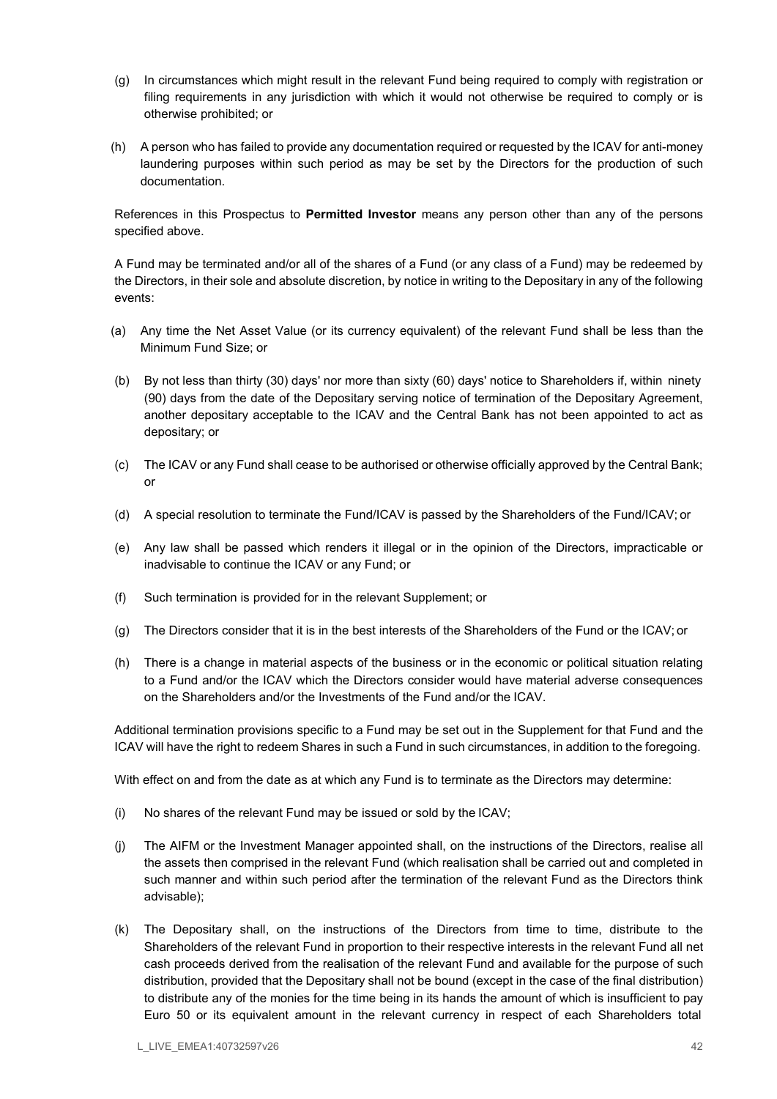- (g) In circumstances which might result in the relevant Fund being required to comply with registration or filing requirements in any jurisdiction with which it would not otherwise be required to comply or is otherwise prohibited; or
- (h) A person who has failed to provide any documentation required or requested by the ICAV for anti-money laundering purposes within such period as may be set by the Directors for the production of such documentation.

References in this Prospectus to Permitted Investor means any person other than any of the persons specified above.

A Fund may be terminated and/or all of the shares of a Fund (or any class of a Fund) may be redeemed by the Directors, in their sole and absolute discretion, by notice in writing to the Depositary in any of the following events:

- (a) Any time the Net Asset Value (or its currency equivalent) of the relevant Fund shall be less than the Minimum Fund Size; or
- (b) By not less than thirty (30) days' nor more than sixty (60) days' notice to Shareholders if, within ninety (90) days from the date of the Depositary serving notice of termination of the Depositary Agreement, another depositary acceptable to the ICAV and the Central Bank has not been appointed to act as depositary; or
- (c) The ICAV or any Fund shall cease to be authorised or otherwise officially approved by the Central Bank; or
- (d) A special resolution to terminate the Fund/ICAV is passed by the Shareholders of the Fund/ICAV; or
- (e) Any law shall be passed which renders it illegal or in the opinion of the Directors, impracticable or inadvisable to continue the ICAV or any Fund; or
- (f) Such termination is provided for in the relevant Supplement; or
- (g) The Directors consider that it is in the best interests of the Shareholders of the Fund or the ICAV; or
- (h) There is a change in material aspects of the business or in the economic or political situation relating to a Fund and/or the ICAV which the Directors consider would have material adverse consequences on the Shareholders and/or the Investments of the Fund and/or the ICAV.

Additional termination provisions specific to a Fund may be set out in the Supplement for that Fund and the ICAV will have the right to redeem Shares in such a Fund in such circumstances, in addition to the foregoing.

With effect on and from the date as at which any Fund is to terminate as the Directors may determine:

- (i) No shares of the relevant Fund may be issued or sold by the ICAV;
- (j) The AIFM or the Investment Manager appointed shall, on the instructions of the Directors, realise all the assets then comprised in the relevant Fund (which realisation shall be carried out and completed in such manner and within such period after the termination of the relevant Fund as the Directors think advisable);
- (k) The Depositary shall, on the instructions of the Directors from time to time, distribute to the Shareholders of the relevant Fund in proportion to their respective interests in the relevant Fund all net cash proceeds derived from the realisation of the relevant Fund and available for the purpose of such distribution, provided that the Depositary shall not be bound (except in the case of the final distribution) to distribute any of the monies for the time being in its hands the amount of which is insufficient to pay Euro 50 or its equivalent amount in the relevant currency in respect of each Shareholders total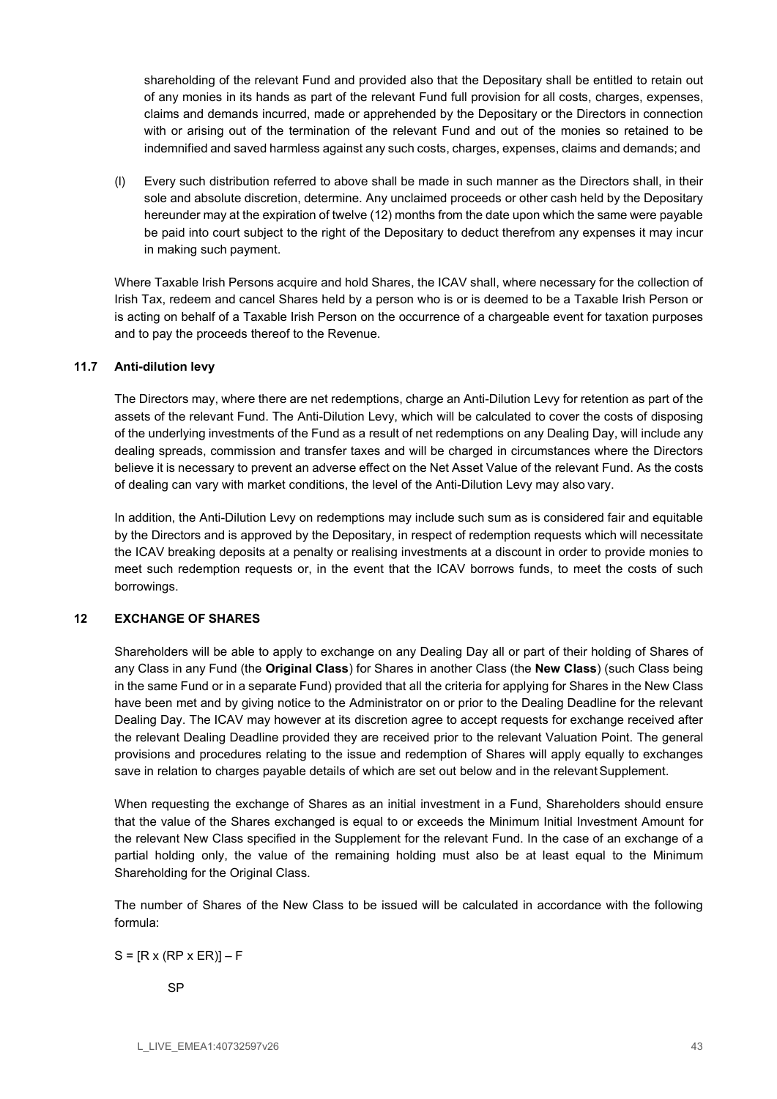shareholding of the relevant Fund and provided also that the Depositary shall be entitled to retain out of any monies in its hands as part of the relevant Fund full provision for all costs, charges, expenses, claims and demands incurred, made or apprehended by the Depositary or the Directors in connection with or arising out of the termination of the relevant Fund and out of the monies so retained to be indemnified and saved harmless against any such costs, charges, expenses, claims and demands; and

(l) Every such distribution referred to above shall be made in such manner as the Directors shall, in their sole and absolute discretion, determine. Any unclaimed proceeds or other cash held by the Depositary hereunder may at the expiration of twelve (12) months from the date upon which the same were payable be paid into court subject to the right of the Depositary to deduct therefrom any expenses it may incur in making such payment.

Where Taxable Irish Persons acquire and hold Shares, the ICAV shall, where necessary for the collection of Irish Tax, redeem and cancel Shares held by a person who is or is deemed to be a Taxable Irish Person or is acting on behalf of a Taxable Irish Person on the occurrence of a chargeable event for taxation purposes and to pay the proceeds thereof to the Revenue.

### 11.7 Anti-dilution levy

The Directors may, where there are net redemptions, charge an Anti-Dilution Levy for retention as part of the assets of the relevant Fund. The Anti-Dilution Levy, which will be calculated to cover the costs of disposing of the underlying investments of the Fund as a result of net redemptions on any Dealing Day, will include any dealing spreads, commission and transfer taxes and will be charged in circumstances where the Directors believe it is necessary to prevent an adverse effect on the Net Asset Value of the relevant Fund. As the costs of dealing can vary with market conditions, the level of the Anti-Dilution Levy may also vary.

In addition, the Anti-Dilution Levy on redemptions may include such sum as is considered fair and equitable by the Directors and is approved by the Depositary, in respect of redemption requests which will necessitate the ICAV breaking deposits at a penalty or realising investments at a discount in order to provide monies to meet such redemption requests or, in the event that the ICAV borrows funds, to meet the costs of such borrowings.

# 12 EXCHANGE OF SHARES

Shareholders will be able to apply to exchange on any Dealing Day all or part of their holding of Shares of any Class in any Fund (the Original Class) for Shares in another Class (the New Class) (such Class being in the same Fund or in a separate Fund) provided that all the criteria for applying for Shares in the New Class have been met and by giving notice to the Administrator on or prior to the Dealing Deadline for the relevant Dealing Day. The ICAV may however at its discretion agree to accept requests for exchange received after the relevant Dealing Deadline provided they are received prior to the relevant Valuation Point. The general provisions and procedures relating to the issue and redemption of Shares will apply equally to exchanges save in relation to charges payable details of which are set out below and in the relevant Supplement.

When requesting the exchange of Shares as an initial investment in a Fund, Shareholders should ensure that the value of the Shares exchanged is equal to or exceeds the Minimum Initial Investment Amount for the relevant New Class specified in the Supplement for the relevant Fund. In the case of an exchange of a partial holding only, the value of the remaining holding must also be at least equal to the Minimum Shareholding for the Original Class.

The number of Shares of the New Class to be issued will be calculated in accordance with the following formula:

### $S = [R \times (RP \times ER)] - F$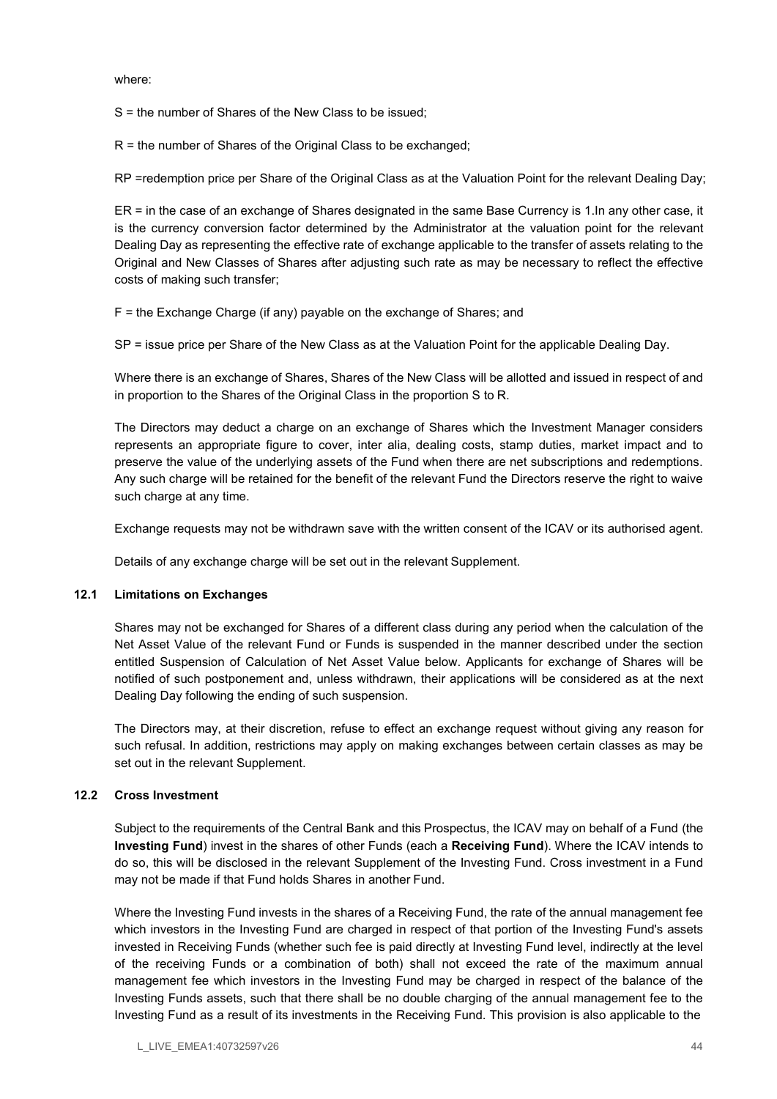where:

S = the number of Shares of the New Class to be issued;

R = the number of Shares of the Original Class to be exchanged;

RP =redemption price per Share of the Original Class as at the Valuation Point for the relevant Dealing Day;

ER = in the case of an exchange of Shares designated in the same Base Currency is 1.In any other case, it is the currency conversion factor determined by the Administrator at the valuation point for the relevant Dealing Day as representing the effective rate of exchange applicable to the transfer of assets relating to the Original and New Classes of Shares after adjusting such rate as may be necessary to reflect the effective costs of making such transfer;

F = the Exchange Charge (if any) payable on the exchange of Shares; and

SP = issue price per Share of the New Class as at the Valuation Point for the applicable Dealing Day.

Where there is an exchange of Shares, Shares of the New Class will be allotted and issued in respect of and in proportion to the Shares of the Original Class in the proportion S to R.

The Directors may deduct a charge on an exchange of Shares which the Investment Manager considers represents an appropriate figure to cover, inter alia, dealing costs, stamp duties, market impact and to preserve the value of the underlying assets of the Fund when there are net subscriptions and redemptions. Any such charge will be retained for the benefit of the relevant Fund the Directors reserve the right to waive such charge at any time.

Exchange requests may not be withdrawn save with the written consent of the ICAV or its authorised agent.

Details of any exchange charge will be set out in the relevant Supplement.

### 12.1 Limitations on Exchanges

Shares may not be exchanged for Shares of a different class during any period when the calculation of the Net Asset Value of the relevant Fund or Funds is suspended in the manner described under the section entitled Suspension of Calculation of Net Asset Value below. Applicants for exchange of Shares will be notified of such postponement and, unless withdrawn, their applications will be considered as at the next Dealing Day following the ending of such suspension.

The Directors may, at their discretion, refuse to effect an exchange request without giving any reason for such refusal. In addition, restrictions may apply on making exchanges between certain classes as may be set out in the relevant Supplement.

# 12.2 Cross Investment

Subject to the requirements of the Central Bank and this Prospectus, the ICAV may on behalf of a Fund (the Investing Fund) invest in the shares of other Funds (each a Receiving Fund). Where the ICAV intends to do so, this will be disclosed in the relevant Supplement of the Investing Fund. Cross investment in a Fund may not be made if that Fund holds Shares in another Fund.

Where the Investing Fund invests in the shares of a Receiving Fund, the rate of the annual management fee which investors in the Investing Fund are charged in respect of that portion of the Investing Fund's assets invested in Receiving Funds (whether such fee is paid directly at Investing Fund level, indirectly at the level of the receiving Funds or a combination of both) shall not exceed the rate of the maximum annual management fee which investors in the Investing Fund may be charged in respect of the balance of the Investing Funds assets, such that there shall be no double charging of the annual management fee to the Investing Fund as a result of its investments in the Receiving Fund. This provision is also applicable to the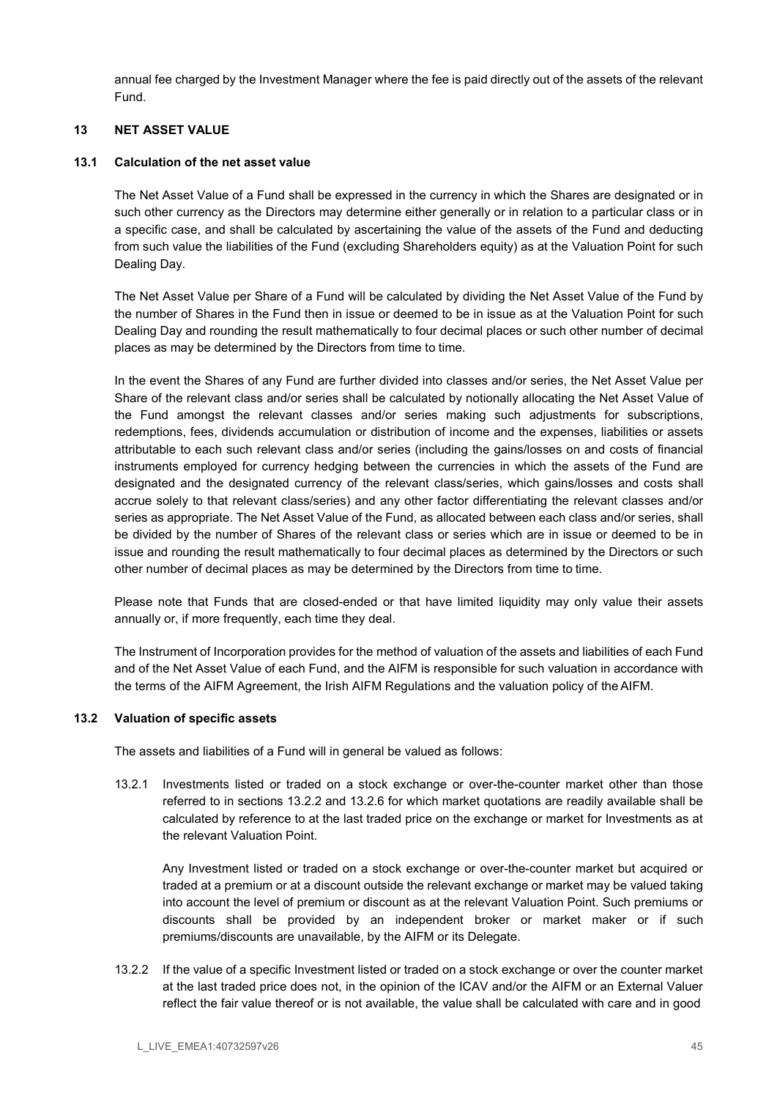annual fee charged by the Investment Manager where the fee is paid directly out of the assets of the relevant Fund.

### 13 NET ASSET VALUE

### 13.1 Calculation of the net asset value

The Net Asset Value of a Fund shall be expressed in the currency in which the Shares are designated or in such other currency as the Directors may determine either generally or in relation to a particular class or in a specific case, and shall be calculated by ascertaining the value of the assets of the Fund and deducting from such value the liabilities of the Fund (excluding Shareholders equity) as at the Valuation Point for such Dealing Day.

The Net Asset Value per Share of a Fund will be calculated by dividing the Net Asset Value of the Fund by the number of Shares in the Fund then in issue or deemed to be in issue as at the Valuation Point for such Dealing Day and rounding the result mathematically to four decimal places or such other number of decimal places as may be determined by the Directors from time to time.

In the event the Shares of any Fund are further divided into classes and/or series, the Net Asset Value per Share of the relevant class and/or series shall be calculated by notionally allocating the Net Asset Value of the Fund amongst the relevant classes and/or series making such adjustments for subscriptions, redemptions, fees, dividends accumulation or distribution of income and the expenses, liabilities or assets attributable to each such relevant class and/or series (including the gains/losses on and costs of financial instruments employed for currency hedging between the currencies in which the assets of the Fund are designated and the designated currency of the relevant class/series, which gains/losses and costs shall accrue solely to that relevant class/series) and any other factor differentiating the relevant classes and/or series as appropriate. The Net Asset Value of the Fund, as allocated between each class and/or series, shall be divided by the number of Shares of the relevant class or series which are in issue or deemed to be in issue and rounding the result mathematically to four decimal places as determined by the Directors or such other number of decimal places as may be determined by the Directors from time to time.

Please note that Funds that are closed-ended or that have limited liquidity may only value their assets annually or, if more frequently, each time they deal.

The Instrument of Incorporation provides for the method of valuation of the assets and liabilities of each Fund and of the Net Asset Value of each Fund, and the AIFM is responsible for such valuation in accordance with the terms of the AIFM Agreement, the Irish AIFM Regulations and the valuation policy of the AIFM.

### 13.2 Valuation of specific assets

The assets and liabilities of a Fund will in general be valued as follows:

13.2.1 Investments listed or traded on a stock exchange or over-the-counter market other than those referred to in sections 13.2.2 and 13.2.6 for which market quotations are readily available shall be calculated by reference to at the last traded price on the exchange or market for Investments as at the relevant Valuation Point.

Any Investment listed or traded on a stock exchange or over-the-counter market but acquired or traded at a premium or at a discount outside the relevant exchange or market may be valued taking into account the level of premium or discount as at the relevant Valuation Point. Such premiums or discounts shall be provided by an independent broker or market maker or if such premiums/discounts are unavailable, by the AIFM or its Delegate.

13.2.2 If the value of a specific Investment listed or traded on a stock exchange or over the counter market at the last traded price does not, in the opinion of the ICAV and/or the AIFM or an External Valuer reflect the fair value thereof or is not available, the value shall be calculated with care and in good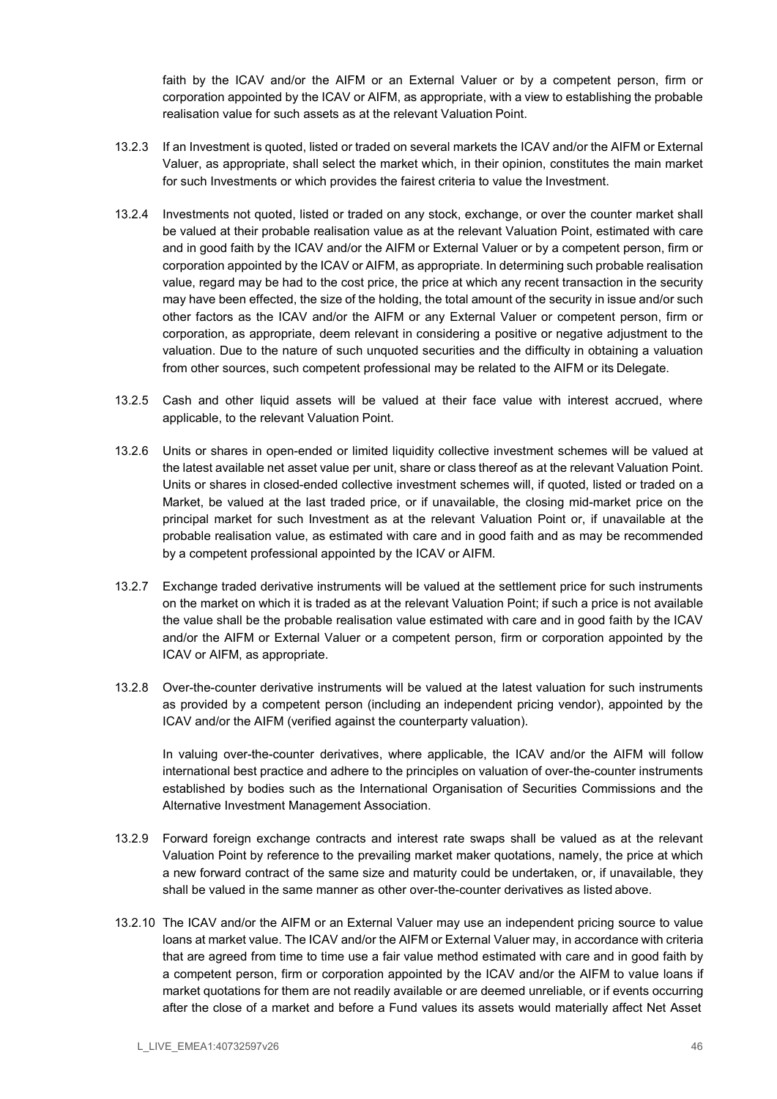faith by the ICAV and/or the AIFM or an External Valuer or by a competent person, firm or corporation appointed by the ICAV or AIFM, as appropriate, with a view to establishing the probable realisation value for such assets as at the relevant Valuation Point.

- 13.2.3 If an Investment is quoted, listed or traded on several markets the ICAV and/or the AIFM or External Valuer, as appropriate, shall select the market which, in their opinion, constitutes the main market for such Investments or which provides the fairest criteria to value the Investment.
- 13.2.4 Investments not quoted, listed or traded on any stock, exchange, or over the counter market shall be valued at their probable realisation value as at the relevant Valuation Point, estimated with care and in good faith by the ICAV and/or the AIFM or External Valuer or by a competent person, firm or corporation appointed by the ICAV or AIFM, as appropriate. In determining such probable realisation value, regard may be had to the cost price, the price at which any recent transaction in the security may have been effected, the size of the holding, the total amount of the security in issue and/or such other factors as the ICAV and/or the AIFM or any External Valuer or competent person, firm or corporation, as appropriate, deem relevant in considering a positive or negative adjustment to the valuation. Due to the nature of such unquoted securities and the difficulty in obtaining a valuation from other sources, such competent professional may be related to the AIFM or its Delegate.
- 13.2.5 Cash and other liquid assets will be valued at their face value with interest accrued, where applicable, to the relevant Valuation Point.
- 13.2.6 Units or shares in open-ended or limited liquidity collective investment schemes will be valued at the latest available net asset value per unit, share or class thereof as at the relevant Valuation Point. Units or shares in closed-ended collective investment schemes will, if quoted, listed or traded on a Market, be valued at the last traded price, or if unavailable, the closing mid-market price on the principal market for such Investment as at the relevant Valuation Point or, if unavailable at the probable realisation value, as estimated with care and in good faith and as may be recommended by a competent professional appointed by the ICAV or AIFM.
- 13.2.7 Exchange traded derivative instruments will be valued at the settlement price for such instruments on the market on which it is traded as at the relevant Valuation Point; if such a price is not available the value shall be the probable realisation value estimated with care and in good faith by the ICAV and/or the AIFM or External Valuer or a competent person, firm or corporation appointed by the ICAV or AIFM, as appropriate.
- 13.2.8 Over-the-counter derivative instruments will be valued at the latest valuation for such instruments as provided by a competent person (including an independent pricing vendor), appointed by the ICAV and/or the AIFM (verified against the counterparty valuation).

In valuing over-the-counter derivatives, where applicable, the ICAV and/or the AIFM will follow international best practice and adhere to the principles on valuation of over-the-counter instruments established by bodies such as the International Organisation of Securities Commissions and the Alternative Investment Management Association.

- 13.2.9 Forward foreign exchange contracts and interest rate swaps shall be valued as at the relevant Valuation Point by reference to the prevailing market maker quotations, namely, the price at which a new forward contract of the same size and maturity could be undertaken, or, if unavailable, they shall be valued in the same manner as other over-the-counter derivatives as listed above.
- 13.2.10 The ICAV and/or the AIFM or an External Valuer may use an independent pricing source to value loans at market value. The ICAV and/or the AIFM or External Valuer may, in accordance with criteria that are agreed from time to time use a fair value method estimated with care and in good faith by a competent person, firm or corporation appointed by the ICAV and/or the AIFM to value loans if market quotations for them are not readily available or are deemed unreliable, or if events occurring after the close of a market and before a Fund values its assets would materially affect Net Asset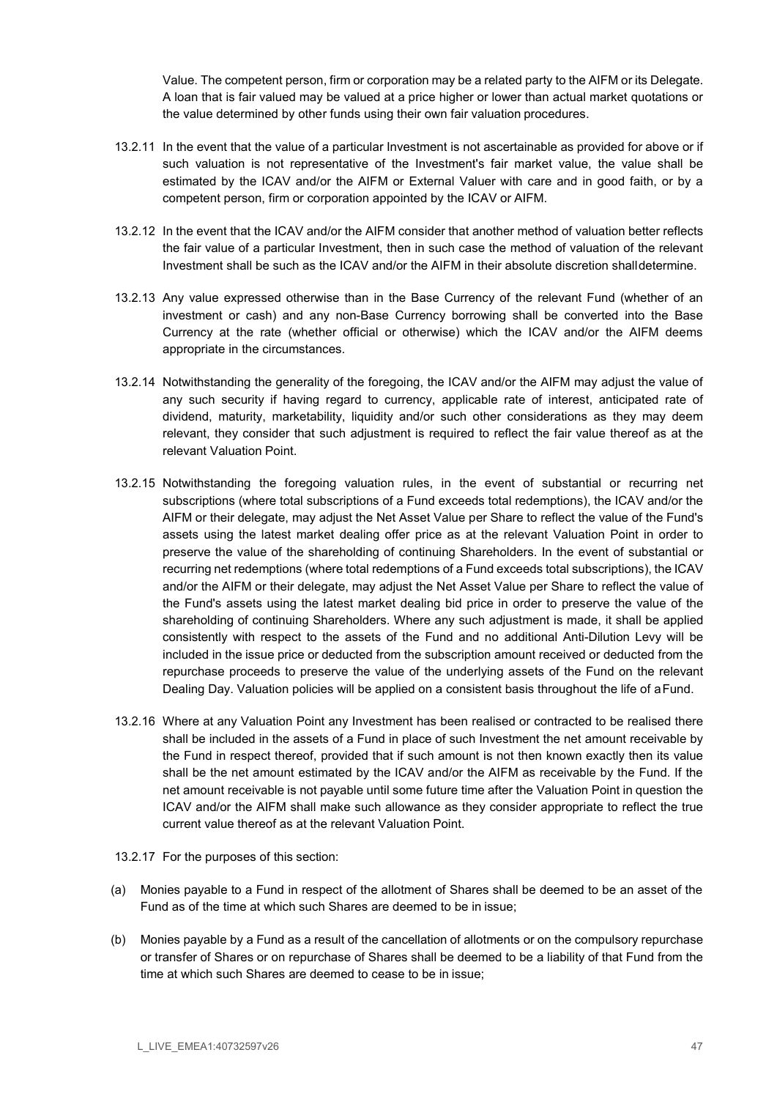Value. The competent person, firm or corporation may be a related party to the AIFM or its Delegate. A loan that is fair valued may be valued at a price higher or lower than actual market quotations or the value determined by other funds using their own fair valuation procedures.

- 13.2.11 In the event that the value of a particular Investment is not ascertainable as provided for above or if such valuation is not representative of the Investment's fair market value, the value shall be estimated by the ICAV and/or the AIFM or External Valuer with care and in good faith, or by a competent person, firm or corporation appointed by the ICAV or AIFM.
- 13.2.12 In the event that the ICAV and/or the AIFM consider that another method of valuation better reflects the fair value of a particular Investment, then in such case the method of valuation of the relevant Investment shall be such as the ICAV and/or the AIFM in their absolute discretion shall determine.
- 13.2.13 Any value expressed otherwise than in the Base Currency of the relevant Fund (whether of an investment or cash) and any non-Base Currency borrowing shall be converted into the Base Currency at the rate (whether official or otherwise) which the ICAV and/or the AIFM deems appropriate in the circumstances.
- 13.2.14 Notwithstanding the generality of the foregoing, the ICAV and/or the AIFM may adjust the value of any such security if having regard to currency, applicable rate of interest, anticipated rate of dividend, maturity, marketability, liquidity and/or such other considerations as they may deem relevant, they consider that such adjustment is required to reflect the fair value thereof as at the relevant Valuation Point.
- 13.2.15 Notwithstanding the foregoing valuation rules, in the event of substantial or recurring net subscriptions (where total subscriptions of a Fund exceeds total redemptions), the ICAV and/or the AIFM or their delegate, may adjust the Net Asset Value per Share to reflect the value of the Fund's assets using the latest market dealing offer price as at the relevant Valuation Point in order to preserve the value of the shareholding of continuing Shareholders. In the event of substantial or recurring net redemptions (where total redemptions of a Fund exceeds total subscriptions), the ICAV and/or the AIFM or their delegate, may adjust the Net Asset Value per Share to reflect the value of the Fund's assets using the latest market dealing bid price in order to preserve the value of the shareholding of continuing Shareholders. Where any such adjustment is made, it shall be applied consistently with respect to the assets of the Fund and no additional Anti-Dilution Levy will be included in the issue price or deducted from the subscription amount received or deducted from the repurchase proceeds to preserve the value of the underlying assets of the Fund on the relevant Dealing Day. Valuation policies will be applied on a consistent basis throughout the life of a Fund.
- 13.2.16 Where at any Valuation Point any Investment has been realised or contracted to be realised there shall be included in the assets of a Fund in place of such Investment the net amount receivable by the Fund in respect thereof, provided that if such amount is not then known exactly then its value shall be the net amount estimated by the ICAV and/or the AIFM as receivable by the Fund. If the net amount receivable is not payable until some future time after the Valuation Point in question the ICAV and/or the AIFM shall make such allowance as they consider appropriate to reflect the true current value thereof as at the relevant Valuation Point.
- 13.2.17 For the purposes of this section:
- (a) Monies payable to a Fund in respect of the allotment of Shares shall be deemed to be an asset of the Fund as of the time at which such Shares are deemed to be in issue;
- (b) Monies payable by a Fund as a result of the cancellation of allotments or on the compulsory repurchase or transfer of Shares or on repurchase of Shares shall be deemed to be a liability of that Fund from the time at which such Shares are deemed to cease to be in issue;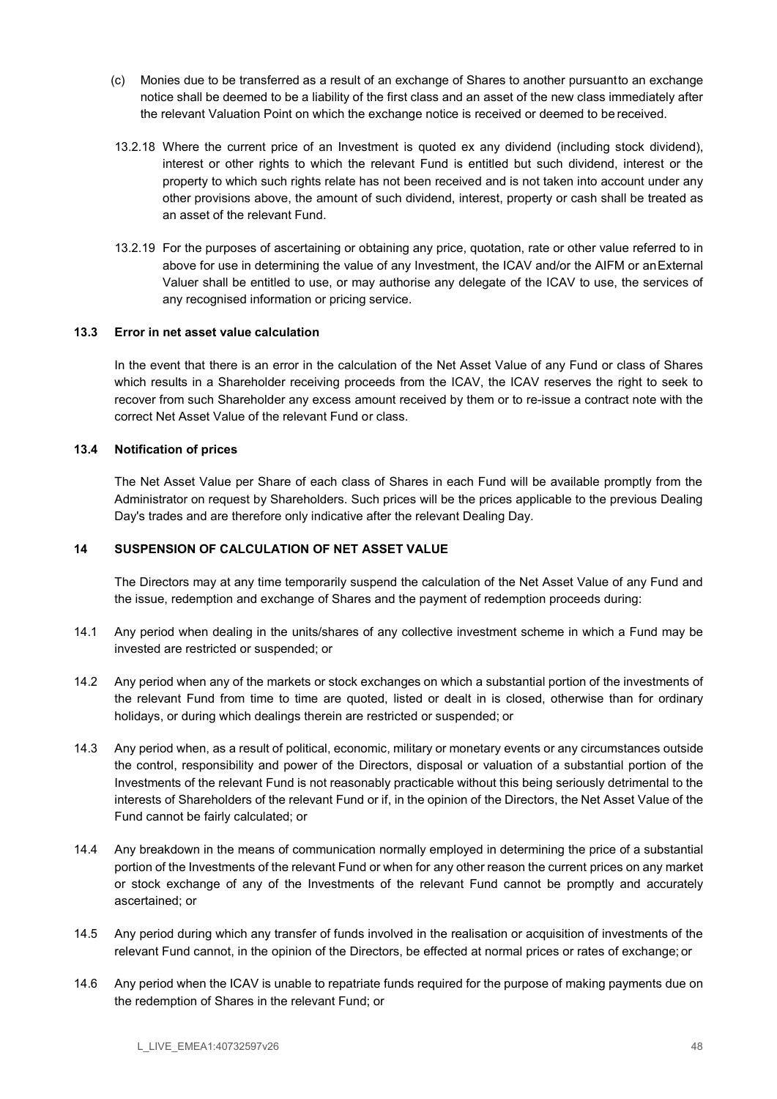- (c) Monies due to be transferred as a result of an exchange of Shares to another pursuant to an exchange notice shall be deemed to be a liability of the first class and an asset of the new class immediately after the relevant Valuation Point on which the exchange notice is received or deemed to be received.
- 13.2.18 Where the current price of an Investment is quoted ex any dividend (including stock dividend), interest or other rights to which the relevant Fund is entitled but such dividend, interest or the property to which such rights relate has not been received and is not taken into account under any other provisions above, the amount of such dividend, interest, property or cash shall be treated as an asset of the relevant Fund.
- 13.2.19 For the purposes of ascertaining or obtaining any price, quotation, rate or other value referred to in above for use in determining the value of any Investment, the ICAV and/or the AIFM or an External Valuer shall be entitled to use, or may authorise any delegate of the ICAV to use, the services of any recognised information or pricing service.

### 13.3 Error in net asset value calculation

In the event that there is an error in the calculation of the Net Asset Value of any Fund or class of Shares which results in a Shareholder receiving proceeds from the ICAV, the ICAV reserves the right to seek to recover from such Shareholder any excess amount received by them or to re-issue a contract note with the correct Net Asset Value of the relevant Fund or class.

### 13.4 Notification of prices

The Net Asset Value per Share of each class of Shares in each Fund will be available promptly from the Administrator on request by Shareholders. Such prices will be the prices applicable to the previous Dealing Day's trades and are therefore only indicative after the relevant Dealing Day.

### 14 SUSPENSION OF CALCULATION OF NET ASSET VALUE

The Directors may at any time temporarily suspend the calculation of the Net Asset Value of any Fund and the issue, redemption and exchange of Shares and the payment of redemption proceeds during:

- 14.1 Any period when dealing in the units/shares of any collective investment scheme in which a Fund may be invested are restricted or suspended; or
- 14.2 Any period when any of the markets or stock exchanges on which a substantial portion of the investments of the relevant Fund from time to time are quoted, listed or dealt in is closed, otherwise than for ordinary holidays, or during which dealings therein are restricted or suspended; or
- 14.3 Any period when, as a result of political, economic, military or monetary events or any circumstances outside the control, responsibility and power of the Directors, disposal or valuation of a substantial portion of the Investments of the relevant Fund is not reasonably practicable without this being seriously detrimental to the interests of Shareholders of the relevant Fund or if, in the opinion of the Directors, the Net Asset Value of the Fund cannot be fairly calculated; or
- 14.4 Any breakdown in the means of communication normally employed in determining the price of a substantial portion of the Investments of the relevant Fund or when for any other reason the current prices on any market or stock exchange of any of the Investments of the relevant Fund cannot be promptly and accurately ascertained; or
- 14.5 Any period during which any transfer of funds involved in the realisation or acquisition of investments of the relevant Fund cannot, in the opinion of the Directors, be effected at normal prices or rates of exchange; or
- 14.6 Any period when the ICAV is unable to repatriate funds required for the purpose of making payments due on the redemption of Shares in the relevant Fund; or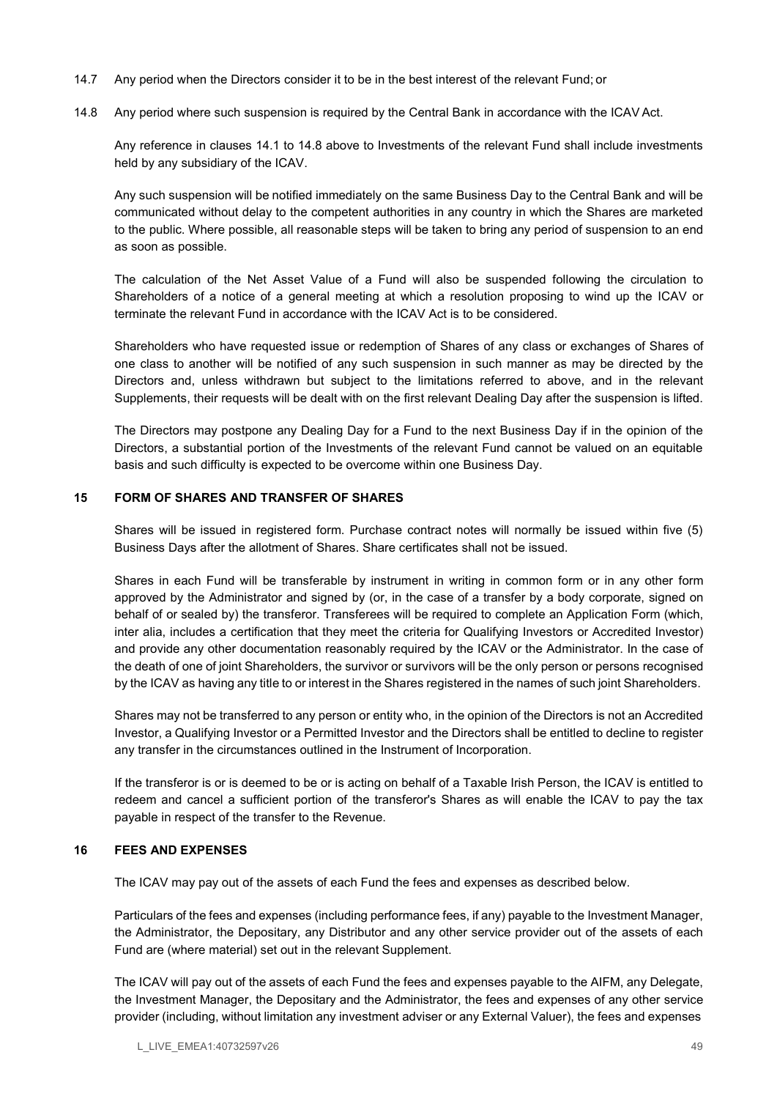- 14.7 Any period when the Directors consider it to be in the best interest of the relevant Fund; or
- 14.8 Any period where such suspension is required by the Central Bank in accordance with the ICAV Act.

Any reference in clauses 14.1 to 14.8 above to Investments of the relevant Fund shall include investments held by any subsidiary of the ICAV.

Any such suspension will be notified immediately on the same Business Day to the Central Bank and will be communicated without delay to the competent authorities in any country in which the Shares are marketed to the public. Where possible, all reasonable steps will be taken to bring any period of suspension to an end as soon as possible.

The calculation of the Net Asset Value of a Fund will also be suspended following the circulation to Shareholders of a notice of a general meeting at which a resolution proposing to wind up the ICAV or terminate the relevant Fund in accordance with the ICAV Act is to be considered.

Shareholders who have requested issue or redemption of Shares of any class or exchanges of Shares of one class to another will be notified of any such suspension in such manner as may be directed by the Directors and, unless withdrawn but subject to the limitations referred to above, and in the relevant Supplements, their requests will be dealt with on the first relevant Dealing Day after the suspension is lifted.

The Directors may postpone any Dealing Day for a Fund to the next Business Day if in the opinion of the Directors, a substantial portion of the Investments of the relevant Fund cannot be valued on an equitable basis and such difficulty is expected to be overcome within one Business Day.

### 15 FORM OF SHARES AND TRANSFER OF SHARES

Shares will be issued in registered form. Purchase contract notes will normally be issued within five (5) Business Days after the allotment of Shares. Share certificates shall not be issued.

Shares in each Fund will be transferable by instrument in writing in common form or in any other form approved by the Administrator and signed by (or, in the case of a transfer by a body corporate, signed on behalf of or sealed by) the transferor. Transferees will be required to complete an Application Form (which, inter alia, includes a certification that they meet the criteria for Qualifying Investors or Accredited Investor) and provide any other documentation reasonably required by the ICAV or the Administrator. In the case of the death of one of joint Shareholders, the survivor or survivors will be the only person or persons recognised by the ICAV as having any title to or interest in the Shares registered in the names of such joint Shareholders.

Shares may not be transferred to any person or entity who, in the opinion of the Directors is not an Accredited Investor, a Qualifying Investor or a Permitted Investor and the Directors shall be entitled to decline to register any transfer in the circumstances outlined in the Instrument of Incorporation.

If the transferor is or is deemed to be or is acting on behalf of a Taxable Irish Person, the ICAV is entitled to redeem and cancel a sufficient portion of the transferor's Shares as will enable the ICAV to pay the tax payable in respect of the transfer to the Revenue.

### 16 FEES AND EXPENSES

The ICAV may pay out of the assets of each Fund the fees and expenses as described below.

Particulars of the fees and expenses (including performance fees, if any) payable to the Investment Manager, the Administrator, the Depositary, any Distributor and any other service provider out of the assets of each Fund are (where material) set out in the relevant Supplement.

The ICAV will pay out of the assets of each Fund the fees and expenses payable to the AIFM, any Delegate, the Investment Manager, the Depositary and the Administrator, the fees and expenses of any other service provider (including, without limitation any investment adviser or any External Valuer), the fees and expenses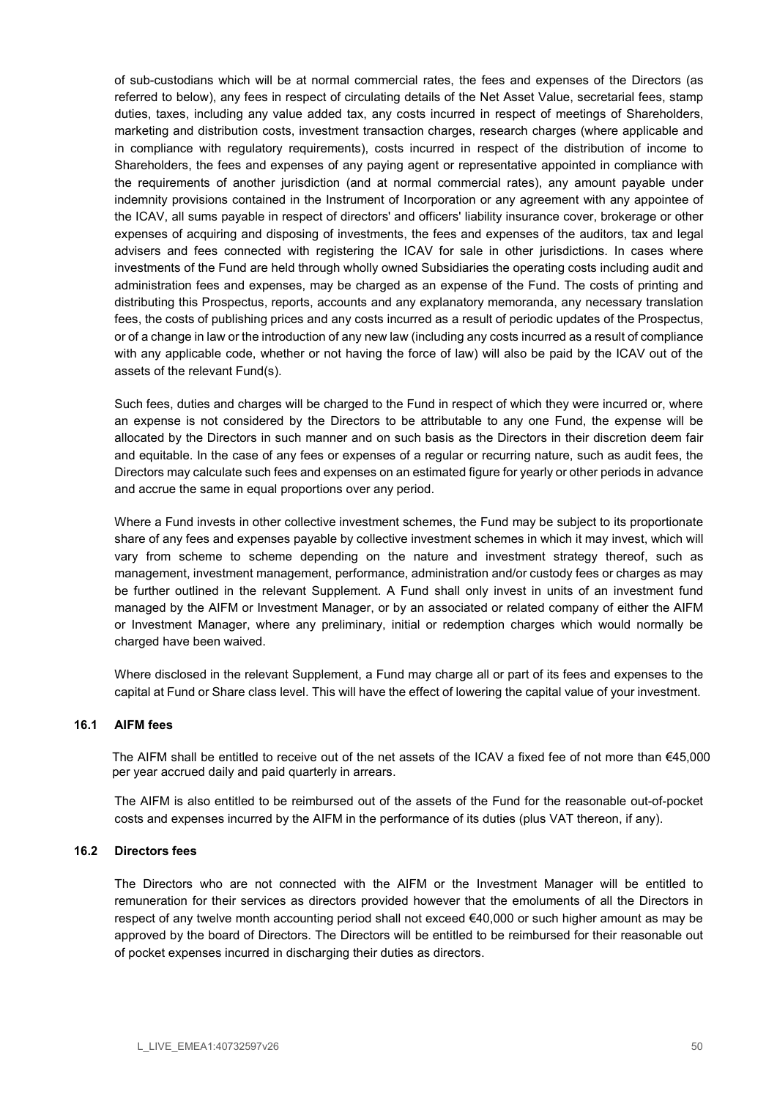of sub-custodians which will be at normal commercial rates, the fees and expenses of the Directors (as referred to below), any fees in respect of circulating details of the Net Asset Value, secretarial fees, stamp duties, taxes, including any value added tax, any costs incurred in respect of meetings of Shareholders, marketing and distribution costs, investment transaction charges, research charges (where applicable and in compliance with regulatory requirements), costs incurred in respect of the distribution of income to Shareholders, the fees and expenses of any paying agent or representative appointed in compliance with the requirements of another jurisdiction (and at normal commercial rates), any amount payable under indemnity provisions contained in the Instrument of Incorporation or any agreement with any appointee of the ICAV, all sums payable in respect of directors' and officers' liability insurance cover, brokerage or other expenses of acquiring and disposing of investments, the fees and expenses of the auditors, tax and legal advisers and fees connected with registering the ICAV for sale in other jurisdictions. In cases where investments of the Fund are held through wholly owned Subsidiaries the operating costs including audit and administration fees and expenses, may be charged as an expense of the Fund. The costs of printing and distributing this Prospectus, reports, accounts and any explanatory memoranda, any necessary translation fees, the costs of publishing prices and any costs incurred as a result of periodic updates of the Prospectus, or of a change in law or the introduction of any new law (including any costs incurred as a result of compliance with any applicable code, whether or not having the force of law) will also be paid by the ICAV out of the assets of the relevant Fund(s).

Such fees, duties and charges will be charged to the Fund in respect of which they were incurred or, where an expense is not considered by the Directors to be attributable to any one Fund, the expense will be allocated by the Directors in such manner and on such basis as the Directors in their discretion deem fair and equitable. In the case of any fees or expenses of a regular or recurring nature, such as audit fees, the Directors may calculate such fees and expenses on an estimated figure for yearly or other periods in advance and accrue the same in equal proportions over any period.

Where a Fund invests in other collective investment schemes, the Fund may be subject to its proportionate share of any fees and expenses payable by collective investment schemes in which it may invest, which will vary from scheme to scheme depending on the nature and investment strategy thereof, such as management, investment management, performance, administration and/or custody fees or charges as may be further outlined in the relevant Supplement. A Fund shall only invest in units of an investment fund managed by the AIFM or Investment Manager, or by an associated or related company of either the AIFM or Investment Manager, where any preliminary, initial or redemption charges which would normally be charged have been waived.

Where disclosed in the relevant Supplement, a Fund may charge all or part of its fees and expenses to the capital at Fund or Share class level. This will have the effect of lowering the capital value of your investment.

### 16.1 AIFM fees

The AIFM shall be entitled to receive out of the net assets of the ICAV a fixed fee of not more than €45,000 per year accrued daily and paid quarterly in arrears.

The AIFM is also entitled to be reimbursed out of the assets of the Fund for the reasonable out-of-pocket costs and expenses incurred by the AIFM in the performance of its duties (plus VAT thereon, if any).

### 16.2 Directors fees

The Directors who are not connected with the AIFM or the Investment Manager will be entitled to remuneration for their services as directors provided however that the emoluments of all the Directors in respect of any twelve month accounting period shall not exceed €40,000 or such higher amount as may be approved by the board of Directors. The Directors will be entitled to be reimbursed for their reasonable out of pocket expenses incurred in discharging their duties as directors.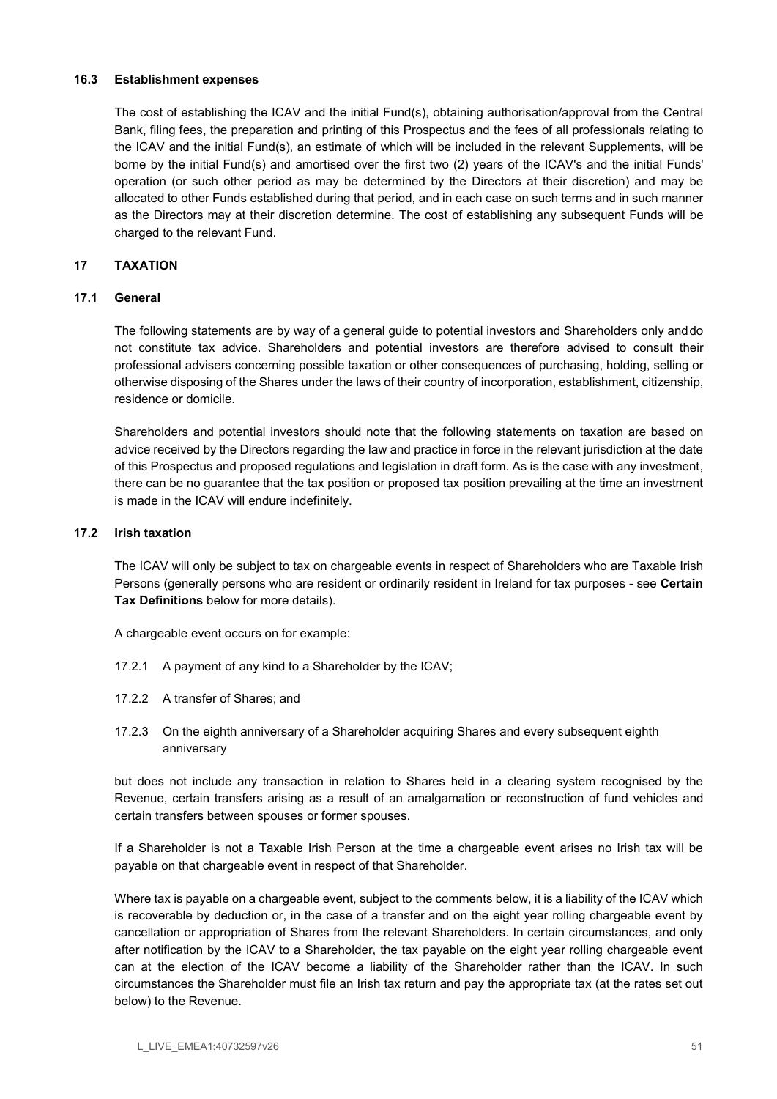### 16.3 Establishment expenses

The cost of establishing the ICAV and the initial Fund(s), obtaining authorisation/approval from the Central Bank, filing fees, the preparation and printing of this Prospectus and the fees of all professionals relating to the ICAV and the initial Fund(s), an estimate of which will be included in the relevant Supplements, will be borne by the initial Fund(s) and amortised over the first two (2) years of the ICAV's and the initial Funds' operation (or such other period as may be determined by the Directors at their discretion) and may be allocated to other Funds established during that period, and in each case on such terms and in such manner as the Directors may at their discretion determine. The cost of establishing any subsequent Funds will be charged to the relevant Fund.

### 17 TAXATION

### 17.1 General

The following statements are by way of a general guide to potential investors and Shareholders only and do not constitute tax advice. Shareholders and potential investors are therefore advised to consult their professional advisers concerning possible taxation or other consequences of purchasing, holding, selling or otherwise disposing of the Shares under the laws of their country of incorporation, establishment, citizenship, residence or domicile.

Shareholders and potential investors should note that the following statements on taxation are based on advice received by the Directors regarding the law and practice in force in the relevant jurisdiction at the date of this Prospectus and proposed regulations and legislation in draft form. As is the case with any investment, there can be no guarantee that the tax position or proposed tax position prevailing at the time an investment is made in the ICAV will endure indefinitely.

### 17.2 Irish taxation

The ICAV will only be subject to tax on chargeable events in respect of Shareholders who are Taxable Irish Persons (generally persons who are resident or ordinarily resident in Ireland for tax purposes - see Certain Tax Definitions below for more details).

A chargeable event occurs on for example:

- 17.2.1 A payment of any kind to a Shareholder by the ICAV;
- 17.2.2 A transfer of Shares; and
- 17.2.3 On the eighth anniversary of a Shareholder acquiring Shares and every subsequent eighth anniversary

but does not include any transaction in relation to Shares held in a clearing system recognised by the Revenue, certain transfers arising as a result of an amalgamation or reconstruction of fund vehicles and certain transfers between spouses or former spouses.

If a Shareholder is not a Taxable Irish Person at the time a chargeable event arises no Irish tax will be payable on that chargeable event in respect of that Shareholder.

Where tax is payable on a chargeable event, subject to the comments below, it is a liability of the ICAV which is recoverable by deduction or, in the case of a transfer and on the eight year rolling chargeable event by cancellation or appropriation of Shares from the relevant Shareholders. In certain circumstances, and only after notification by the ICAV to a Shareholder, the tax payable on the eight year rolling chargeable event can at the election of the ICAV become a liability of the Shareholder rather than the ICAV. In such circumstances the Shareholder must file an Irish tax return and pay the appropriate tax (at the rates set out below) to the Revenue.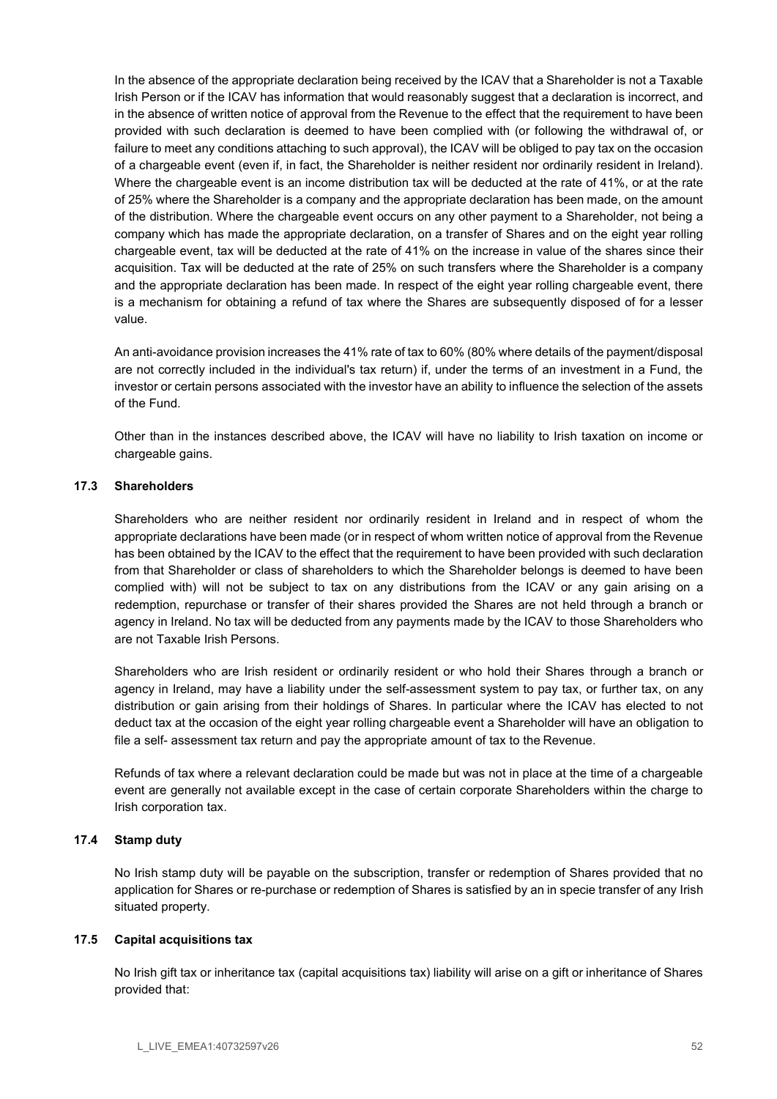In the absence of the appropriate declaration being received by the ICAV that a Shareholder is not a Taxable Irish Person or if the ICAV has information that would reasonably suggest that a declaration is incorrect, and in the absence of written notice of approval from the Revenue to the effect that the requirement to have been provided with such declaration is deemed to have been complied with (or following the withdrawal of, or failure to meet any conditions attaching to such approval), the ICAV will be obliged to pay tax on the occasion of a chargeable event (even if, in fact, the Shareholder is neither resident nor ordinarily resident in Ireland). Where the chargeable event is an income distribution tax will be deducted at the rate of 41%, or at the rate of 25% where the Shareholder is a company and the appropriate declaration has been made, on the amount of the distribution. Where the chargeable event occurs on any other payment to a Shareholder, not being a company which has made the appropriate declaration, on a transfer of Shares and on the eight year rolling chargeable event, tax will be deducted at the rate of 41% on the increase in value of the shares since their acquisition. Tax will be deducted at the rate of 25% on such transfers where the Shareholder is a company and the appropriate declaration has been made. In respect of the eight year rolling chargeable event, there is a mechanism for obtaining a refund of tax where the Shares are subsequently disposed of for a lesser value.

An anti-avoidance provision increases the 41% rate of tax to 60% (80% where details of the payment/disposal are not correctly included in the individual's tax return) if, under the terms of an investment in a Fund, the investor or certain persons associated with the investor have an ability to influence the selection of the assets of the Fund.

Other than in the instances described above, the ICAV will have no liability to Irish taxation on income or chargeable gains.

### 17.3 Shareholders

Shareholders who are neither resident nor ordinarily resident in Ireland and in respect of whom the appropriate declarations have been made (or in respect of whom written notice of approval from the Revenue has been obtained by the ICAV to the effect that the requirement to have been provided with such declaration from that Shareholder or class of shareholders to which the Shareholder belongs is deemed to have been complied with) will not be subject to tax on any distributions from the ICAV or any gain arising on a redemption, repurchase or transfer of their shares provided the Shares are not held through a branch or agency in Ireland. No tax will be deducted from any payments made by the ICAV to those Shareholders who are not Taxable Irish Persons.

Shareholders who are Irish resident or ordinarily resident or who hold their Shares through a branch or agency in Ireland, may have a liability under the self-assessment system to pay tax, or further tax, on any distribution or gain arising from their holdings of Shares. In particular where the ICAV has elected to not deduct tax at the occasion of the eight year rolling chargeable event a Shareholder will have an obligation to file a self- assessment tax return and pay the appropriate amount of tax to the Revenue.

Refunds of tax where a relevant declaration could be made but was not in place at the time of a chargeable event are generally not available except in the case of certain corporate Shareholders within the charge to Irish corporation tax.

# 17.4 Stamp duty

No Irish stamp duty will be payable on the subscription, transfer or redemption of Shares provided that no application for Shares or re-purchase or redemption of Shares is satisfied by an in specie transfer of any Irish situated property.

### 17.5 Capital acquisitions tax

No Irish gift tax or inheritance tax (capital acquisitions tax) liability will arise on a gift or inheritance of Shares provided that: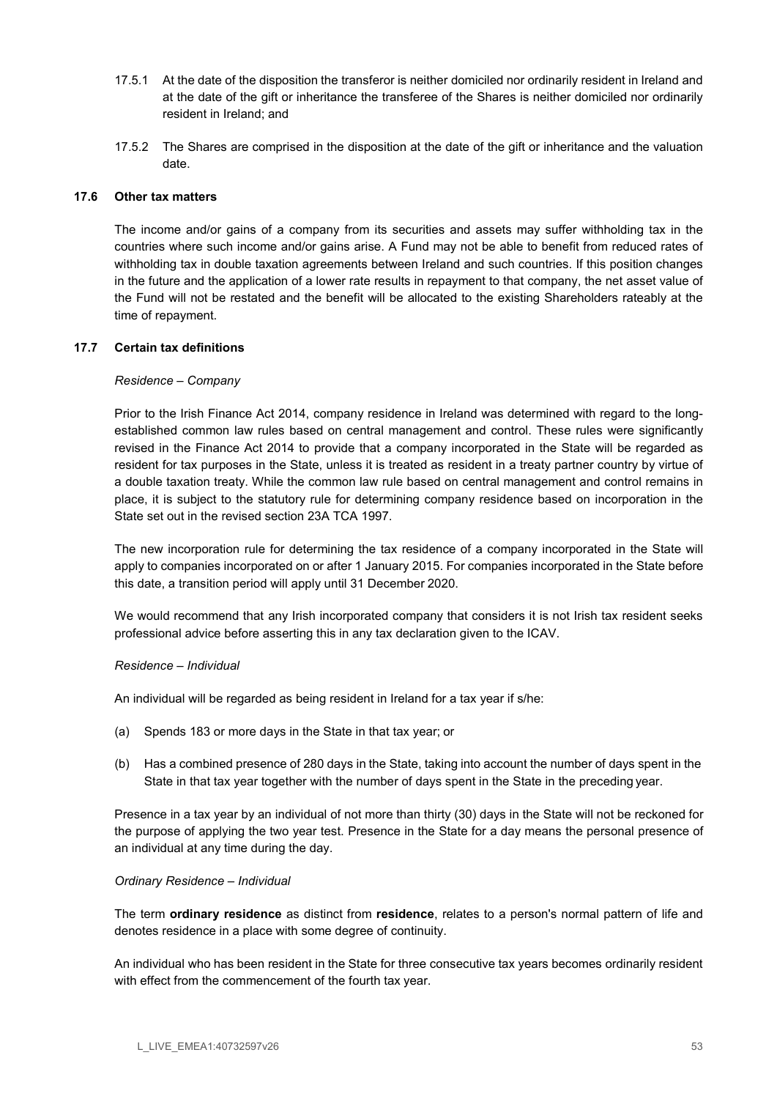- 17.5.1 At the date of the disposition the transferor is neither domiciled nor ordinarily resident in Ireland and at the date of the gift or inheritance the transferee of the Shares is neither domiciled nor ordinarily resident in Ireland; and
- 17.5.2 The Shares are comprised in the disposition at the date of the gift or inheritance and the valuation date.

### 17.6 Other tax matters

The income and/or gains of a company from its securities and assets may suffer withholding tax in the countries where such income and/or gains arise. A Fund may not be able to benefit from reduced rates of withholding tax in double taxation agreements between Ireland and such countries. If this position changes in the future and the application of a lower rate results in repayment to that company, the net asset value of the Fund will not be restated and the benefit will be allocated to the existing Shareholders rateably at the time of repayment.

### 17.7 Certain tax definitions

### Residence – Company

Prior to the Irish Finance Act 2014, company residence in Ireland was determined with regard to the longestablished common law rules based on central management and control. These rules were significantly revised in the Finance Act 2014 to provide that a company incorporated in the State will be regarded as resident for tax purposes in the State, unless it is treated as resident in a treaty partner country by virtue of a double taxation treaty. While the common law rule based on central management and control remains in place, it is subject to the statutory rule for determining company residence based on incorporation in the State set out in the revised section 23A TCA 1997.

The new incorporation rule for determining the tax residence of a company incorporated in the State will apply to companies incorporated on or after 1 January 2015. For companies incorporated in the State before this date, a transition period will apply until 31 December 2020.

We would recommend that any Irish incorporated company that considers it is not Irish tax resident seeks professional advice before asserting this in any tax declaration given to the ICAV.

### Residence – Individual

An individual will be regarded as being resident in Ireland for a tax year if s/he:

- (a) Spends 183 or more days in the State in that tax year; or
- (b) Has a combined presence of 280 days in the State, taking into account the number of days spent in the State in that tax year together with the number of days spent in the State in the preceding year.

Presence in a tax year by an individual of not more than thirty (30) days in the State will not be reckoned for the purpose of applying the two year test. Presence in the State for a day means the personal presence of an individual at any time during the day.

### Ordinary Residence – Individual

The term ordinary residence as distinct from residence, relates to a person's normal pattern of life and denotes residence in a place with some degree of continuity.

An individual who has been resident in the State for three consecutive tax years becomes ordinarily resident with effect from the commencement of the fourth tax year.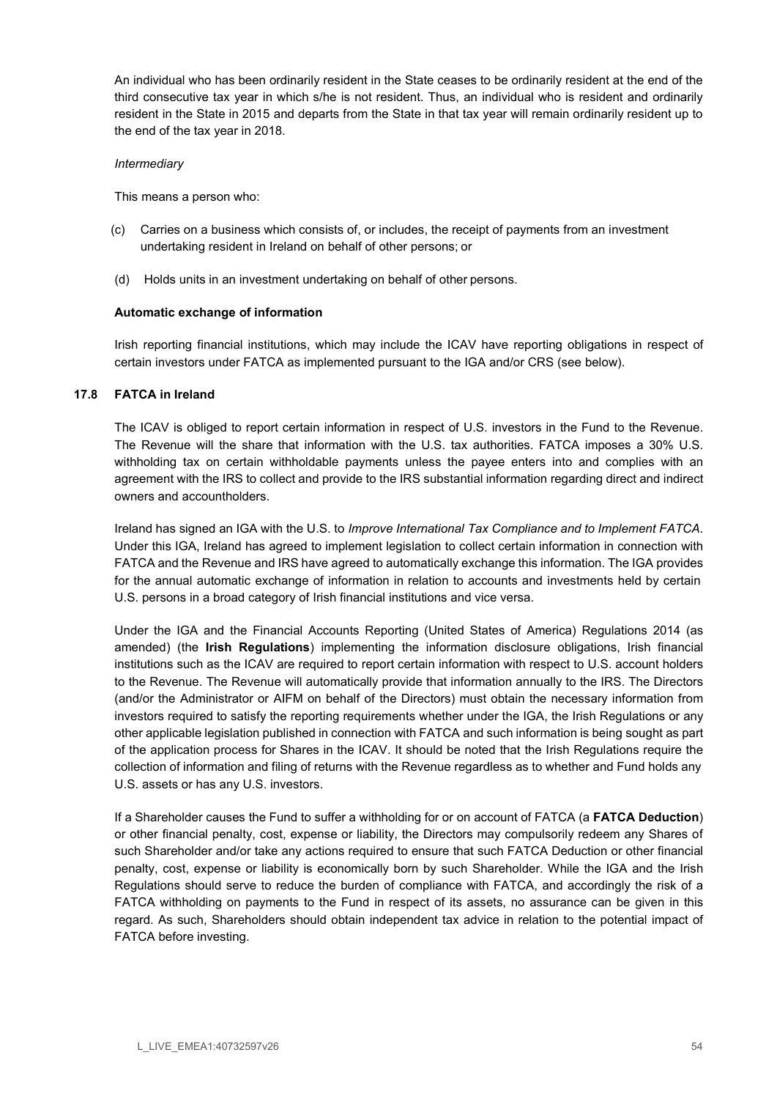An individual who has been ordinarily resident in the State ceases to be ordinarily resident at the end of the third consecutive tax year in which s/he is not resident. Thus, an individual who is resident and ordinarily resident in the State in 2015 and departs from the State in that tax year will remain ordinarily resident up to the end of the tax year in 2018.

### Intermediary

This means a person who:

- (c) Carries on a business which consists of, or includes, the receipt of payments from an investment undertaking resident in Ireland on behalf of other persons; or
- (d) Holds units in an investment undertaking on behalf of other persons.

### Automatic exchange of information

Irish reporting financial institutions, which may include the ICAV have reporting obligations in respect of certain investors under FATCA as implemented pursuant to the IGA and/or CRS (see below).

### 17.8 FATCA in Ireland

The ICAV is obliged to report certain information in respect of U.S. investors in the Fund to the Revenue. The Revenue will the share that information with the U.S. tax authorities. FATCA imposes a 30% U.S. withholding tax on certain withholdable payments unless the payee enters into and complies with an agreement with the IRS to collect and provide to the IRS substantial information regarding direct and indirect owners and accountholders.

Ireland has signed an IGA with the U.S. to Improve International Tax Compliance and to Implement FATCA. Under this IGA, Ireland has agreed to implement legislation to collect certain information in connection with FATCA and the Revenue and IRS have agreed to automatically exchange this information. The IGA provides for the annual automatic exchange of information in relation to accounts and investments held by certain U.S. persons in a broad category of Irish financial institutions and vice versa.

Under the IGA and the Financial Accounts Reporting (United States of America) Regulations 2014 (as amended) (the Irish Regulations) implementing the information disclosure obligations, Irish financial institutions such as the ICAV are required to report certain information with respect to U.S. account holders to the Revenue. The Revenue will automatically provide that information annually to the IRS. The Directors (and/or the Administrator or AIFM on behalf of the Directors) must obtain the necessary information from investors required to satisfy the reporting requirements whether under the IGA, the Irish Regulations or any other applicable legislation published in connection with FATCA and such information is being sought as part of the application process for Shares in the ICAV. It should be noted that the Irish Regulations require the collection of information and filing of returns with the Revenue regardless as to whether and Fund holds any U.S. assets or has any U.S. investors.

If a Shareholder causes the Fund to suffer a withholding for or on account of FATCA (a FATCA Deduction) or other financial penalty, cost, expense or liability, the Directors may compulsorily redeem any Shares of such Shareholder and/or take any actions required to ensure that such FATCA Deduction or other financial penalty, cost, expense or liability is economically born by such Shareholder. While the IGA and the Irish Regulations should serve to reduce the burden of compliance with FATCA, and accordingly the risk of a FATCA withholding on payments to the Fund in respect of its assets, no assurance can be given in this regard. As such, Shareholders should obtain independent tax advice in relation to the potential impact of FATCA before investing.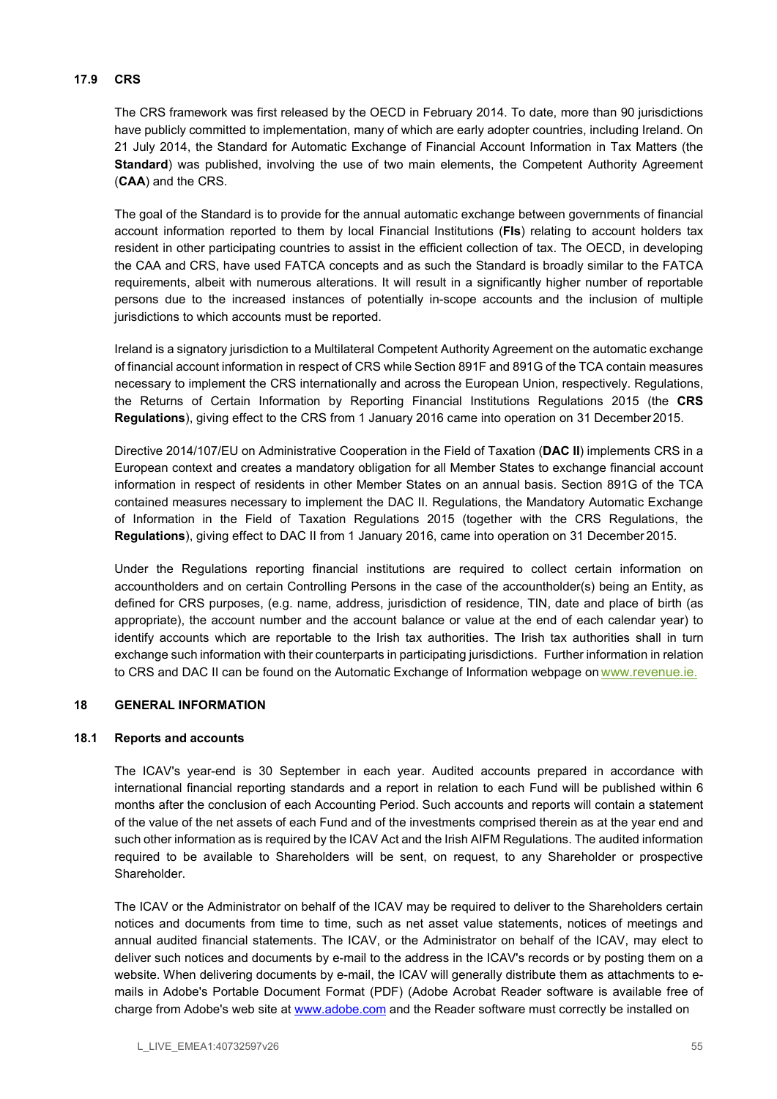### 17.9 CRS

The CRS framework was first released by the OECD in February 2014. To date, more than 90 jurisdictions have publicly committed to implementation, many of which are early adopter countries, including Ireland. On 21 July 2014, the Standard for Automatic Exchange of Financial Account Information in Tax Matters (the Standard) was published, involving the use of two main elements, the Competent Authority Agreement (CAA) and the CRS.

The goal of the Standard is to provide for the annual automatic exchange between governments of financial account information reported to them by local Financial Institutions (FIs) relating to account holders tax resident in other participating countries to assist in the efficient collection of tax. The OECD, in developing the CAA and CRS, have used FATCA concepts and as such the Standard is broadly similar to the FATCA requirements, albeit with numerous alterations. It will result in a significantly higher number of reportable persons due to the increased instances of potentially in-scope accounts and the inclusion of multiple jurisdictions to which accounts must be reported.

Ireland is a signatory jurisdiction to a Multilateral Competent Authority Agreement on the automatic exchange of financial account information in respect of CRS while Section 891F and 891G of the TCA contain measures necessary to implement the CRS internationally and across the European Union, respectively. Regulations, the Returns of Certain Information by Reporting Financial Institutions Regulations 2015 (the CRS Regulations), giving effect to the CRS from 1 January 2016 came into operation on 31 December 2015.

Directive 2014/107/EU on Administrative Cooperation in the Field of Taxation (DAC II) implements CRS in a European context and creates a mandatory obligation for all Member States to exchange financial account information in respect of residents in other Member States on an annual basis. Section 891G of the TCA contained measures necessary to implement the DAC II. Regulations, the Mandatory Automatic Exchange of Information in the Field of Taxation Regulations 2015 (together with the CRS Regulations, the Regulations), giving effect to DAC II from 1 January 2016, came into operation on 31 December 2015.

Under the Regulations reporting financial institutions are required to collect certain information on accountholders and on certain Controlling Persons in the case of the accountholder(s) being an Entity, as defined for CRS purposes, (e.g. name, address, jurisdiction of residence, TIN, date and place of birth (as appropriate), the account number and the account balance or value at the end of each calendar year) to identify accounts which are reportable to the Irish tax authorities. The Irish tax authorities shall in turn exchange such information with their counterparts in participating jurisdictions. Further information in relation to CRS and DAC II can be found on the Automatic Exchange of Information webpage on www.revenue.ie.

# 18 GENERAL INFORMATION

### 18.1 Reports and accounts

The ICAV's year-end is 30 September in each year. Audited accounts prepared in accordance with international financial reporting standards and a report in relation to each Fund will be published within 6 months after the conclusion of each Accounting Period. Such accounts and reports will contain a statement of the value of the net assets of each Fund and of the investments comprised therein as at the year end and such other information as is required by the ICAV Act and the Irish AIFM Regulations. The audited information required to be available to Shareholders will be sent, on request, to any Shareholder or prospective **Shareholder** 

The ICAV or the Administrator on behalf of the ICAV may be required to deliver to the Shareholders certain notices and documents from time to time, such as net asset value statements, notices of meetings and annual audited financial statements. The ICAV, or the Administrator on behalf of the ICAV, may elect to deliver such notices and documents by e-mail to the address in the ICAV's records or by posting them on a website. When delivering documents by e-mail, the ICAV will generally distribute them as attachments to emails in Adobe's Portable Document Format (PDF) (Adobe Acrobat Reader software is available free of charge from Adobe's web site at www.adobe.com and the Reader software must correctly be installed on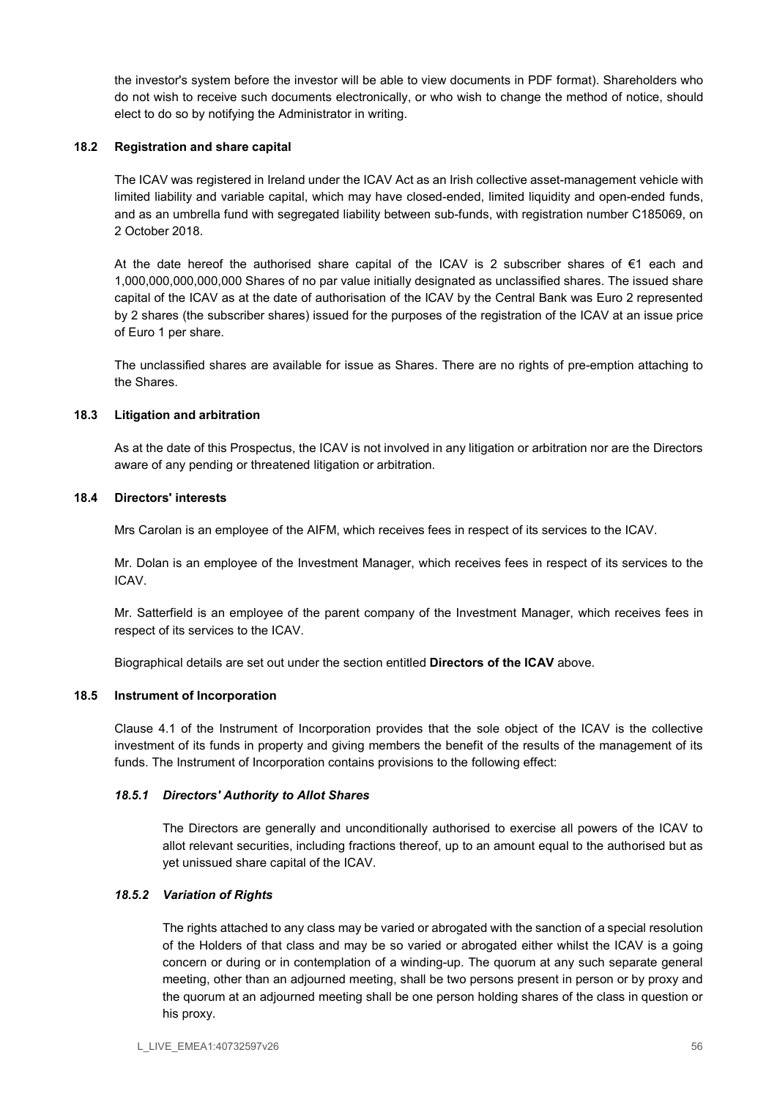the investor's system before the investor will be able to view documents in PDF format). Shareholders who do not wish to receive such documents electronically, or who wish to change the method of notice, should elect to do so by notifying the Administrator in writing.

### 18.2 Registration and share capital

The ICAV was registered in Ireland under the ICAV Act as an Irish collective asset-management vehicle with limited liability and variable capital, which may have closed-ended, limited liquidity and open-ended funds, and as an umbrella fund with segregated liability between sub-funds, with registration number C185069, on 2 October 2018.

At the date hereof the authorised share capital of the ICAV is 2 subscriber shares of €1 each and 1,000,000,000,000,000 Shares of no par value initially designated as unclassified shares. The issued share capital of the ICAV as at the date of authorisation of the ICAV by the Central Bank was Euro 2 represented by 2 shares (the subscriber shares) issued for the purposes of the registration of the ICAV at an issue price of Euro 1 per share.

The unclassified shares are available for issue as Shares. There are no rights of pre-emption attaching to the Shares.

### 18.3 Litigation and arbitration

As at the date of this Prospectus, the ICAV is not involved in any litigation or arbitration nor are the Directors aware of any pending or threatened litigation or arbitration.

### 18.4 Directors' interests

Mrs Carolan is an employee of the AIFM, which receives fees in respect of its services to the ICAV.

Mr. Dolan is an employee of the Investment Manager, which receives fees in respect of its services to the ICAV.

Mr. Satterfield is an employee of the parent company of the Investment Manager, which receives fees in respect of its services to the ICAV.

Biographical details are set out under the section entitled Directors of the ICAV above.

### 18.5 Instrument of Incorporation

Clause 4.1 of the Instrument of Incorporation provides that the sole object of the ICAV is the collective investment of its funds in property and giving members the benefit of the results of the management of its funds. The Instrument of Incorporation contains provisions to the following effect:

### 18.5.1 Directors' Authority to Allot Shares

The Directors are generally and unconditionally authorised to exercise all powers of the ICAV to allot relevant securities, including fractions thereof, up to an amount equal to the authorised but as yet unissued share capital of the ICAV.

### 18.5.2 Variation of Rights

The rights attached to any class may be varied or abrogated with the sanction of a special resolution of the Holders of that class and may be so varied or abrogated either whilst the ICAV is a going concern or during or in contemplation of a winding-up. The quorum at any such separate general meeting, other than an adjourned meeting, shall be two persons present in person or by proxy and the quorum at an adjourned meeting shall be one person holding shares of the class in question or his proxy.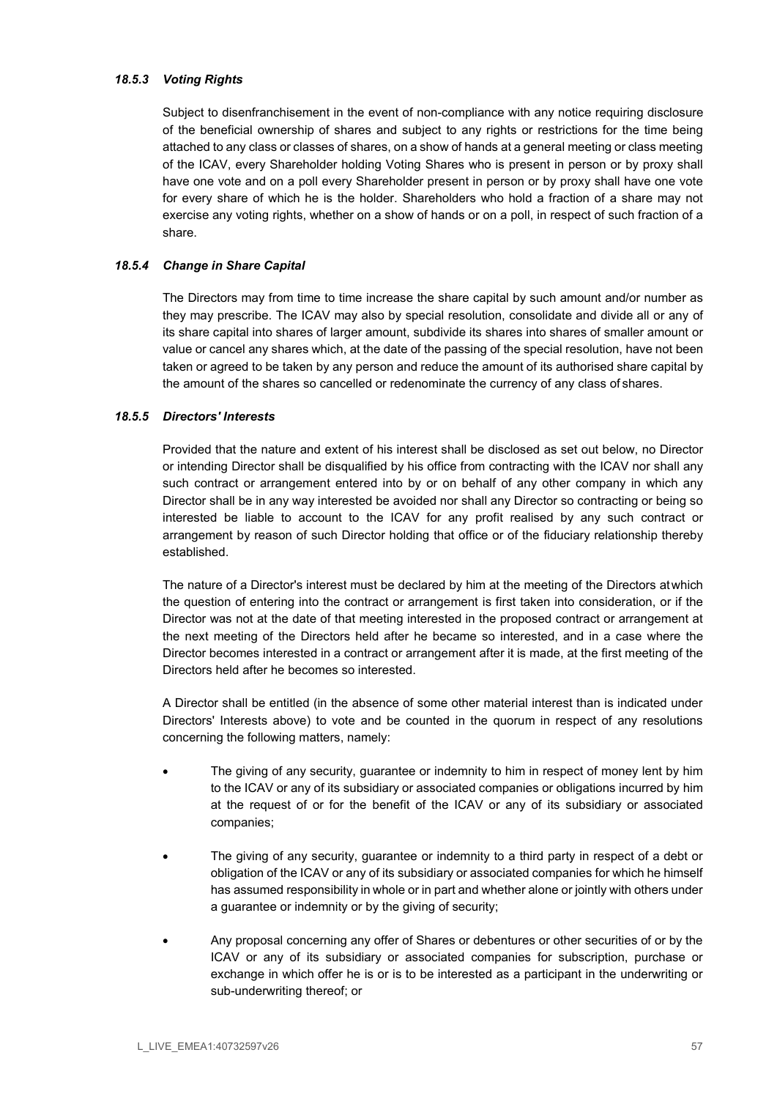### 18.5.3 Voting Rights

Subject to disenfranchisement in the event of non-compliance with any notice requiring disclosure of the beneficial ownership of shares and subject to any rights or restrictions for the time being attached to any class or classes of shares, on a show of hands at a general meeting or class meeting of the ICAV, every Shareholder holding Voting Shares who is present in person or by proxy shall have one vote and on a poll every Shareholder present in person or by proxy shall have one vote for every share of which he is the holder. Shareholders who hold a fraction of a share may not exercise any voting rights, whether on a show of hands or on a poll, in respect of such fraction of a share.

### 18.5.4 Change in Share Capital

The Directors may from time to time increase the share capital by such amount and/or number as they may prescribe. The ICAV may also by special resolution, consolidate and divide all or any of its share capital into shares of larger amount, subdivide its shares into shares of smaller amount or value or cancel any shares which, at the date of the passing of the special resolution, have not been taken or agreed to be taken by any person and reduce the amount of its authorised share capital by the amount of the shares so cancelled or redenominate the currency of any class of shares.

### 18.5.5 Directors' Interests

Provided that the nature and extent of his interest shall be disclosed as set out below, no Director or intending Director shall be disqualified by his office from contracting with the ICAV nor shall any such contract or arrangement entered into by or on behalf of any other company in which any Director shall be in any way interested be avoided nor shall any Director so contracting or being so interested be liable to account to the ICAV for any profit realised by any such contract or arrangement by reason of such Director holding that office or of the fiduciary relationship thereby established.

The nature of a Director's interest must be declared by him at the meeting of the Directors at which the question of entering into the contract or arrangement is first taken into consideration, or if the Director was not at the date of that meeting interested in the proposed contract or arrangement at the next meeting of the Directors held after he became so interested, and in a case where the Director becomes interested in a contract or arrangement after it is made, at the first meeting of the Directors held after he becomes so interested.

A Director shall be entitled (in the absence of some other material interest than is indicated under Directors' Interests above) to vote and be counted in the quorum in respect of any resolutions concerning the following matters, namely:

- The giving of any security, guarantee or indemnity to him in respect of money lent by him to the ICAV or any of its subsidiary or associated companies or obligations incurred by him at the request of or for the benefit of the ICAV or any of its subsidiary or associated companies;
- The giving of any security, guarantee or indemnity to a third party in respect of a debt or obligation of the ICAV or any of its subsidiary or associated companies for which he himself has assumed responsibility in whole or in part and whether alone or jointly with others under a guarantee or indemnity or by the giving of security;
- Any proposal concerning any offer of Shares or debentures or other securities of or by the ICAV or any of its subsidiary or associated companies for subscription, purchase or exchange in which offer he is or is to be interested as a participant in the underwriting or sub-underwriting thereof; or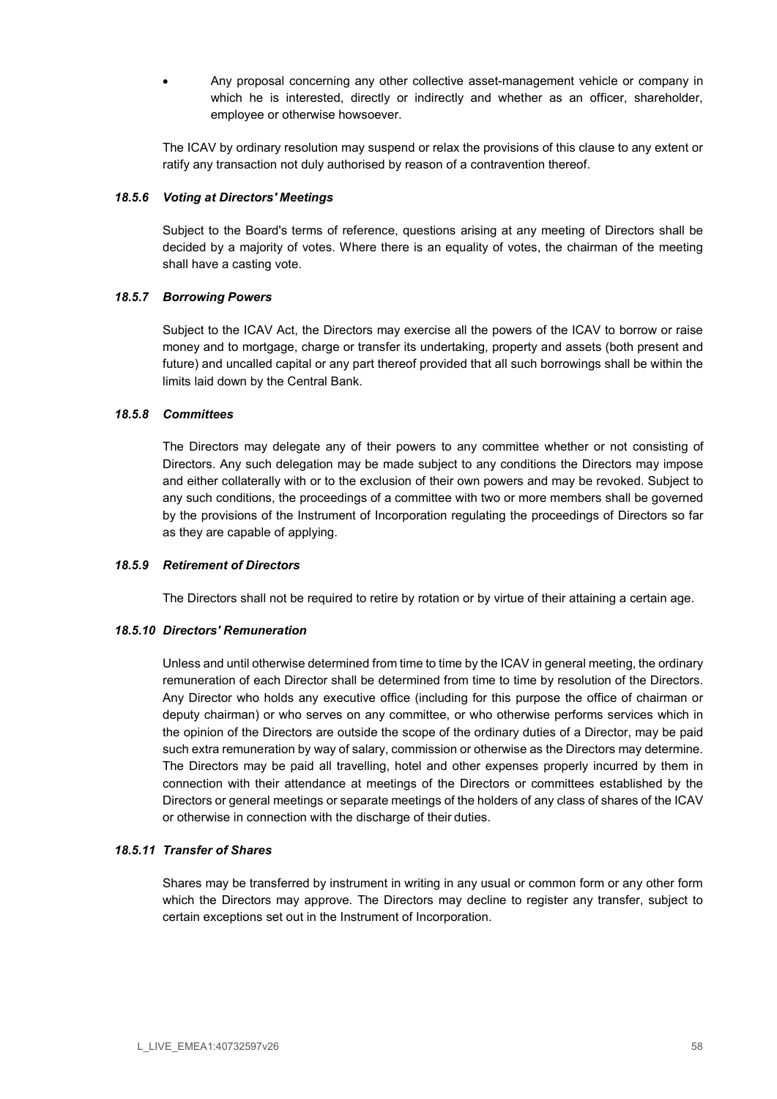Any proposal concerning any other collective asset-management vehicle or company in which he is interested, directly or indirectly and whether as an officer, shareholder, employee or otherwise howsoever.

The ICAV by ordinary resolution may suspend or relax the provisions of this clause to any extent or ratify any transaction not duly authorised by reason of a contravention thereof.

### 18.5.6 Voting at Directors' Meetings

Subject to the Board's terms of reference, questions arising at any meeting of Directors shall be decided by a majority of votes. Where there is an equality of votes, the chairman of the meeting shall have a casting vote.

### 18.5.7 Borrowing Powers

Subject to the ICAV Act, the Directors may exercise all the powers of the ICAV to borrow or raise money and to mortgage, charge or transfer its undertaking, property and assets (both present and future) and uncalled capital or any part thereof provided that all such borrowings shall be within the limits laid down by the Central Bank.

### 18.5.8 Committees

The Directors may delegate any of their powers to any committee whether or not consisting of Directors. Any such delegation may be made subject to any conditions the Directors may impose and either collaterally with or to the exclusion of their own powers and may be revoked. Subject to any such conditions, the proceedings of a committee with two or more members shall be governed by the provisions of the Instrument of Incorporation regulating the proceedings of Directors so far as they are capable of applying.

### 18.5.9 Retirement of Directors

The Directors shall not be required to retire by rotation or by virtue of their attaining a certain age.

### 18.5.10 Directors' Remuneration

Unless and until otherwise determined from time to time by the ICAV in general meeting, the ordinary remuneration of each Director shall be determined from time to time by resolution of the Directors. Any Director who holds any executive office (including for this purpose the office of chairman or deputy chairman) or who serves on any committee, or who otherwise performs services which in the opinion of the Directors are outside the scope of the ordinary duties of a Director, may be paid such extra remuneration by way of salary, commission or otherwise as the Directors may determine. The Directors may be paid all travelling, hotel and other expenses properly incurred by them in connection with their attendance at meetings of the Directors or committees established by the Directors or general meetings or separate meetings of the holders of any class of shares of the ICAV or otherwise in connection with the discharge of their duties.

### 18.5.11 Transfer of Shares

Shares may be transferred by instrument in writing in any usual or common form or any other form which the Directors may approve. The Directors may decline to register any transfer, subject to certain exceptions set out in the Instrument of Incorporation.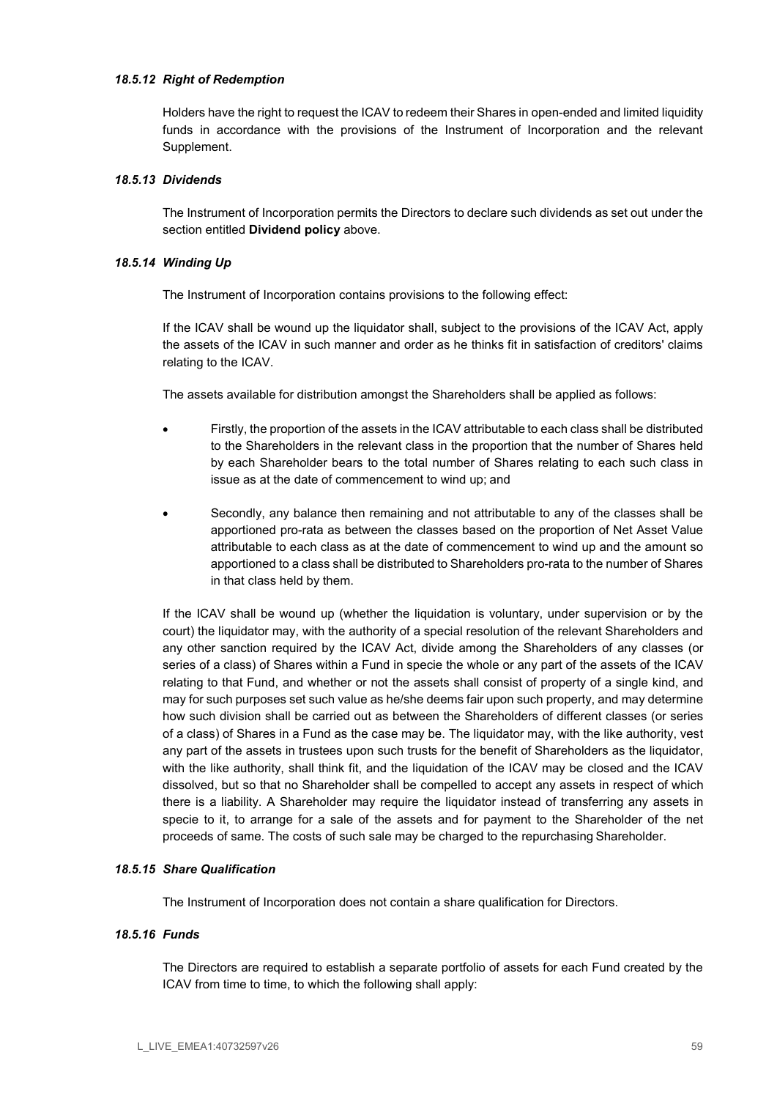#### 18.5.12 Right of Redemption

Holders have the right to request the ICAV to redeem their Shares in open-ended and limited liquidity funds in accordance with the provisions of the Instrument of Incorporation and the relevant Supplement.

### 18.5.13 Dividends

The Instrument of Incorporation permits the Directors to declare such dividends as set out under the section entitled Dividend policy above.

#### 18.5.14 Winding Up

The Instrument of Incorporation contains provisions to the following effect:

If the ICAV shall be wound up the liquidator shall, subject to the provisions of the ICAV Act, apply the assets of the ICAV in such manner and order as he thinks fit in satisfaction of creditors' claims relating to the ICAV.

The assets available for distribution amongst the Shareholders shall be applied as follows:

- Firstly, the proportion of the assets in the ICAV attributable to each class shall be distributed to the Shareholders in the relevant class in the proportion that the number of Shares held by each Shareholder bears to the total number of Shares relating to each such class in issue as at the date of commencement to wind up; and
- Secondly, any balance then remaining and not attributable to any of the classes shall be apportioned pro-rata as between the classes based on the proportion of Net Asset Value attributable to each class as at the date of commencement to wind up and the amount so apportioned to a class shall be distributed to Shareholders pro-rata to the number of Shares in that class held by them.

If the ICAV shall be wound up (whether the liquidation is voluntary, under supervision or by the court) the liquidator may, with the authority of a special resolution of the relevant Shareholders and any other sanction required by the ICAV Act, divide among the Shareholders of any classes (or series of a class) of Shares within a Fund in specie the whole or any part of the assets of the ICAV relating to that Fund, and whether or not the assets shall consist of property of a single kind, and may for such purposes set such value as he/she deems fair upon such property, and may determine how such division shall be carried out as between the Shareholders of different classes (or series of a class) of Shares in a Fund as the case may be. The liquidator may, with the like authority, vest any part of the assets in trustees upon such trusts for the benefit of Shareholders as the liquidator, with the like authority, shall think fit, and the liquidation of the ICAV may be closed and the ICAV dissolved, but so that no Shareholder shall be compelled to accept any assets in respect of which there is a liability. A Shareholder may require the liquidator instead of transferring any assets in specie to it, to arrange for a sale of the assets and for payment to the Shareholder of the net proceeds of same. The costs of such sale may be charged to the repurchasing Shareholder.

### 18.5.15 Share Qualification

The Instrument of Incorporation does not contain a share qualification for Directors.

### 18.5.16 Funds

The Directors are required to establish a separate portfolio of assets for each Fund created by the ICAV from time to time, to which the following shall apply: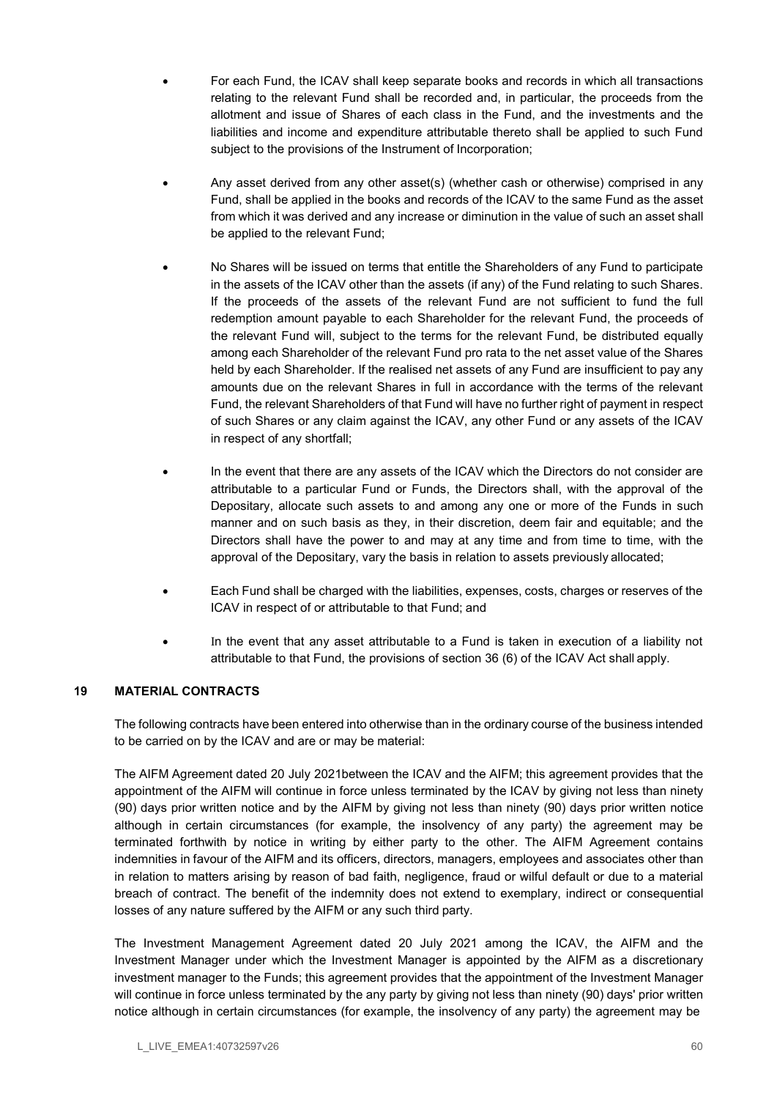- For each Fund, the ICAV shall keep separate books and records in which all transactions relating to the relevant Fund shall be recorded and, in particular, the proceeds from the allotment and issue of Shares of each class in the Fund, and the investments and the liabilities and income and expenditure attributable thereto shall be applied to such Fund subject to the provisions of the Instrument of Incorporation;
- Any asset derived from any other asset(s) (whether cash or otherwise) comprised in any Fund, shall be applied in the books and records of the ICAV to the same Fund as the asset from which it was derived and any increase or diminution in the value of such an asset shall be applied to the relevant Fund;
- No Shares will be issued on terms that entitle the Shareholders of any Fund to participate in the assets of the ICAV other than the assets (if any) of the Fund relating to such Shares. If the proceeds of the assets of the relevant Fund are not sufficient to fund the full redemption amount payable to each Shareholder for the relevant Fund, the proceeds of the relevant Fund will, subject to the terms for the relevant Fund, be distributed equally among each Shareholder of the relevant Fund pro rata to the net asset value of the Shares held by each Shareholder. If the realised net assets of any Fund are insufficient to pay any amounts due on the relevant Shares in full in accordance with the terms of the relevant Fund, the relevant Shareholders of that Fund will have no further right of payment in respect of such Shares or any claim against the ICAV, any other Fund or any assets of the ICAV in respect of any shortfall;
- In the event that there are any assets of the ICAV which the Directors do not consider are attributable to a particular Fund or Funds, the Directors shall, with the approval of the Depositary, allocate such assets to and among any one or more of the Funds in such manner and on such basis as they, in their discretion, deem fair and equitable; and the Directors shall have the power to and may at any time and from time to time, with the approval of the Depositary, vary the basis in relation to assets previously allocated;
- Each Fund shall be charged with the liabilities, expenses, costs, charges or reserves of the ICAV in respect of or attributable to that Fund; and
- n the event that any asset attributable to a Fund is taken in execution of a liability not attributable to that Fund, the provisions of section 36 (6) of the ICAV Act shall apply.

# 19 MATERIAL CONTRACTS

The following contracts have been entered into otherwise than in the ordinary course of the business intended to be carried on by the ICAV and are or may be material:

The AIFM Agreement dated 20 July 2021between the ICAV and the AIFM; this agreement provides that the appointment of the AIFM will continue in force unless terminated by the ICAV by giving not less than ninety (90) days prior written notice and by the AIFM by giving not less than ninety (90) days prior written notice although in certain circumstances (for example, the insolvency of any party) the agreement may be terminated forthwith by notice in writing by either party to the other. The AIFM Agreement contains indemnities in favour of the AIFM and its officers, directors, managers, employees and associates other than in relation to matters arising by reason of bad faith, negligence, fraud or wilful default or due to a material breach of contract. The benefit of the indemnity does not extend to exemplary, indirect or consequential losses of any nature suffered by the AIFM or any such third party.

The Investment Management Agreement dated 20 July 2021 among the ICAV, the AIFM and the Investment Manager under which the Investment Manager is appointed by the AIFM as a discretionary investment manager to the Funds; this agreement provides that the appointment of the Investment Manager will continue in force unless terminated by the any party by giving not less than ninety (90) days' prior written notice although in certain circumstances (for example, the insolvency of any party) the agreement may be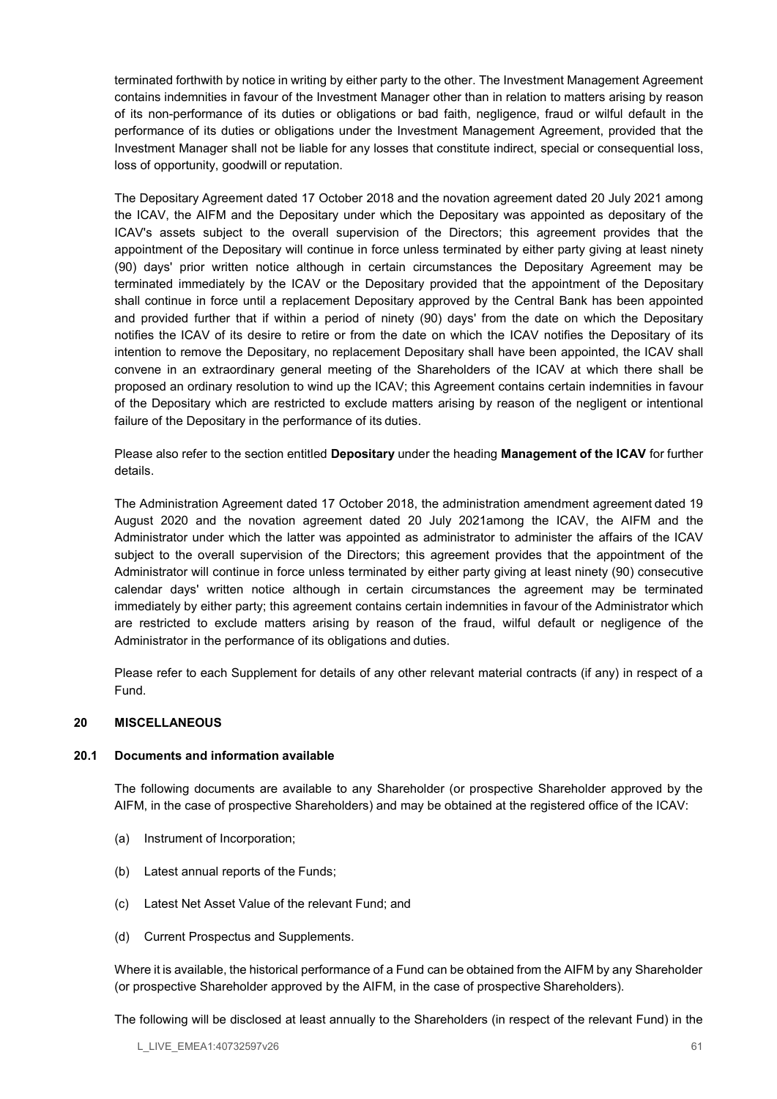terminated forthwith by notice in writing by either party to the other. The Investment Management Agreement contains indemnities in favour of the Investment Manager other than in relation to matters arising by reason of its non-performance of its duties or obligations or bad faith, negligence, fraud or wilful default in the performance of its duties or obligations under the Investment Management Agreement, provided that the Investment Manager shall not be liable for any losses that constitute indirect, special or consequential loss, loss of opportunity, goodwill or reputation.

The Depositary Agreement dated 17 October 2018 and the novation agreement dated 20 July 2021 among the ICAV, the AIFM and the Depositary under which the Depositary was appointed as depositary of the ICAV's assets subject to the overall supervision of the Directors; this agreement provides that the appointment of the Depositary will continue in force unless terminated by either party giving at least ninety (90) days' prior written notice although in certain circumstances the Depositary Agreement may be terminated immediately by the ICAV or the Depositary provided that the appointment of the Depositary shall continue in force until a replacement Depositary approved by the Central Bank has been appointed and provided further that if within a period of ninety (90) days' from the date on which the Depositary notifies the ICAV of its desire to retire or from the date on which the ICAV notifies the Depositary of its intention to remove the Depositary, no replacement Depositary shall have been appointed, the ICAV shall convene in an extraordinary general meeting of the Shareholders of the ICAV at which there shall be proposed an ordinary resolution to wind up the ICAV; this Agreement contains certain indemnities in favour of the Depositary which are restricted to exclude matters arising by reason of the negligent or intentional failure of the Depositary in the performance of its duties.

Please also refer to the section entitled Depositary under the heading Management of the ICAV for further details.

The Administration Agreement dated 17 October 2018, the administration amendment agreement dated 19 August 2020 and the novation agreement dated 20 July 2021among the ICAV, the AIFM and the Administrator under which the latter was appointed as administrator to administer the affairs of the ICAV subject to the overall supervision of the Directors; this agreement provides that the appointment of the Administrator will continue in force unless terminated by either party giving at least ninety (90) consecutive calendar days' written notice although in certain circumstances the agreement may be terminated immediately by either party; this agreement contains certain indemnities in favour of the Administrator which are restricted to exclude matters arising by reason of the fraud, wilful default or negligence of the Administrator in the performance of its obligations and duties.

Please refer to each Supplement for details of any other relevant material contracts (if any) in respect of a Fund.

## 20 MISCELLANEOUS

### 20.1 Documents and information available

The following documents are available to any Shareholder (or prospective Shareholder approved by the AIFM, in the case of prospective Shareholders) and may be obtained at the registered office of the ICAV:

- (a) Instrument of Incorporation;
- (b) Latest annual reports of the Funds;
- (c) Latest Net Asset Value of the relevant Fund; and
- (d) Current Prospectus and Supplements.

Where it is available, the historical performance of a Fund can be obtained from the AIFM by any Shareholder (or prospective Shareholder approved by the AIFM, in the case of prospective Shareholders).

The following will be disclosed at least annually to the Shareholders (in respect of the relevant Fund) in the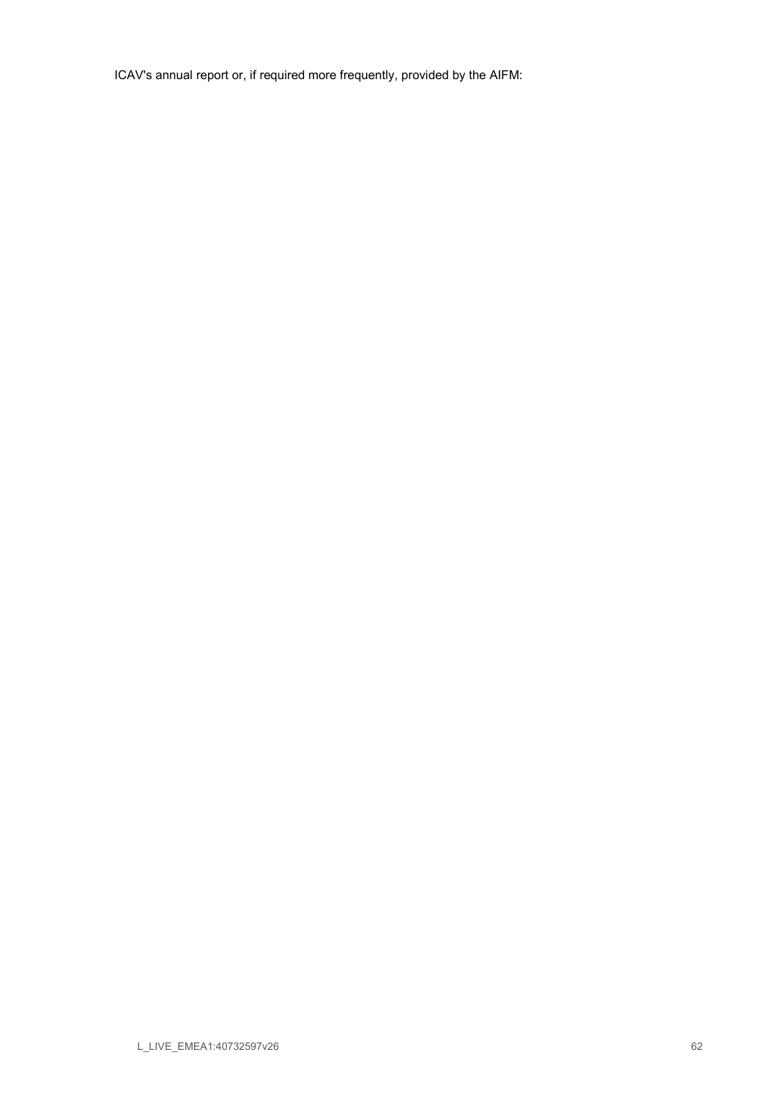ICAV's annual report or, if required more frequently, provided by the AIFM: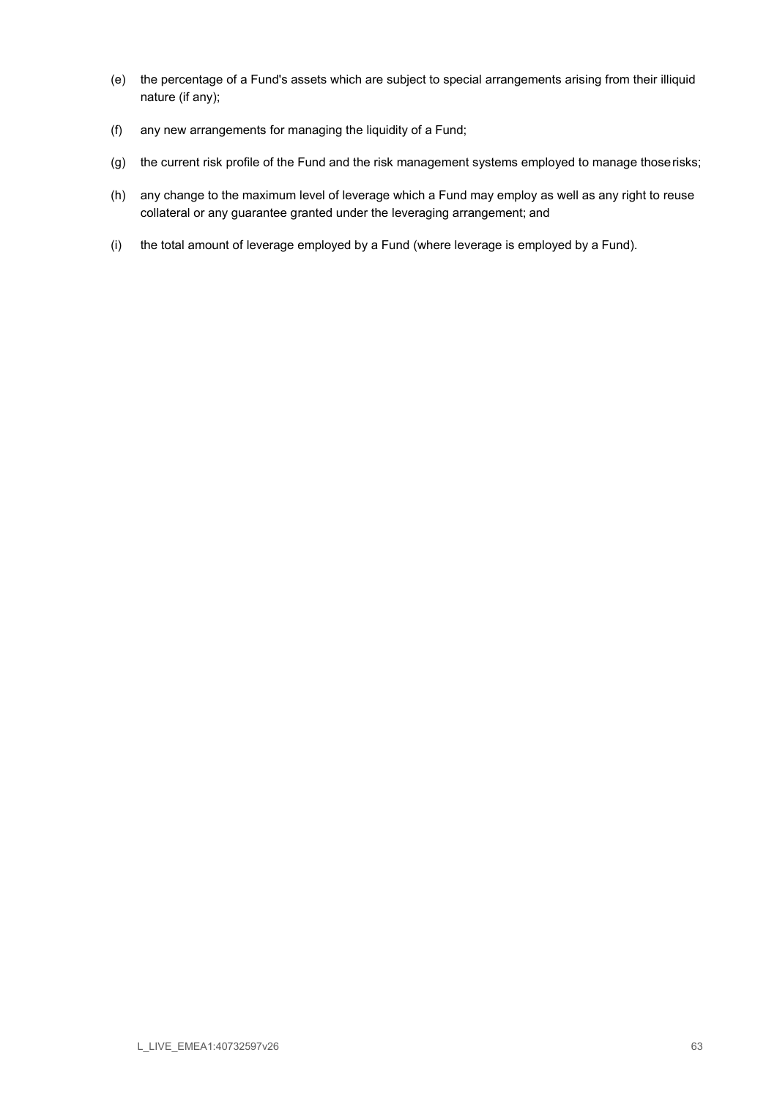- (e) the percentage of a Fund's assets which are subject to special arrangements arising from their illiquid nature (if any);
- (f) any new arrangements for managing the liquidity of a Fund;
- (g) the current risk profile of the Fund and the risk management systems employed to manage those risks;
- (h) any change to the maximum level of leverage which a Fund may employ as well as any right to reuse collateral or any guarantee granted under the leveraging arrangement; and
- (i) the total amount of leverage employed by a Fund (where leverage is employed by a Fund).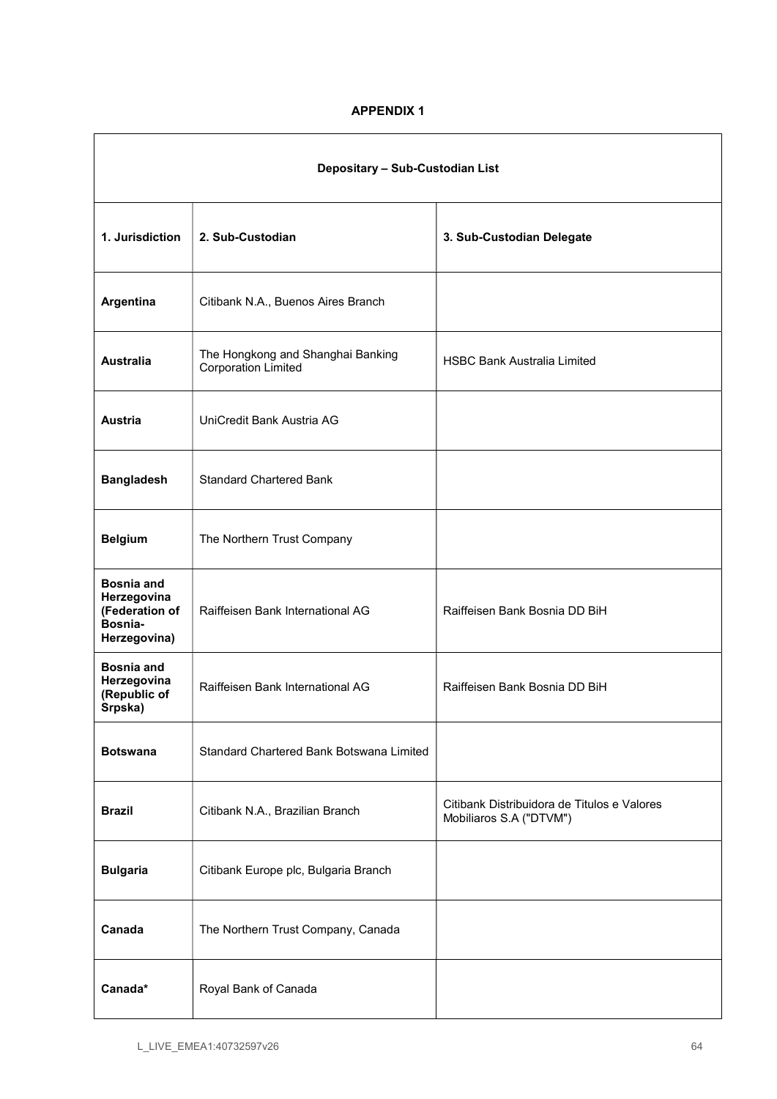# APPENDIX 1

| Depositary - Sub-Custodian List                                               |                                                          |                                                                        |
|-------------------------------------------------------------------------------|----------------------------------------------------------|------------------------------------------------------------------------|
| 1. Jurisdiction                                                               | 2. Sub-Custodian                                         | 3. Sub-Custodian Delegate                                              |
| Argentina                                                                     | Citibank N.A., Buenos Aires Branch                       |                                                                        |
| <b>Australia</b>                                                              | The Hongkong and Shanghai Banking<br>Corporation Limited | <b>HSBC Bank Australia Limited</b>                                     |
| Austria                                                                       | UniCredit Bank Austria AG                                |                                                                        |
| <b>Bangladesh</b>                                                             | <b>Standard Chartered Bank</b>                           |                                                                        |
| <b>Belgium</b>                                                                | The Northern Trust Company                               |                                                                        |
| <b>Bosnia and</b><br>Herzegovina<br>(Federation of<br>Bosnia-<br>Herzegovina) | Raiffeisen Bank International AG                         | Raiffeisen Bank Bosnia DD BiH                                          |
| <b>Bosnia and</b><br>Herzegovina<br>(Republic of<br>Srpska)                   | Raiffeisen Bank International AG                         | Raiffeisen Bank Bosnia DD BiH                                          |
| <b>Botswana</b>                                                               | Standard Chartered Bank Botswana Limited                 |                                                                        |
| <b>Brazil</b>                                                                 | Citibank N.A., Brazilian Branch                          | Citibank Distribuidora de Titulos e Valores<br>Mobiliaros S.A ("DTVM") |
| <b>Bulgaria</b>                                                               | Citibank Europe plc, Bulgaria Branch                     |                                                                        |
| Canada                                                                        | The Northern Trust Company, Canada                       |                                                                        |
| Canada*                                                                       | Royal Bank of Canada                                     |                                                                        |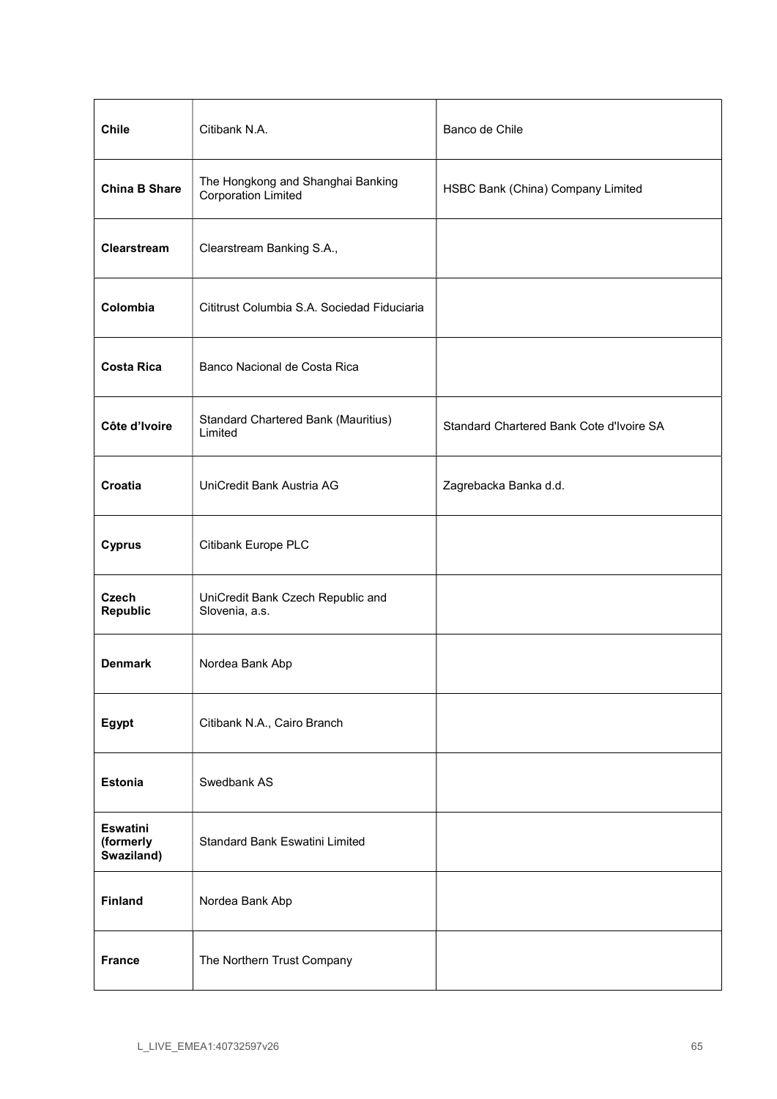| <b>Chile</b>                               | Citibank N.A.                                                   | Banco de Chile                           |
|--------------------------------------------|-----------------------------------------------------------------|------------------------------------------|
| <b>China B Share</b>                       | The Hongkong and Shanghai Banking<br><b>Corporation Limited</b> | HSBC Bank (China) Company Limited        |
| Clearstream                                | Clearstream Banking S.A.,                                       |                                          |
| Colombia                                   | Cititrust Columbia S.A. Sociedad Fiduciaria                     |                                          |
| <b>Costa Rica</b>                          | Banco Nacional de Costa Rica                                    |                                          |
| Côte d'Ivoire                              | Standard Chartered Bank (Mauritius)<br>Limited                  | Standard Chartered Bank Cote d'Ivoire SA |
| Croatia                                    | UniCredit Bank Austria AG                                       | Zagrebacka Banka d.d.                    |
| <b>Cyprus</b>                              | Citibank Europe PLC                                             |                                          |
| <b>Czech</b><br><b>Republic</b>            | UniCredit Bank Czech Republic and<br>Slovenia, a.s.             |                                          |
| <b>Denmark</b>                             | Nordea Bank Abp                                                 |                                          |
| Egypt                                      | Citibank N.A., Cairo Branch                                     |                                          |
| <b>Estonia</b>                             | Swedbank AS                                                     |                                          |
| <b>Eswatini</b><br>(formerly<br>Swaziland) | Standard Bank Eswatini Limited                                  |                                          |
| <b>Finland</b>                             | Nordea Bank Abp                                                 |                                          |
| <b>France</b>                              | The Northern Trust Company                                      |                                          |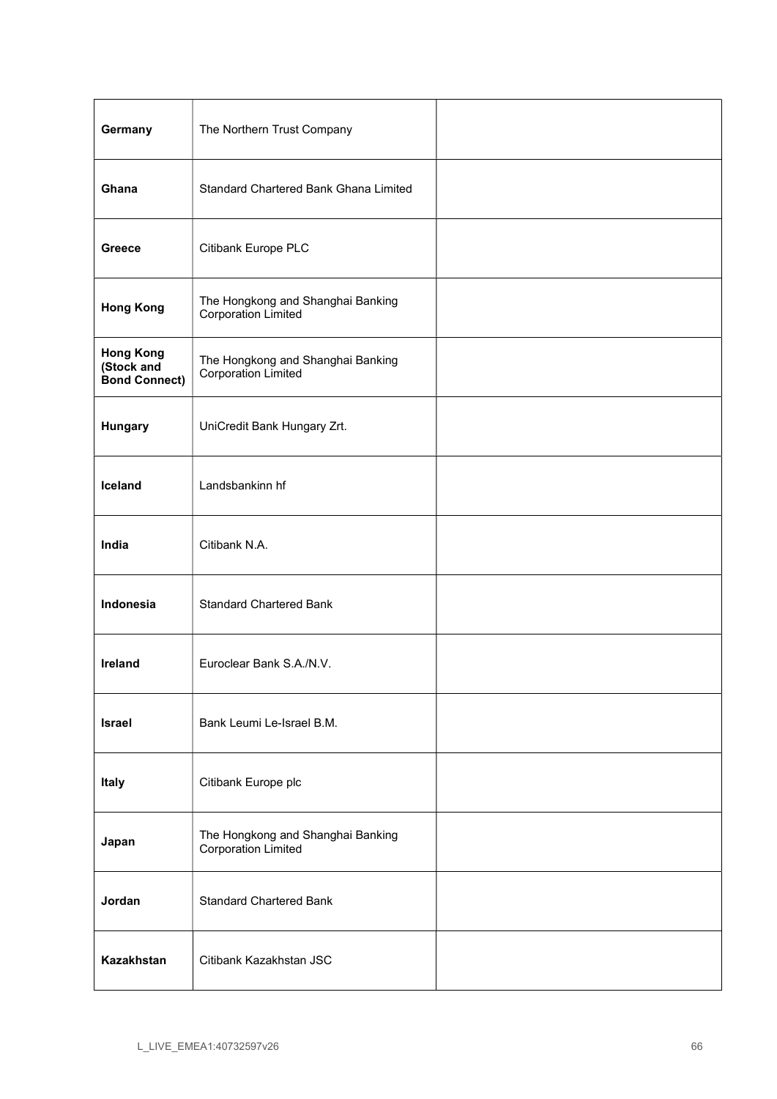| Germany                                                | The Northern Trust Company                                      |  |
|--------------------------------------------------------|-----------------------------------------------------------------|--|
| Ghana                                                  | Standard Chartered Bank Ghana Limited                           |  |
| <b>Greece</b>                                          | Citibank Europe PLC                                             |  |
| <b>Hong Kong</b>                                       | The Hongkong and Shanghai Banking<br><b>Corporation Limited</b> |  |
| <b>Hong Kong</b><br>(Stock and<br><b>Bond Connect)</b> | The Hongkong and Shanghai Banking<br><b>Corporation Limited</b> |  |
| Hungary                                                | UniCredit Bank Hungary Zrt.                                     |  |
| Iceland                                                | Landsbankinn hf                                                 |  |
| India                                                  | Citibank N.A.                                                   |  |
| Indonesia                                              | <b>Standard Chartered Bank</b>                                  |  |
| <b>Ireland</b>                                         | Euroclear Bank S.A./N.V.                                        |  |
| <b>Israel</b>                                          | Bank Leumi Le-Israel B.M.                                       |  |
| Italy                                                  | Citibank Europe plc                                             |  |
| Japan                                                  | The Hongkong and Shanghai Banking<br>Corporation Limited        |  |
| Jordan                                                 | <b>Standard Chartered Bank</b>                                  |  |
| Kazakhstan                                             | Citibank Kazakhstan JSC                                         |  |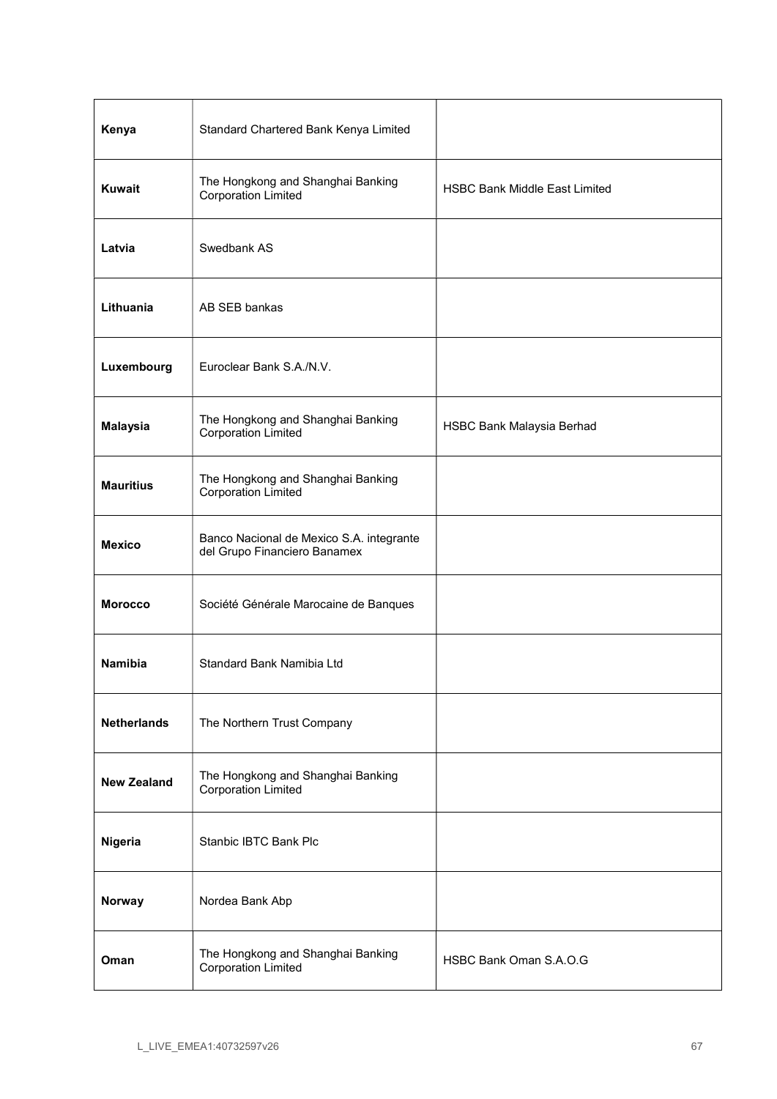| Kenya              | Standard Chartered Bank Kenya Limited                                    |                                      |
|--------------------|--------------------------------------------------------------------------|--------------------------------------|
| <b>Kuwait</b>      | The Hongkong and Shanghai Banking<br><b>Corporation Limited</b>          | <b>HSBC Bank Middle East Limited</b> |
| Latvia             | Swedbank AS                                                              |                                      |
| Lithuania          | AB SEB bankas                                                            |                                      |
| Luxembourg         | Euroclear Bank S.A./N.V.                                                 |                                      |
| <b>Malaysia</b>    | The Hongkong and Shanghai Banking<br>Corporation Limited                 | HSBC Bank Malaysia Berhad            |
| <b>Mauritius</b>   | The Hongkong and Shanghai Banking<br><b>Corporation Limited</b>          |                                      |
| <b>Mexico</b>      | Banco Nacional de Mexico S.A. integrante<br>del Grupo Financiero Banamex |                                      |
| <b>Morocco</b>     | Société Générale Marocaine de Banques                                    |                                      |
| Namibia            | Standard Bank Namibia Ltd                                                |                                      |
| <b>Netherlands</b> | The Northern Trust Company                                               |                                      |
| <b>New Zealand</b> | The Hongkong and Shanghai Banking<br><b>Corporation Limited</b>          |                                      |
| Nigeria            | Stanbic IBTC Bank Plc                                                    |                                      |
| Norway             | Nordea Bank Abp                                                          |                                      |
| Oman               | The Hongkong and Shanghai Banking<br><b>Corporation Limited</b>          | HSBC Bank Oman S.A.O.G               |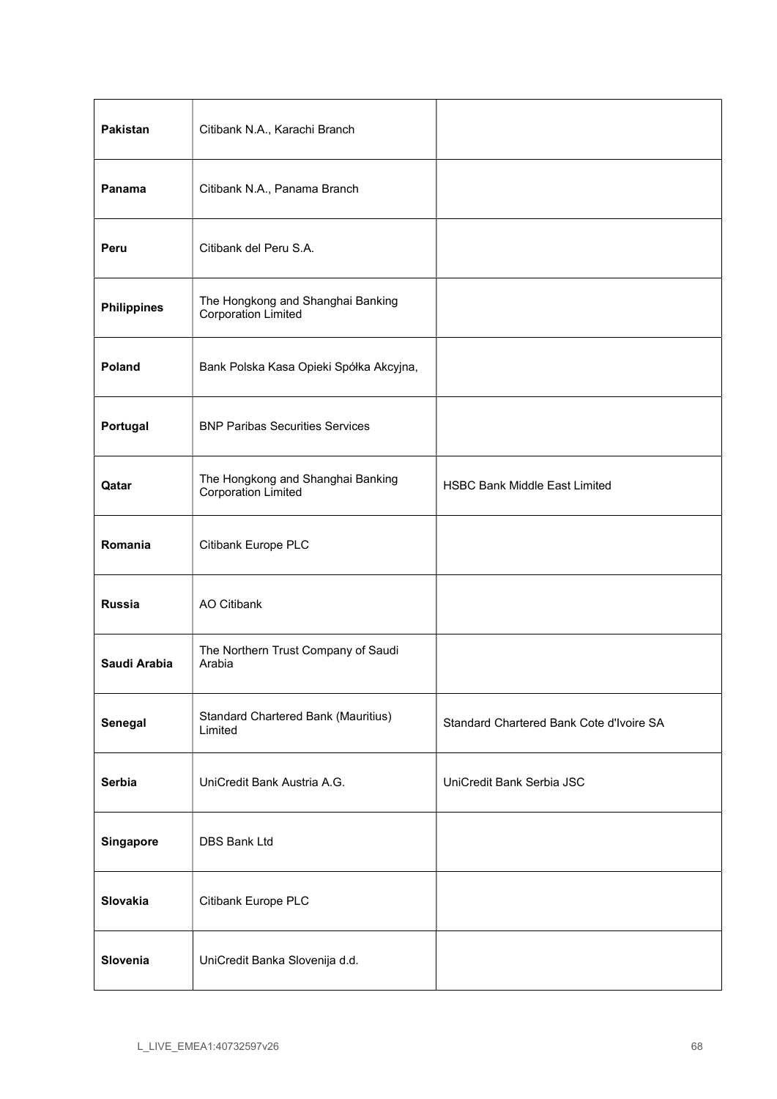| Pakistan           | Citibank N.A., Karachi Branch                                   |                                          |
|--------------------|-----------------------------------------------------------------|------------------------------------------|
| Panama             | Citibank N.A., Panama Branch                                    |                                          |
| Peru               | Citibank del Peru S.A.                                          |                                          |
| <b>Philippines</b> | The Hongkong and Shanghai Banking<br><b>Corporation Limited</b> |                                          |
| Poland             | Bank Polska Kasa Opieki Spółka Akcyjna,                         |                                          |
| Portugal           | <b>BNP Paribas Securities Services</b>                          |                                          |
| Qatar              | The Hongkong and Shanghai Banking<br><b>Corporation Limited</b> | <b>HSBC Bank Middle East Limited</b>     |
| Romania            | Citibank Europe PLC                                             |                                          |
| <b>Russia</b>      | <b>AO Citibank</b>                                              |                                          |
| Saudi Arabia       | The Northern Trust Company of Saudi<br>Arabia                   |                                          |
| Senegal            | Standard Chartered Bank (Mauritius)<br>Limited                  | Standard Chartered Bank Cote d'Ivoire SA |
| <b>Serbia</b>      | UniCredit Bank Austria A.G.                                     | UniCredit Bank Serbia JSC                |
| Singapore          | DBS Bank Ltd                                                    |                                          |
| Slovakia           | Citibank Europe PLC                                             |                                          |
| Slovenia           | UniCredit Banka Slovenija d.d.                                  |                                          |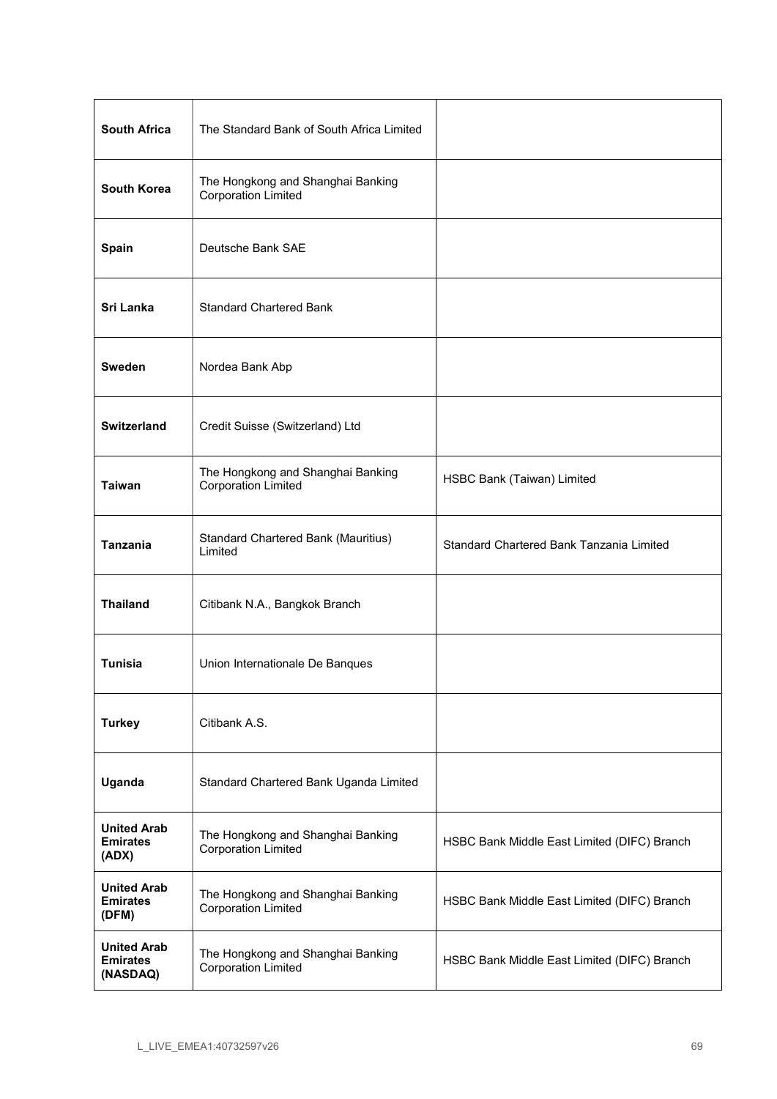| <b>South Africa</b>                               | The Standard Bank of South Africa Limited                       |                                             |
|---------------------------------------------------|-----------------------------------------------------------------|---------------------------------------------|
| <b>South Korea</b>                                | The Hongkong and Shanghai Banking<br><b>Corporation Limited</b> |                                             |
| Spain                                             | Deutsche Bank SAE                                               |                                             |
| Sri Lanka                                         | <b>Standard Chartered Bank</b>                                  |                                             |
| Sweden                                            | Nordea Bank Abp                                                 |                                             |
| <b>Switzerland</b>                                | Credit Suisse (Switzerland) Ltd                                 |                                             |
| <b>Taiwan</b>                                     | The Hongkong and Shanghai Banking<br><b>Corporation Limited</b> | HSBC Bank (Taiwan) Limited                  |
| Tanzania                                          | <b>Standard Chartered Bank (Mauritius)</b><br>Limited           | Standard Chartered Bank Tanzania Limited    |
| <b>Thailand</b>                                   | Citibank N.A., Bangkok Branch                                   |                                             |
| <b>Tunisia</b>                                    | Union Internationale De Banques                                 |                                             |
| <b>Turkey</b>                                     | Citibank A.S.                                                   |                                             |
| Uganda                                            | Standard Chartered Bank Uganda Limited                          |                                             |
| <b>United Arab</b><br><b>Emirates</b><br>(ADX)    | The Hongkong and Shanghai Banking<br>Corporation Limited        | HSBC Bank Middle East Limited (DIFC) Branch |
| <b>United Arab</b><br><b>Emirates</b><br>(DFM)    | The Hongkong and Shanghai Banking<br><b>Corporation Limited</b> | HSBC Bank Middle East Limited (DIFC) Branch |
| <b>United Arab</b><br><b>Emirates</b><br>(NASDAQ) | The Hongkong and Shanghai Banking<br><b>Corporation Limited</b> | HSBC Bank Middle East Limited (DIFC) Branch |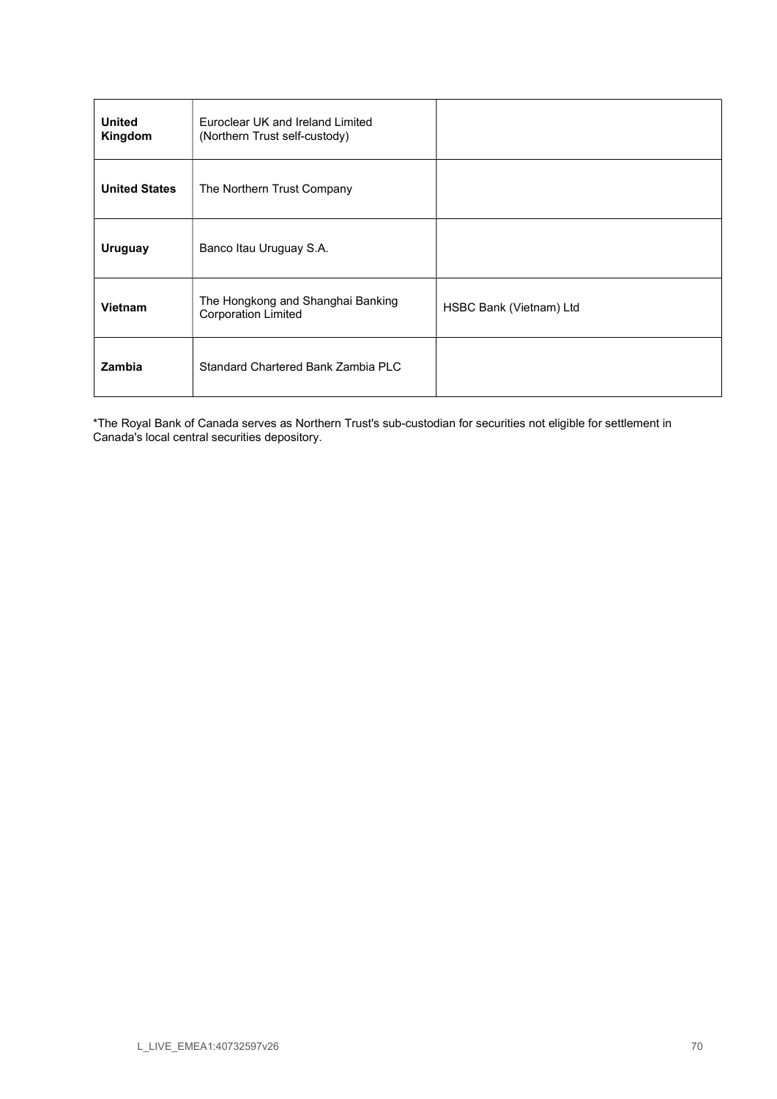| <b>United</b><br>Kingdom | Euroclear UK and Ireland Limited<br>(Northern Trust self-custody) |                         |
|--------------------------|-------------------------------------------------------------------|-------------------------|
| <b>United States</b>     | The Northern Trust Company                                        |                         |
| <b>Uruguay</b>           | Banco Itau Uruguay S.A.                                           |                         |
| <b>Vietnam</b>           | The Hongkong and Shanghai Banking<br><b>Corporation Limited</b>   | HSBC Bank (Vietnam) Ltd |
| Zambia                   | Standard Chartered Bank Zambia PLC                                |                         |

\*The Royal Bank of Canada serves as Northern Trust's sub-custodian for securities not eligible for settlement in Canada's local central securities depository.